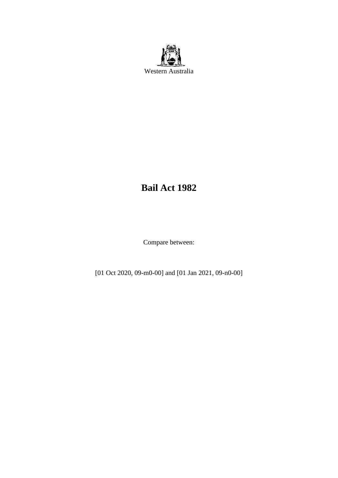

# **Bail Act 1982**

Compare between:

[01 Oct 2020, 09-m0-00] and [01 Jan 2021, 09-n0-00]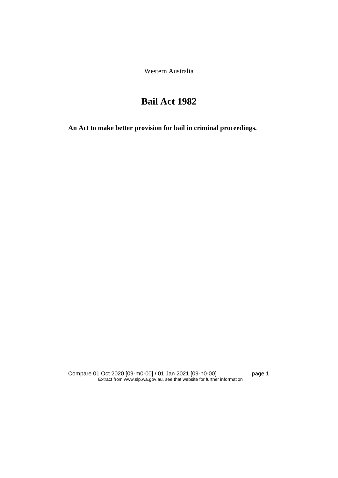Western Australia

# **Bail Act 1982**

**An Act to make better provision for bail in criminal proceedings.** 

Compare 01 Oct 2020 [09-m0-00] / 01 Jan 2021 [09-n0-00] page 1 Extract from www.slp.wa.gov.au, see that website for further information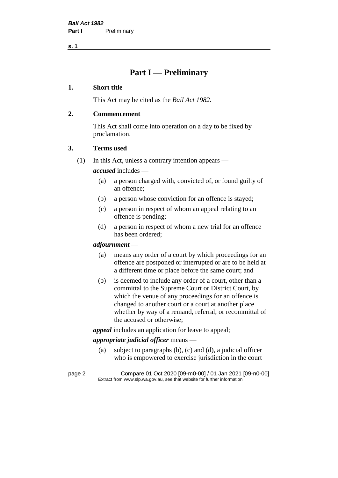# **Part I — Preliminary**

## **1. Short title**

This Act may be cited as the *Bail Act 1982*.

# **2. Commencement**

This Act shall come into operation on a day to be fixed by proclamation.

# **3. Terms used**

(1) In this Act, unless a contrary intention appears —

*accused* includes —

- (a) a person charged with, convicted of, or found guilty of an offence;
- (b) a person whose conviction for an offence is stayed;
- (c) a person in respect of whom an appeal relating to an offence is pending;
- (d) a person in respect of whom a new trial for an offence has been ordered;

#### *adjournment* —

- (a) means any order of a court by which proceedings for an offence are postponed or interrupted or are to be held at a different time or place before the same court; and
- (b) is deemed to include any order of a court, other than a committal to the Supreme Court or District Court, by which the venue of any proceedings for an offence is changed to another court or a court at another place whether by way of a remand, referral, or recommittal of the accused or otherwise;

*appeal* includes an application for leave to appeal;

# *appropriate judicial officer* means —

(a) subject to paragraphs (b), (c) and (d), a judicial officer who is empowered to exercise jurisdiction in the court

page 2 Compare 01 Oct 2020 [09-m0-00] / 01 Jan 2021 [09-n0-00] Extract from www.slp.wa.gov.au, see that website for further information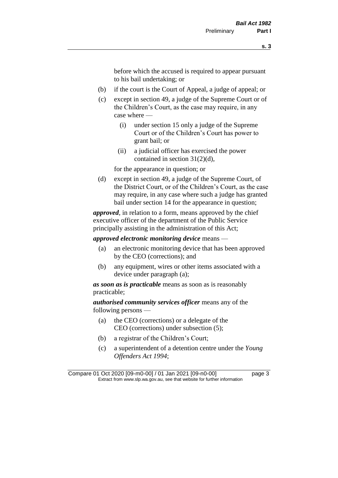before which the accused is required to appear pursuant to his bail undertaking; or

- (b) if the court is the Court of Appeal, a judge of appeal; or
- (c) except in section 49, a judge of the Supreme Court or of the Children's Court, as the case may require, in any case where —
	- (i) under section 15 only a judge of the Supreme Court or of the Children's Court has power to grant bail; or
	- (ii) a judicial officer has exercised the power contained in section 31(2)(d),

for the appearance in question; or

(d) except in section 49, a judge of the Supreme Court, of the District Court, or of the Children's Court, as the case may require, in any case where such a judge has granted bail under section 14 for the appearance in question;

*approved*, in relation to a form, means approved by the chief executive officer of the department of the Public Service principally assisting in the administration of this Act;

*approved electronic monitoring device* means —

- (a) an electronic monitoring device that has been approved by the CEO (corrections); and
- (b) any equipment, wires or other items associated with a device under paragraph (a);

*as soon as is practicable* means as soon as is reasonably practicable;

*authorised community services officer* means any of the following persons —

- (a) the CEO (corrections) or a delegate of the CEO (corrections) under subsection (5);
- (b) a registrar of the Children's Court;
- (c) a superintendent of a detention centre under the *Young Offenders Act 1994*;

Compare 01 Oct 2020 [09-m0-00] / 01 Jan 2021 [09-n0-00] page 3 Extract from www.slp.wa.gov.au, see that website for further information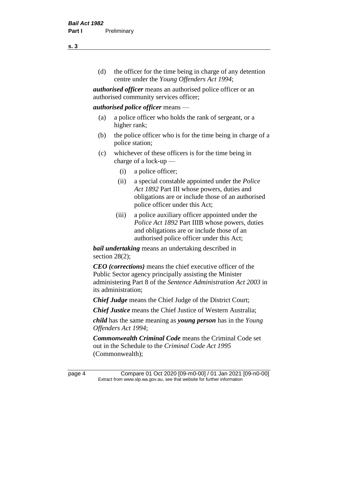(d) the officer for the time being in charge of any detention centre under the *Young Offenders Act 1994*;

*authorised officer* means an authorised police officer or an authorised community services officer;

#### *authorised police officer* means —

- (a) a police officer who holds the rank of sergeant, or a higher rank;
- (b) the police officer who is for the time being in charge of a police station;
- (c) whichever of these officers is for the time being in charge of a lock-up —
	- (i) a police officer;
	- (ii) a special constable appointed under the *Police Act 1892* Part III whose powers, duties and obligations are or include those of an authorised police officer under this Act;
	- (iii) a police auxiliary officer appointed under the *Police Act 1892* Part IIIB whose powers, duties and obligations are or include those of an authorised police officer under this Act;

*bail undertaking* means an undertaking described in section 28(2);

*CEO (corrections)* means the chief executive officer of the Public Sector agency principally assisting the Minister administering Part 8 of the *Sentence Administration Act 2003* in its administration;

*Chief Judge* means the Chief Judge of the District Court;

*Chief Justice* means the Chief Justice of Western Australia;

*child* has the same meaning as *young person* has in the *Young Offenders Act 1994*;

*Commonwealth Criminal Code* means the Criminal Code set out in the Schedule to the *Criminal Code Act 1995* (Commonwealth);

page 4 Compare 01 Oct 2020 [09-m0-00] / 01 Jan 2021 [09-n0-00] Extract from www.slp.wa.gov.au, see that website for further information

**s. 3**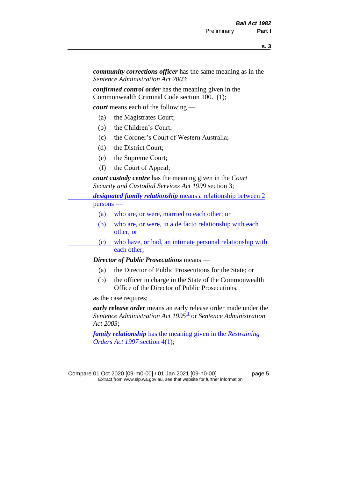*community corrections officer* has the same meaning as in the *Sentence Administration Act 2003*;

*confirmed control order* has the meaning given in the Commonwealth Criminal Code section 100.1(1);

*court* means each of the following —

- (a) the Magistrates Court;
- (b) the Children's Court;
- (c) the Coroner's Court of Western Australia;
- (d) the District Court;
- (e) the Supreme Court;
- (f) the Court of Appeal;

*court custody centre* has the meaning given in the *Court Security and Custodial Services Act 1999* section 3;

| <i>designated family relationship</i> means a relationship between 2 |                                                          |
|----------------------------------------------------------------------|----------------------------------------------------------|
| $persons$ —                                                          |                                                          |
| (a)                                                                  | who are, or were, married to each other; or              |
| (b)                                                                  | who are, or were, in a de facto relationship with each   |
|                                                                      | other; or                                                |
| (c)                                                                  | who have, or had, an intimate personal relationship with |
|                                                                      | each other;                                              |
|                                                                      |                                                          |

*Director of Public Prosecutions* means —

- (a) the Director of Public Prosecutions for the State; or
- (b) the officer in charge in the State of the Commonwealth Office of the Director of Public Prosecutions,

as the case requires;

*early release order* means an early release order made under the Sentence Administration Act 1995<sup>1</sup> or Sentence Administration *Act 2003*;

*family relationship* has the meaning given in the *Restraining Orders Act 1997* section 4(1);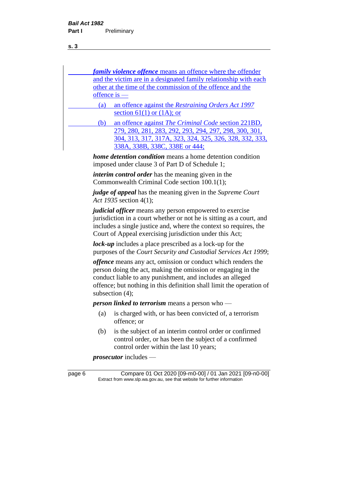| <i>family violence offence</i> means an offence where the offender                                                                                                                                          |
|-------------------------------------------------------------------------------------------------------------------------------------------------------------------------------------------------------------|
| and the victim are in a designated family relationship with each                                                                                                                                            |
| other at the time of the commission of the offence and the                                                                                                                                                  |
| <u>offence is —</u>                                                                                                                                                                                         |
| an offence against the Restraining Orders Act 1997<br>(a)                                                                                                                                                   |
| section 61(1) or $(1A)$ ; or                                                                                                                                                                                |
| an offence against <i>The Criminal Code</i> section 221BD,<br>(b)                                                                                                                                           |
| 279, 280, 281, 283, 292, 293, 294, 297, 298, 300, 301,                                                                                                                                                      |
| <u>304, 313, 317, 317A, 323, 324, 325, 326, 328, 332, 333, </u>                                                                                                                                             |
| 338A, 338B, 338C, 338E or 444;                                                                                                                                                                              |
| <i>home detention condition</i> means a home detention condition<br>imposed under clause 3 of Part D of Schedule 1;                                                                                         |
| <i>interim control order</i> has the meaning given in the                                                                                                                                                   |
| Commonwealth Criminal Code section 100.1(1);                                                                                                                                                                |
| <i>judge of appeal</i> has the meaning given in the Supreme Court<br>Act 1935 section 4(1);                                                                                                                 |
| <i>judicial officer</i> means any person empowered to exercise<br>jurisdiction in a court whether or not he is sitting as a court, and<br>includes a single justice and, where the context so requires, the |

Court of Appeal exercising jurisdiction under this Act; *lock-up* includes a place prescribed as a lock-up for the purposes of the *Court Security and Custodial Services Act 1999*;

*offence* means any act, omission or conduct which renders the person doing the act, making the omission or engaging in the conduct liable to any punishment, and includes an alleged offence; but nothing in this definition shall limit the operation of subsection (4);

*person linked to terrorism* means a person who —

- (a) is charged with, or has been convicted of, a terrorism offence; or
- (b) is the subject of an interim control order or confirmed control order, or has been the subject of a confirmed control order within the last 10 years;

*prosecutor* includes —

page 6 Compare 01 Oct 2020 [09-m0-00] / 01 Jan 2021 [09-n0-00] Extract from www.slp.wa.gov.au, see that website for further information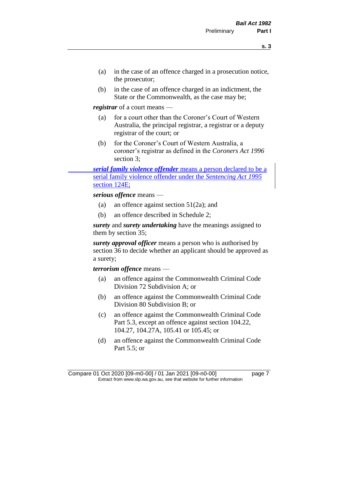- (a) in the case of an offence charged in a prosecution notice, the prosecutor;
- (b) in the case of an offence charged in an indictment, the State or the Commonwealth, as the case may be;

*registrar* of a court means —

- (a) for a court other than the Coroner's Court of Western Australia, the principal registrar, a registrar or a deputy registrar of the court; or
- (b) for the Coroner's Court of Western Australia, a coroner's registrar as defined in the *Coroners Act 1996* section 3;

*serial family violence offender* means a person declared to be a serial family violence offender under the *Sentencing Act 1995* section 124E;

*serious offence* means —

- (a) an offence against section 51(2a); and
- (b) an offence described in Schedule 2;

*surety* and *surety undertaking* have the meanings assigned to them by section 35;

*surety approval officer* means a person who is authorised by section 36 to decide whether an applicant should be approved as a surety;

*terrorism offence* means —

- (a) an offence against the Commonwealth Criminal Code Division 72 Subdivision A; or
- (b) an offence against the Commonwealth Criminal Code Division 80 Subdivision B; or
- (c) an offence against the Commonwealth Criminal Code Part 5.3, except an offence against section 104.22, 104.27, 104.27A, 105.41 or 105.45; or
- (d) an offence against the Commonwealth Criminal Code Part 5.5; or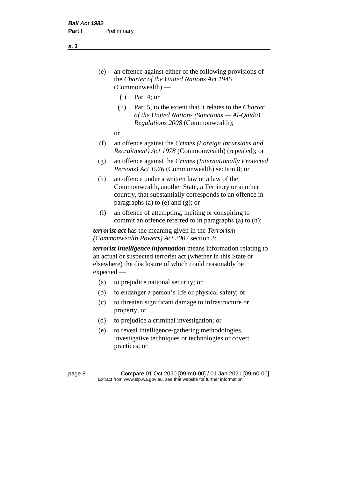- (e) an offence against either of the following provisions of the *Charter of the United Nations Act 1945*  (Commonwealth) —
	- (i) Part 4; or
	- (ii) Part 5, to the extent that it relates to the *Charter of the United Nations (Sanctions — Al-Qaida) Regulations 2008* (Commonwealth);
	- or
- (f) an offence against the *Crimes (Foreign Incursions and Recruitment) Act 1978* (Commonwealth) (repealed); or
- (g) an offence against the *Crimes (Internationally Protected Persons) Act 1976* (Commonwealth) section 8; or
- (h) an offence under a written law or a law of the Commonwealth, another State, a Territory or another country, that substantially corresponds to an offence in paragraphs (a) to (e) and (g); or
- (i) an offence of attempting, inciting or conspiring to commit an offence referred to in paragraphs (a) to (h);

*terrorist act* has the meaning given in the *Terrorism (Commonwealth Powers) Act 2002* section 3;

*terrorist intelligence information* means information relating to an actual or suspected terrorist act (whether in this State or elsewhere) the disclosure of which could reasonably be expected —

- (a) to prejudice national security; or
- (b) to endanger a person's life or physical safety; or
- (c) to threaten significant damage to infrastructure or property; or
- (d) to prejudice a criminal investigation; or
- (e) to reveal intelligence-gathering methodologies, investigative techniques or technologies or covert practices; or

page 8 Compare 01 Oct 2020 [09-m0-00] / 01 Jan 2021 [09-n0-00] Extract from www.slp.wa.gov.au, see that website for further information

**s. 3**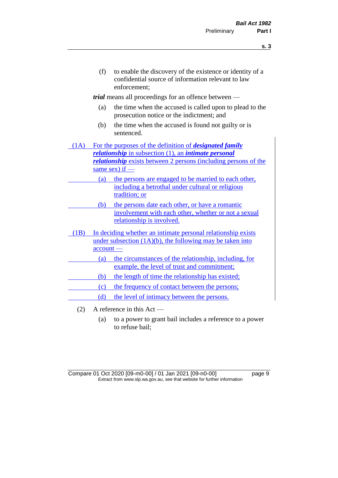(f) to enable the discovery of the existence or identity of a confidential source of information relevant to law enforcement;

*trial* means all proceedings for an offence between —

- (a) the time when the accused is called upon to plead to the prosecution notice or the indictment; and
- (b) the time when the accused is found not guilty or is sentenced.
- (1A) For the purposes of the definition of *designated family relationship* in subsection (1), an *intimate personal relationship* exists between 2 persons (including persons of the same sex) if —
	- (a) the persons are engaged to be married to each other, including a betrothal under cultural or religious tradition; or
		- (b) the persons date each other, or have a romantic involvement with each other, whether or not a sexual relationship is involved.
- (1B) In deciding whether an intimate personal relationship exists under subsection  $(1A)(b)$ , the following may be taken into account —
	- (a) the circumstances of the relationship, including, for example, the level of trust and commitment;
		- (b) the length of time the relationship has existed;
		- (c) the frequency of contact between the persons;
		- (d) the level of intimacy between the persons.
	- (2) A reference in this Act
		- (a) to a power to grant bail includes a reference to a power to refuse bail;

Compare 01 Oct 2020 [09-m0-00] / 01 Jan 2021 [09-n0-00] page 9 Extract from www.slp.wa.gov.au, see that website for further information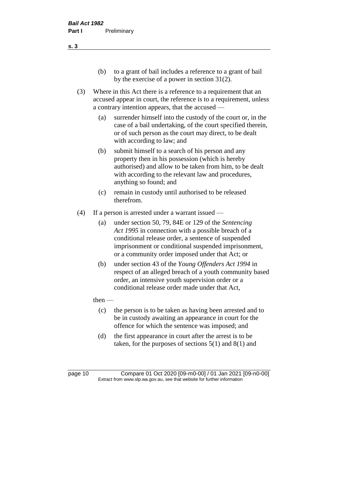- (b) to a grant of bail includes a reference to a grant of bail by the exercise of a power in section 31(2).
- (3) Where in this Act there is a reference to a requirement that an accused appear in court, the reference is to a requirement, unless a contrary intention appears, that the accused —
	- (a) surrender himself into the custody of the court or, in the case of a bail undertaking, of the court specified therein, or of such person as the court may direct, to be dealt with according to law; and
	- (b) submit himself to a search of his person and any property then in his possession (which is hereby authorised) and allow to be taken from him, to be dealt with according to the relevant law and procedures, anything so found; and
	- (c) remain in custody until authorised to be released therefrom.
- (4) If a person is arrested under a warrant issued
	- (a) under section 50, 79, 84E or 129 of the *Sentencing Act 1995* in connection with a possible breach of a conditional release order, a sentence of suspended imprisonment or conditional suspended imprisonment, or a community order imposed under that Act; or
	- (b) under section 43 of the *Young Offenders Act 1994* in respect of an alleged breach of a youth community based order, an intensive youth supervision order or a conditional release order made under that Act,
	- $then$ 
		- (c) the person is to be taken as having been arrested and to be in custody awaiting an appearance in court for the offence for which the sentence was imposed; and
		- (d) the first appearance in court after the arrest is to be taken, for the purposes of sections  $5(1)$  and  $8(1)$  and

page 10 Compare 01 Oct 2020 [09-m0-00] / 01 Jan 2021 [09-n0-00] Extract from www.slp.wa.gov.au, see that website for further information

**s. 3**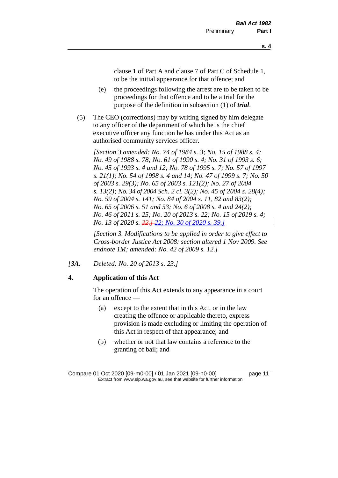clause 1 of Part A and clause 7 of Part C of Schedule 1, to be the initial appearance for that offence; and

- (e) the proceedings following the arrest are to be taken to be proceedings for that offence and to be a trial for the purpose of the definition in subsection (1) of *trial*.
- (5) The CEO (corrections) may by writing signed by him delegate to any officer of the department of which he is the chief executive officer any function he has under this Act as an authorised community services officer.

*[Section 3 amended: No. 74 of 1984 s. 3; No. 15 of 1988 s. 4; No. 49 of 1988 s. 78; No. 61 of 1990 s. 4; No. 31 of 1993 s. 6; No. 45 of 1993 s. 4 and 12; No. 78 of 1995 s. 7; No. 57 of 1997 s. 21(1); No. 54 of 1998 s. 4 and 14; No. 47 of 1999 s. 7; No. 50 of 2003 s. 29(3); No. 65 of 2003 s. 121(2); No. 27 of 2004 s. 13(2); No. 34 of 2004 Sch. 2 cl. 3(2); No. 45 of 2004 s. 28(4); No. 59 of 2004 s. 141; No. 84 of 2004 s. 11, 82 and 83(2); No. 65 of 2006 s. 51 and 53; No. 6 of 2008 s. 4 and 24(2); No. 46 of 2011 s. 25; No. 20 of 2013 s. 22; No. 15 of 2019 s. 4; No. 13 of 2020 s. 22.] 22; No. 30 of 2020 s. 39.]*

*[Section 3. Modifications to be applied in order to give effect to Cross-border Justice Act 2008: section altered 1 Nov 2009. See endnote 1M; amended: No. 42 of 2009 s. 12.]*

*[3A. Deleted: No. 20 of 2013 s. 23.]*

## **4. Application of this Act**

The operation of this Act extends to any appearance in a court for an offence —

- (a) except to the extent that in this Act, or in the law creating the offence or applicable thereto, express provision is made excluding or limiting the operation of this Act in respect of that appearance; and
- (b) whether or not that law contains a reference to the granting of bail; and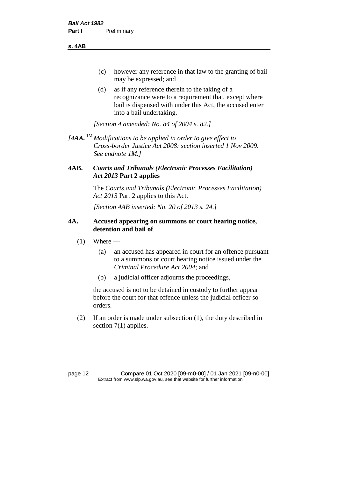**s. 4AB**

- (c) however any reference in that law to the granting of bail may be expressed; and
- (d) as if any reference therein to the taking of a recognizance were to a requirement that, except where bail is dispensed with under this Act, the accused enter into a bail undertaking.

*[Section 4 amended: No. 84 of 2004 s. 82.]*

*[4AA.* 1M *Modifications to be applied in order to give effect to Cross-border Justice Act 2008: section inserted 1 Nov 2009. See endnote 1M.]*

# **4AB.** *Courts and Tribunals (Electronic Processes Facilitation) Act 2013* **Part 2 applies**

The *Courts and Tribunals (Electronic Processes Facilitation) Act 2013* Part 2 applies to this Act.

*[Section 4AB inserted: No. 20 of 2013 s. 24.]*

# **4A. Accused appearing on summons or court hearing notice, detention and bail of**

- $(1)$  Where
	- (a) an accused has appeared in court for an offence pursuant to a summons or court hearing notice issued under the *Criminal Procedure Act 2004*; and
	- (b) a judicial officer adjourns the proceedings,

the accused is not to be detained in custody to further appear before the court for that offence unless the judicial officer so orders.

(2) If an order is made under subsection (1), the duty described in section 7(1) applies.

page 12 Compare 01 Oct 2020 [09-m0-00] / 01 Jan 2021 [09-n0-00] Extract from www.slp.wa.gov.au, see that website for further information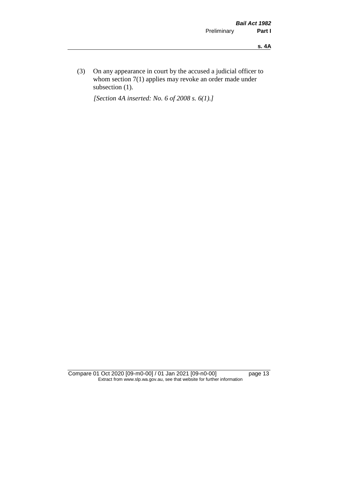(3) On any appearance in court by the accused a judicial officer to whom section 7(1) applies may revoke an order made under subsection (1).

*[Section 4A inserted: No. 6 of 2008 s. 6(1).]*

Compare 01 Oct 2020 [09-m0-00] / 01 Jan 2021 [09-n0-00] page 13 Extract from www.slp.wa.gov.au, see that website for further information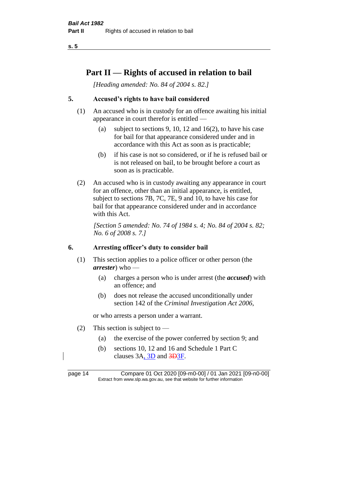# **Part II — Rights of accused in relation to bail**

*[Heading amended: No. 84 of 2004 s. 82.]* 

# **5. Accused's rights to have bail considered**

- (1) An accused who is in custody for an offence awaiting his initial appearance in court therefor is entitled —
	- (a) subject to sections 9, 10, 12 and 16(2), to have his case for bail for that appearance considered under and in accordance with this Act as soon as is practicable;
	- (b) if his case is not so considered, or if he is refused bail or is not released on bail, to be brought before a court as soon as is practicable.
- (2) An accused who is in custody awaiting any appearance in court for an offence, other than an initial appearance, is entitled, subject to sections 7B, 7C, 7E, 9 and 10, to have his case for bail for that appearance considered under and in accordance with this Act.

*[Section 5 amended: No. 74 of 1984 s. 4; No. 84 of 2004 s. 82; No. 6 of 2008 s. 7.]* 

#### **6. Arresting officer's duty to consider bail**

- (1) This section applies to a police officer or other person (the *arrester*) who —
	- (a) charges a person who is under arrest (the *accused*) with an offence; and
	- (b) does not release the accused unconditionally under section 142 of the *Criminal Investigation Act 2006*,

or who arrests a person under a warrant.

- (2) This section is subject to  $-$ 
	- (a) the exercise of the power conferred by section 9; and
	- (b) sections 10, 12 and 16 and Schedule 1 Part C clauses 3A, 3D and 3D3F.

page 14 Compare 01 Oct 2020 [09-m0-00] / 01 Jan 2021 [09-n0-00] Extract from www.slp.wa.gov.au, see that website for further information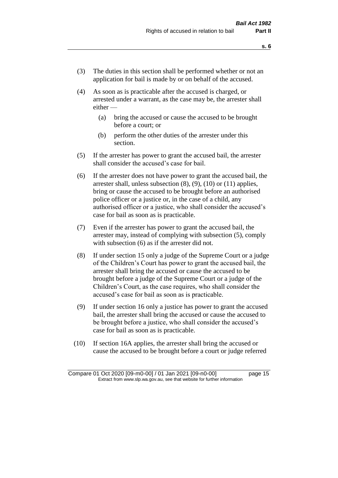- (3) The duties in this section shall be performed whether or not an application for bail is made by or on behalf of the accused.
- (4) As soon as is practicable after the accused is charged, or arrested under a warrant, as the case may be, the arrester shall either —
	- (a) bring the accused or cause the accused to be brought before a court; or
	- (b) perform the other duties of the arrester under this section.
- (5) If the arrester has power to grant the accused bail, the arrester shall consider the accused's case for bail.
- (6) If the arrester does not have power to grant the accused bail, the arrester shall, unless subsection (8), (9), (10) or (11) applies, bring or cause the accused to be brought before an authorised police officer or a justice or, in the case of a child, any authorised officer or a justice, who shall consider the accused's case for bail as soon as is practicable.
- (7) Even if the arrester has power to grant the accused bail, the arrester may, instead of complying with subsection (5), comply with subsection  $(6)$  as if the arrester did not.
- (8) If under section 15 only a judge of the Supreme Court or a judge of the Children's Court has power to grant the accused bail, the arrester shall bring the accused or cause the accused to be brought before a judge of the Supreme Court or a judge of the Children's Court, as the case requires, who shall consider the accused's case for bail as soon as is practicable.
- (9) If under section 16 only a justice has power to grant the accused bail, the arrester shall bring the accused or cause the accused to be brought before a justice, who shall consider the accused's case for bail as soon as is practicable.
- (10) If section 16A applies, the arrester shall bring the accused or cause the accused to be brought before a court or judge referred

Compare 01 Oct 2020 [09-m0-00] / 01 Jan 2021 [09-n0-00] page 15 Extract from www.slp.wa.gov.au, see that website for further information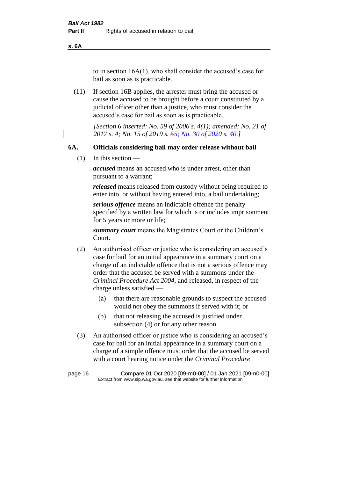**s. 6A**

to in section 16A(1), who shall consider the accused's case for bail as soon as is practicable.

(11) If section 16B applies, the arrester must bring the accused or cause the accused to be brought before a court constituted by a judicial officer other than a justice, who must consider the accused's case for bail as soon as is practicable.

> *[Section 6 inserted: No. 59 of 2006 s. 4(1); amended: No. 21 of 2017 s. 4; No. 15 of 2019 s. 55; No. 30 of 2020 s. 40.]*

#### **6A. Officials considering bail may order release without bail**

 $(1)$  In this section —

*accused* means an accused who is under arrest, other than pursuant to a warrant;

*released* means released from custody without being required to enter into, or without having entered into, a bail undertaking;

*serious offence* means an indictable offence the penalty specified by a written law for which is or includes imprisonment for 5 years or more or life;

*summary court* means the Magistrates Court or the Children's Court.

- (2) An authorised officer or justice who is considering an accused's case for bail for an initial appearance in a summary court on a charge of an indictable offence that is not a serious offence may order that the accused be served with a summons under the *Criminal Procedure Act 2004*, and released, in respect of the charge unless satisfied —
	- (a) that there are reasonable grounds to suspect the accused would not obey the summons if served with it; or
	- (b) that not releasing the accused is justified under subsection (4) or for any other reason.
- (3) An authorised officer or justice who is considering an accused's case for bail for an initial appearance in a summary court on a charge of a simple offence must order that the accused be served with a court hearing notice under the *Criminal Procedure*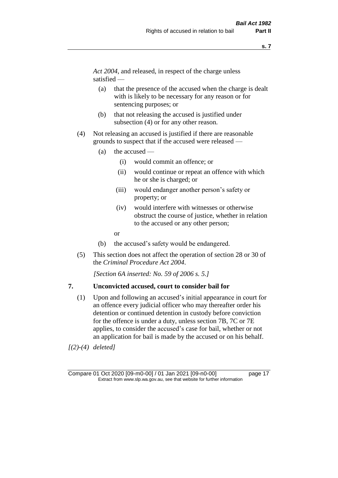*Act 2004*, and released, in respect of the charge unless satisfied —

- (a) that the presence of the accused when the charge is dealt with is likely to be necessary for any reason or for sentencing purposes; or
- (b) that not releasing the accused is justified under subsection (4) or for any other reason.
- (4) Not releasing an accused is justified if there are reasonable grounds to suspect that if the accused were released —
	- (a) the accused
		- (i) would commit an offence; or
		- (ii) would continue or repeat an offence with which he or she is charged; or
		- (iii) would endanger another person's safety or property; or
		- (iv) would interfere with witnesses or otherwise obstruct the course of justice, whether in relation to the accused or any other person;
		- or
	- (b) the accused's safety would be endangered.
- (5) This section does not affect the operation of section 28 or 30 of the *Criminal Procedure Act 2004*.

*[Section 6A inserted: No. 59 of 2006 s. 5.]* 

#### **7. Unconvicted accused, court to consider bail for**

(1) Upon and following an accused's initial appearance in court for an offence every judicial officer who may thereafter order his detention or continued detention in custody before conviction for the offence is under a duty, unless section 7B, 7C or 7E applies, to consider the accused's case for bail, whether or not an application for bail is made by the accused or on his behalf.

*[(2)-(4) deleted]*

Compare 01 Oct 2020 [09-m0-00] / 01 Jan 2021 [09-n0-00] page 17 Extract from www.slp.wa.gov.au, see that website for further information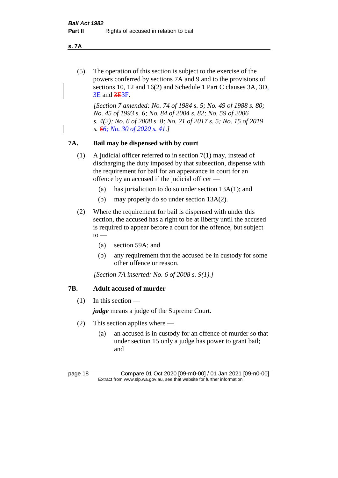**s. 7A**

(5) The operation of this section is subject to the exercise of the powers conferred by sections 7A and 9 and to the provisions of sections 10, 12 and 16(2) and Schedule 1 Part C clauses 3A, 3D, 3E and 3E3F.

*[Section 7 amended: No. 74 of 1984 s. 5; No. 49 of 1988 s. 80; No. 45 of 1993 s. 6; No. 84 of 2004 s. 82; No. 59 of 2006 s. 4(2); No. 6 of 2008 s. 8; No. 21 of 2017 s. 5; No. 15 of 2019 s. 66; No. 30 of 2020 s. 41.]* 

#### **7A. Bail may be dispensed with by court**

- (1) A judicial officer referred to in section 7(1) may, instead of discharging the duty imposed by that subsection, dispense with the requirement for bail for an appearance in court for an offence by an accused if the judicial officer —
	- (a) has jurisdiction to do so under section 13A(1); and
	- (b) may properly do so under section 13A(2).
- (2) Where the requirement for bail is dispensed with under this section, the accused has a right to be at liberty until the accused is required to appear before a court for the offence, but subject  $to -$ 
	- (a) section 59A; and
	- (b) any requirement that the accused be in custody for some other offence or reason.

*[Section 7A inserted: No. 6 of 2008 s. 9(1).]*

# **7B. Adult accused of murder**

 $(1)$  In this section —

*judge* means a judge of the Supreme Court.

- (2) This section applies where
	- (a) an accused is in custody for an offence of murder so that under section 15 only a judge has power to grant bail; and

page 18 Compare 01 Oct 2020 [09-m0-00] / 01 Jan 2021 [09-n0-00] Extract from www.slp.wa.gov.au, see that website for further information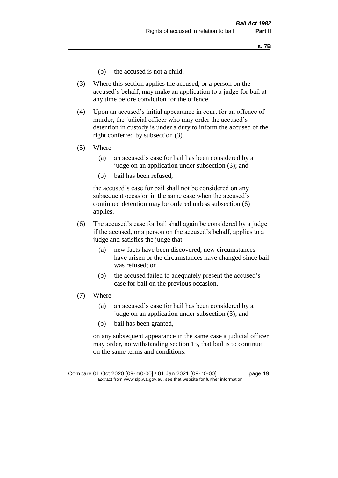- (b) the accused is not a child.
- (3) Where this section applies the accused, or a person on the accused's behalf, may make an application to a judge for bail at any time before conviction for the offence.
- (4) Upon an accused's initial appearance in court for an offence of murder, the judicial officer who may order the accused's detention in custody is under a duty to inform the accused of the right conferred by subsection (3).
- $(5)$  Where
	- (a) an accused's case for bail has been considered by a judge on an application under subsection (3); and
	- (b) bail has been refused,

the accused's case for bail shall not be considered on any subsequent occasion in the same case when the accused's continued detention may be ordered unless subsection (6) applies.

- (6) The accused's case for bail shall again be considered by a judge if the accused, or a person on the accused's behalf, applies to a judge and satisfies the judge that —
	- (a) new facts have been discovered, new circumstances have arisen or the circumstances have changed since bail was refused; or
	- (b) the accused failed to adequately present the accused's case for bail on the previous occasion.
- $(7)$  Where
	- (a) an accused's case for bail has been considered by a judge on an application under subsection (3); and
	- (b) bail has been granted,

on any subsequent appearance in the same case a judicial officer may order, notwithstanding section 15, that bail is to continue on the same terms and conditions.

Compare 01 Oct 2020 [09-m0-00] / 01 Jan 2021 [09-n0-00] page 19 Extract from www.slp.wa.gov.au, see that website for further information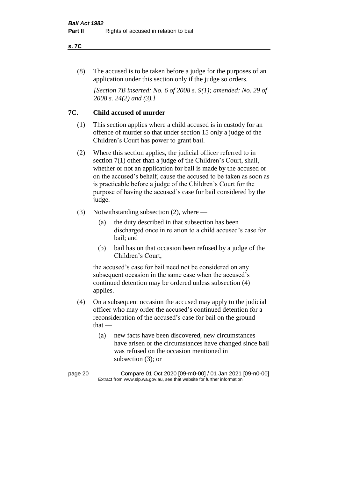#### **s. 7C**

(8) The accused is to be taken before a judge for the purposes of an application under this section only if the judge so orders.

*[Section 7B inserted: No. 6 of 2008 s. 9(1); amended: No. 29 of 2008 s. 24(2) and (3).]*

# **7C. Child accused of murder**

- (1) This section applies where a child accused is in custody for an offence of murder so that under section 15 only a judge of the Children's Court has power to grant bail.
- (2) Where this section applies, the judicial officer referred to in section 7(1) other than a judge of the Children's Court, shall, whether or not an application for bail is made by the accused or on the accused's behalf, cause the accused to be taken as soon as is practicable before a judge of the Children's Court for the purpose of having the accused's case for bail considered by the judge.
- (3) Notwithstanding subsection (2), where
	- (a) the duty described in that subsection has been discharged once in relation to a child accused's case for bail; and
	- (b) bail has on that occasion been refused by a judge of the Children's Court,

the accused's case for bail need not be considered on any subsequent occasion in the same case when the accused's continued detention may be ordered unless subsection (4) applies.

- (4) On a subsequent occasion the accused may apply to the judicial officer who may order the accused's continued detention for a reconsideration of the accused's case for bail on the ground  $that -$ 
	- (a) new facts have been discovered, new circumstances have arisen or the circumstances have changed since bail was refused on the occasion mentioned in subsection (3); or

page 20 Compare 01 Oct 2020 [09-m0-00] / 01 Jan 2021 [09-n0-00] Extract from www.slp.wa.gov.au, see that website for further information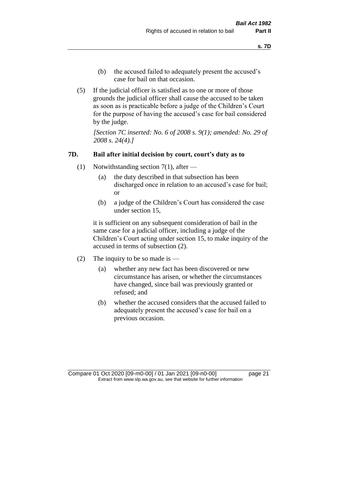- (b) the accused failed to adequately present the accused's case for bail on that occasion.
- (5) If the judicial officer is satisfied as to one or more of those grounds the judicial officer shall cause the accused to be taken as soon as is practicable before a judge of the Children's Court for the purpose of having the accused's case for bail considered by the judge.

*[Section 7C inserted: No. 6 of 2008 s. 9(1); amended: No. 29 of 2008 s. 24(4).]*

#### **7D. Bail after initial decision by court, court's duty as to**

- (1) Notwithstanding section 7(1), after
	- (a) the duty described in that subsection has been discharged once in relation to an accused's case for bail; or
	- (b) a judge of the Children's Court has considered the case under section 15,

it is sufficient on any subsequent consideration of bail in the same case for a judicial officer, including a judge of the Children's Court acting under section 15, to make inquiry of the accused in terms of subsection (2).

- (2) The inquiry to be so made is  $-$ 
	- (a) whether any new fact has been discovered or new circumstance has arisen, or whether the circumstances have changed, since bail was previously granted or refused; and
	- (b) whether the accused considers that the accused failed to adequately present the accused's case for bail on a previous occasion.

Compare 01 Oct 2020 [09-m0-00] / 01 Jan 2021 [09-n0-00] page 21 Extract from www.slp.wa.gov.au, see that website for further information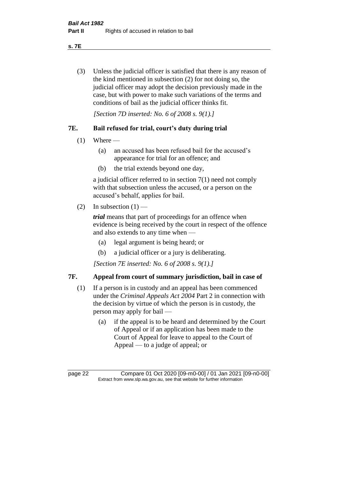**s. 7E**

(3) Unless the judicial officer is satisfied that there is any reason of the kind mentioned in subsection (2) for not doing so, the judicial officer may adopt the decision previously made in the case, but with power to make such variations of the terms and conditions of bail as the judicial officer thinks fit.

*[Section 7D inserted: No. 6 of 2008 s. 9(1).]*

# **7E. Bail refused for trial, court's duty during trial**

- $(1)$  Where
	- (a) an accused has been refused bail for the accused's appearance for trial for an offence; and
	- (b) the trial extends beyond one day,

a judicial officer referred to in section 7(1) need not comply with that subsection unless the accused, or a person on the accused's behalf, applies for bail.

(2) In subsection  $(1)$  —

*trial* means that part of proceedings for an offence when evidence is being received by the court in respect of the offence and also extends to any time when —

- (a) legal argument is being heard; or
- (b) a judicial officer or a jury is deliberating.

*[Section 7E inserted: No. 6 of 2008 s. 9(1).]*

# **7F. Appeal from court of summary jurisdiction, bail in case of**

- (1) If a person is in custody and an appeal has been commenced under the *Criminal Appeals Act 2004* Part 2 in connection with the decision by virtue of which the person is in custody, the person may apply for bail —
	- (a) if the appeal is to be heard and determined by the Court of Appeal or if an application has been made to the Court of Appeal for leave to appeal to the Court of Appeal — to a judge of appeal; or

page 22 Compare 01 Oct 2020 [09-m0-00] / 01 Jan 2021 [09-n0-00] Extract from www.slp.wa.gov.au, see that website for further information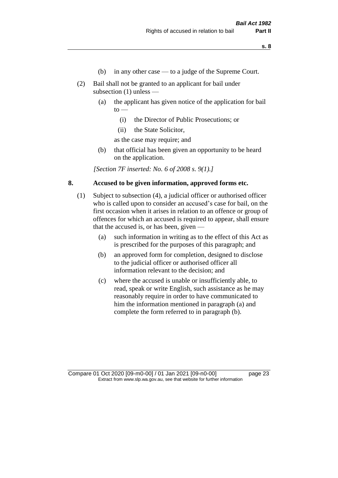- (b) in any other case to a judge of the Supreme Court.
- (2) Bail shall not be granted to an applicant for bail under subsection (1) unless —
	- (a) the applicant has given notice of the application for bail  $to -$ 
		- (i) the Director of Public Prosecutions; or
		- (ii) the State Solicitor,

as the case may require; and

(b) that official has been given an opportunity to be heard on the application.

*[Section 7F inserted: No. 6 of 2008 s. 9(1).]*

## **8. Accused to be given information, approved forms etc.**

- (1) Subject to subsection (4), a judicial officer or authorised officer who is called upon to consider an accused's case for bail, on the first occasion when it arises in relation to an offence or group of offences for which an accused is required to appear, shall ensure that the accused is, or has been, given —
	- (a) such information in writing as to the effect of this Act as is prescribed for the purposes of this paragraph; and
	- (b) an approved form for completion, designed to disclose to the judicial officer or authorised officer all information relevant to the decision; and
	- (c) where the accused is unable or insufficiently able, to read, speak or write English, such assistance as he may reasonably require in order to have communicated to him the information mentioned in paragraph (a) and complete the form referred to in paragraph (b).

Compare 01 Oct 2020 [09-m0-00] / 01 Jan 2021 [09-n0-00] page 23 Extract from www.slp.wa.gov.au, see that website for further information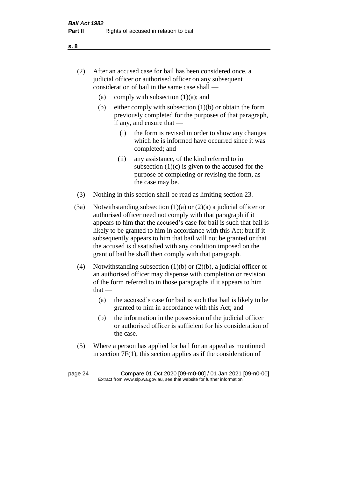- (2) After an accused case for bail has been considered once, a judicial officer or authorised officer on any subsequent consideration of bail in the same case shall —
	- (a) comply with subsection  $(1)(a)$ ; and
	- (b) either comply with subsection  $(1)(b)$  or obtain the form previously completed for the purposes of that paragraph, if any, and ensure that —
		- (i) the form is revised in order to show any changes which he is informed have occurred since it was completed; and
		- (ii) any assistance, of the kind referred to in subsection  $(1)(c)$  is given to the accused for the purpose of completing or revising the form, as the case may be.
- (3) Nothing in this section shall be read as limiting section 23.
- (3a) Notwithstanding subsection  $(1)(a)$  or  $(2)(a)$  a judicial officer or authorised officer need not comply with that paragraph if it appears to him that the accused's case for bail is such that bail is likely to be granted to him in accordance with this Act; but if it subsequently appears to him that bail will not be granted or that the accused is dissatisfied with any condition imposed on the grant of bail he shall then comply with that paragraph.
- (4) Notwithstanding subsection (1)(b) or (2)(b), a judicial officer or an authorised officer may dispense with completion or revision of the form referred to in those paragraphs if it appears to him  $that -$ 
	- (a) the accused's case for bail is such that bail is likely to be granted to him in accordance with this Act; and
	- (b) the information in the possession of the judicial officer or authorised officer is sufficient for his consideration of the case.
- (5) Where a person has applied for bail for an appeal as mentioned in section 7F(1), this section applies as if the consideration of

page 24 Compare 01 Oct 2020 [09-m0-00] / 01 Jan 2021 [09-n0-00] Extract from www.slp.wa.gov.au, see that website for further information

**s. 8**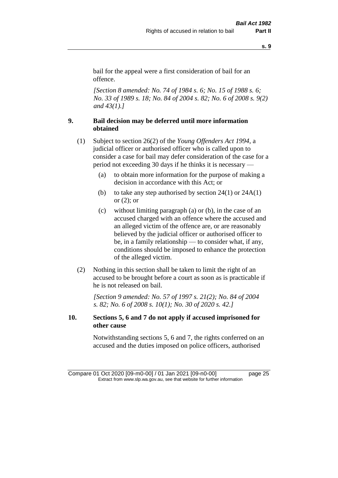bail for the appeal were a first consideration of bail for an offence.

*[Section 8 amended: No. 74 of 1984 s. 6; No. 15 of 1988 s. 6; No. 33 of 1989 s. 18; No. 84 of 2004 s. 82; No. 6 of 2008 s. 9(2) and 43(1).]* 

# **9. Bail decision may be deferred until more information obtained**

- (1) Subject to section 26(2) of the *Young Offenders Act 1994*, a judicial officer or authorised officer who is called upon to consider a case for bail may defer consideration of the case for a period not exceeding 30 days if he thinks it is necessary —
	- (a) to obtain more information for the purpose of making a decision in accordance with this Act; or
	- (b) to take any step authorised by section  $24(1)$  or  $24A(1)$ or (2); or
	- (c) without limiting paragraph (a) or (b), in the case of an accused charged with an offence where the accused and an alleged victim of the offence are, or are reasonably believed by the judicial officer or authorised officer to be, in a family relationship — to consider what, if any, conditions should be imposed to enhance the protection of the alleged victim.
- (2) Nothing in this section shall be taken to limit the right of an accused to be brought before a court as soon as is practicable if he is not released on bail.

*[Section 9 amended: No. 57 of 1997 s. 21(2); No. 84 of 2004 s. 82; No. 6 of 2008 s. 10(1); No. 30 of 2020 s. 42.]*

# **10. Sections 5, 6 and 7 do not apply if accused imprisoned for other cause**

Notwithstanding sections 5, 6 and 7, the rights conferred on an accused and the duties imposed on police officers, authorised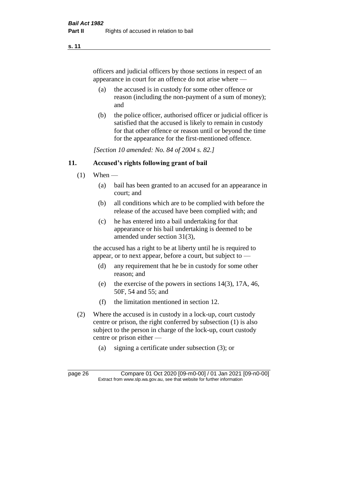officers and judicial officers by those sections in respect of an appearance in court for an offence do not arise where —

- (a) the accused is in custody for some other offence or reason (including the non-payment of a sum of money); and
- (b) the police officer, authorised officer or judicial officer is satisfied that the accused is likely to remain in custody for that other offence or reason until or beyond the time for the appearance for the first-mentioned offence.

*[Section 10 amended: No. 84 of 2004 s. 82.]*

#### **11. Accused's rights following grant of bail**

- $(1)$  When
	- (a) bail has been granted to an accused for an appearance in court; and
	- (b) all conditions which are to be complied with before the release of the accused have been complied with; and
	- (c) he has entered into a bail undertaking for that appearance or his bail undertaking is deemed to be amended under section 31(3),

the accused has a right to be at liberty until he is required to appear, or to next appear, before a court, but subject to —

- (d) any requirement that he be in custody for some other reason; and
- (e) the exercise of the powers in sections 14(3), 17A, 46, 50F, 54 and 55; and
- (f) the limitation mentioned in section 12.
- (2) Where the accused is in custody in a lock-up, court custody centre or prison, the right conferred by subsection (1) is also subject to the person in charge of the lock-up, court custody centre or prison either —
	- (a) signing a certificate under subsection (3); or

page 26 Compare 01 Oct 2020 [09-m0-00] / 01 Jan 2021 [09-n0-00] Extract from www.slp.wa.gov.au, see that website for further information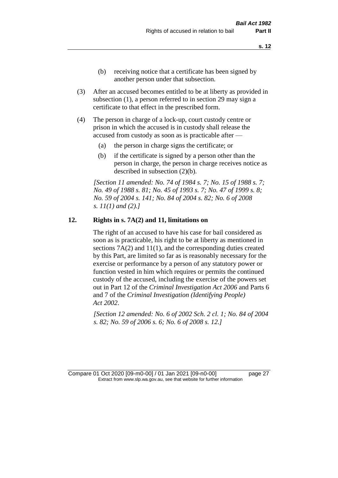- (b) receiving notice that a certificate has been signed by another person under that subsection.
- (3) After an accused becomes entitled to be at liberty as provided in subsection (1), a person referred to in section 29 may sign a certificate to that effect in the prescribed form.
- (4) The person in charge of a lock-up, court custody centre or prison in which the accused is in custody shall release the accused from custody as soon as is practicable after —
	- (a) the person in charge signs the certificate; or
	- (b) if the certificate is signed by a person other than the person in charge, the person in charge receives notice as described in subsection (2)(b).

*[Section 11 amended: No. 74 of 1984 s. 7; No. 15 of 1988 s. 7; No. 49 of 1988 s. 81; No. 45 of 1993 s. 7; No. 47 of 1999 s. 8; No. 59 of 2004 s. 141; No. 84 of 2004 s. 82; No. 6 of 2008 s. 11(1) and (2).]* 

#### **12. Rights in s. 7A(2) and 11, limitations on**

The right of an accused to have his case for bail considered as soon as is practicable, his right to be at liberty as mentioned in sections 7A(2) and 11(1), and the corresponding duties created by this Part, are limited so far as is reasonably necessary for the exercise or performance by a person of any statutory power or function vested in him which requires or permits the continued custody of the accused, including the exercise of the powers set out in Part 12 of the *Criminal Investigation Act 2006* and Parts 6 and 7 of the *Criminal Investigation (Identifying People) Act 2002*.

*[Section 12 amended: No. 6 of 2002 Sch. 2 cl. 1; No. 84 of 2004 s. 82; No. 59 of 2006 s. 6; No. 6 of 2008 s. 12.]*

Compare 01 Oct 2020 [09-m0-00] / 01 Jan 2021 [09-n0-00] page 27 Extract from www.slp.wa.gov.au, see that website for further information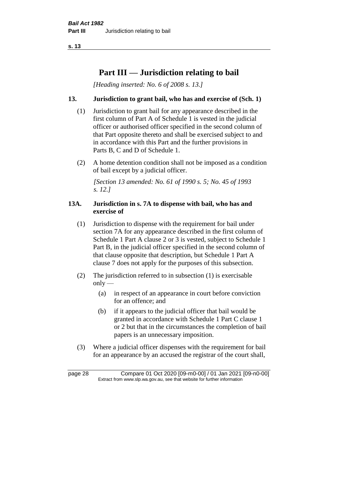# **Part III — Jurisdiction relating to bail**

*[Heading inserted: No. 6 of 2008 s. 13.]*

# **13. Jurisdiction to grant bail, who has and exercise of (Sch. 1)**

- (1) Jurisdiction to grant bail for any appearance described in the first column of Part A of Schedule 1 is vested in the judicial officer or authorised officer specified in the second column of that Part opposite thereto and shall be exercised subject to and in accordance with this Part and the further provisions in Parts B, C and D of Schedule 1.
- (2) A home detention condition shall not be imposed as a condition of bail except by a judicial officer.

*[Section 13 amended: No. 61 of 1990 s. 5; No. 45 of 1993 s. 12.]* 

## **13A. Jurisdiction in s. 7A to dispense with bail, who has and exercise of**

- (1) Jurisdiction to dispense with the requirement for bail under section 7A for any appearance described in the first column of Schedule 1 Part A clause 2 or 3 is vested, subject to Schedule 1 Part B, in the judicial officer specified in the second column of that clause opposite that description, but Schedule 1 Part A clause 7 does not apply for the purposes of this subsection.
- (2) The jurisdiction referred to in subsection (1) is exercisable  $only$ —
	- (a) in respect of an appearance in court before conviction for an offence; and
	- (b) if it appears to the judicial officer that bail would be granted in accordance with Schedule 1 Part C clause 1 or 2 but that in the circumstances the completion of bail papers is an unnecessary imposition.
- (3) Where a judicial officer dispenses with the requirement for bail for an appearance by an accused the registrar of the court shall,

page 28 Compare 01 Oct 2020 [09-m0-00] / 01 Jan 2021 [09-n0-00] Extract from www.slp.wa.gov.au, see that website for further information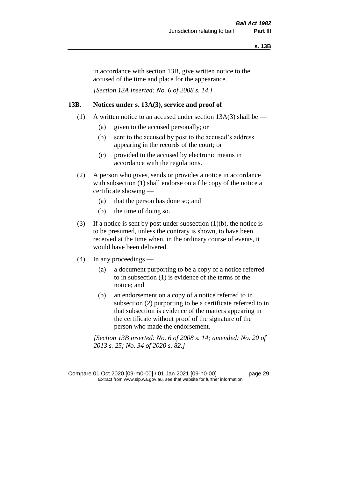in accordance with section 13B, give written notice to the accused of the time and place for the appearance.

*[Section 13A inserted: No. 6 of 2008 s. 14.]*

## **13B. Notices under s. 13A(3), service and proof of**

- (1) A written notice to an accused under section  $13A(3)$  shall be
	- (a) given to the accused personally; or
	- (b) sent to the accused by post to the accused's address appearing in the records of the court; or
	- (c) provided to the accused by electronic means in accordance with the regulations.
- (2) A person who gives, sends or provides a notice in accordance with subsection (1) shall endorse on a file copy of the notice a certificate showing —
	- (a) that the person has done so; and
	- (b) the time of doing so.
- (3) If a notice is sent by post under subsection  $(1)(b)$ , the notice is to be presumed, unless the contrary is shown, to have been received at the time when, in the ordinary course of events, it would have been delivered.
- (4) In any proceedings
	- (a) a document purporting to be a copy of a notice referred to in subsection (1) is evidence of the terms of the notice; and
	- (b) an endorsement on a copy of a notice referred to in subsection (2) purporting to be a certificate referred to in that subsection is evidence of the matters appearing in the certificate without proof of the signature of the person who made the endorsement.

*[Section 13B inserted: No. 6 of 2008 s. 14; amended: No. 20 of 2013 s. 25; No. 34 of 2020 s. 82.]*

Compare 01 Oct 2020 [09-m0-00] / 01 Jan 2021 [09-n0-00] page 29 Extract from www.slp.wa.gov.au, see that website for further information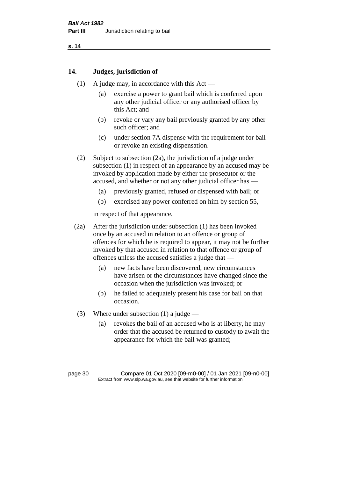#### **14. Judges, jurisdiction of**

- (1) A judge may, in accordance with this  $Act -$ 
	- (a) exercise a power to grant bail which is conferred upon any other judicial officer or any authorised officer by this Act; and
	- (b) revoke or vary any bail previously granted by any other such officer; and
	- (c) under section 7A dispense with the requirement for bail or revoke an existing dispensation.
- (2) Subject to subsection (2a), the jurisdiction of a judge under subsection (1) in respect of an appearance by an accused may be invoked by application made by either the prosecutor or the accused, and whether or not any other judicial officer has —
	- (a) previously granted, refused or dispensed with bail; or
	- (b) exercised any power conferred on him by section 55,

in respect of that appearance.

- (2a) After the jurisdiction under subsection (1) has been invoked once by an accused in relation to an offence or group of offences for which he is required to appear, it may not be further invoked by that accused in relation to that offence or group of offences unless the accused satisfies a judge that —
	- (a) new facts have been discovered, new circumstances have arisen or the circumstances have changed since the occasion when the jurisdiction was invoked; or
	- (b) he failed to adequately present his case for bail on that occasion.
- (3) Where under subsection (1) a judge
	- (a) revokes the bail of an accused who is at liberty, he may order that the accused be returned to custody to await the appearance for which the bail was granted;

page 30 Compare 01 Oct 2020 [09-m0-00] / 01 Jan 2021 [09-n0-00] Extract from www.slp.wa.gov.au, see that website for further information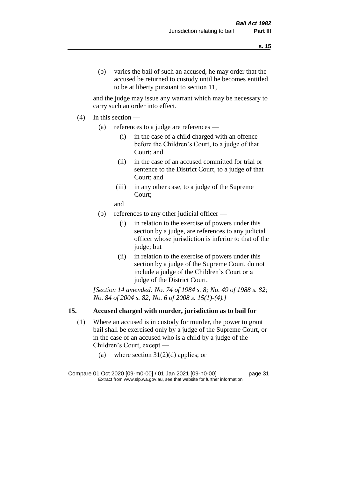and the judge may issue any warrant which may be necessary to carry such an order into effect.

- $(4)$  In this section
	- (a) references to a judge are references
		- (i) in the case of a child charged with an offence before the Children's Court, to a judge of that Court; and
		- (ii) in the case of an accused committed for trial or sentence to the District Court, to a judge of that Court; and
		- (iii) in any other case, to a judge of the Supreme Court;
		- and
	- (b) references to any other judicial officer
		- (i) in relation to the exercise of powers under this section by a judge, are references to any judicial officer whose jurisdiction is inferior to that of the judge; but
		- (ii) in relation to the exercise of powers under this section by a judge of the Supreme Court, do not include a judge of the Children's Court or a judge of the District Court.

*[Section 14 amended: No. 74 of 1984 s. 8; No. 49 of 1988 s. 82; No. 84 of 2004 s. 82; No. 6 of 2008 s. 15(1)-(4).]* 

# **15. Accused charged with murder, jurisdiction as to bail for**

- (1) Where an accused is in custody for murder, the power to grant bail shall be exercised only by a judge of the Supreme Court, or in the case of an accused who is a child by a judge of the Children's Court, except —
	- (a) where section  $31(2)(d)$  applies; or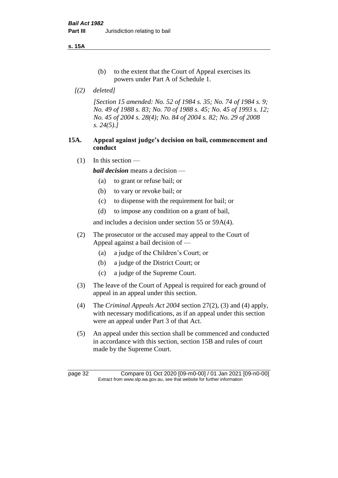**s. 15A**

- (b) to the extent that the Court of Appeal exercises its powers under Part A of Schedule 1.
- *[(2) deleted]*

*[Section 15 amended: No. 52 of 1984 s. 35; No. 74 of 1984 s. 9; No. 49 of 1988 s. 83; No. 70 of 1988 s. 45; No. 45 of 1993 s. 12; No. 45 of 2004 s. 28(4); No. 84 of 2004 s. 82; No. 29 of 2008 s. 24(5).]* 

# **15A. Appeal against judge's decision on bail, commencement and conduct**

 $(1)$  In this section —

*bail decision* means a decision —

- (a) to grant or refuse bail; or
- (b) to vary or revoke bail; or
- (c) to dispense with the requirement for bail; or
- (d) to impose any condition on a grant of bail,

and includes a decision under section 55 or 59A(4).

- (2) The prosecutor or the accused may appeal to the Court of Appeal against a bail decision of —
	- (a) a judge of the Children's Court; or
	- (b) a judge of the District Court; or
	- (c) a judge of the Supreme Court.
- (3) The leave of the Court of Appeal is required for each ground of appeal in an appeal under this section.
- (4) The *Criminal Appeals Act 2004* section 27(2), (3) and (4) apply, with necessary modifications, as if an appeal under this section were an appeal under Part 3 of that Act.
- (5) An appeal under this section shall be commenced and conducted in accordance with this section, section 15B and rules of court made by the Supreme Court.

page 32 Compare 01 Oct 2020 [09-m0-00] / 01 Jan 2021 [09-n0-00] Extract from www.slp.wa.gov.au, see that website for further information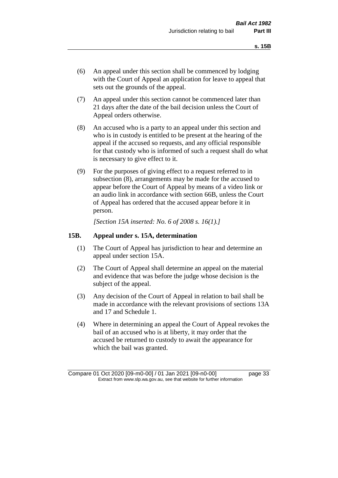- (6) An appeal under this section shall be commenced by lodging with the Court of Appeal an application for leave to appeal that sets out the grounds of the appeal.
- (7) An appeal under this section cannot be commenced later than 21 days after the date of the bail decision unless the Court of Appeal orders otherwise.
- (8) An accused who is a party to an appeal under this section and who is in custody is entitled to be present at the hearing of the appeal if the accused so requests, and any official responsible for that custody who is informed of such a request shall do what is necessary to give effect to it.
- (9) For the purposes of giving effect to a request referred to in subsection (8), arrangements may be made for the accused to appear before the Court of Appeal by means of a video link or an audio link in accordance with section 66B, unless the Court of Appeal has ordered that the accused appear before it in person.

*[Section 15A inserted: No. 6 of 2008 s. 16(1).]*

#### **15B. Appeal under s. 15A, determination**

- (1) The Court of Appeal has jurisdiction to hear and determine an appeal under section 15A.
- (2) The Court of Appeal shall determine an appeal on the material and evidence that was before the judge whose decision is the subject of the appeal.
- (3) Any decision of the Court of Appeal in relation to bail shall be made in accordance with the relevant provisions of sections 13A and 17 and Schedule 1.
- (4) Where in determining an appeal the Court of Appeal revokes the bail of an accused who is at liberty, it may order that the accused be returned to custody to await the appearance for which the bail was granted.

Compare 01 Oct 2020 [09-m0-00] / 01 Jan 2021 [09-n0-00] page 33 Extract from www.slp.wa.gov.au, see that website for further information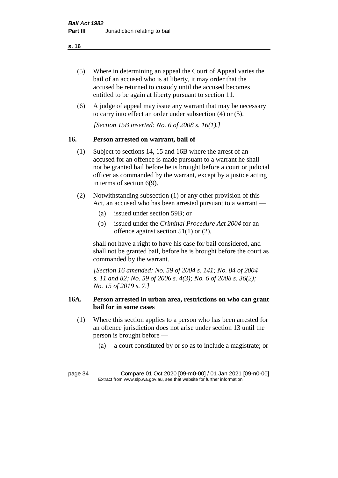- (5) Where in determining an appeal the Court of Appeal varies the bail of an accused who is at liberty, it may order that the accused be returned to custody until the accused becomes entitled to be again at liberty pursuant to section 11.
- (6) A judge of appeal may issue any warrant that may be necessary to carry into effect an order under subsection (4) or (5).

*[Section 15B inserted: No. 6 of 2008 s. 16(1).]*

# **16. Person arrested on warrant, bail of**

- (1) Subject to sections 14, 15 and 16B where the arrest of an accused for an offence is made pursuant to a warrant he shall not be granted bail before he is brought before a court or judicial officer as commanded by the warrant, except by a justice acting in terms of section 6(9).
- (2) Notwithstanding subsection (1) or any other provision of this Act, an accused who has been arrested pursuant to a warrant —
	- (a) issued under section 59B; or
	- (b) issued under the *Criminal Procedure Act 2004* for an offence against section 51(1) or (2),

shall not have a right to have his case for bail considered, and shall not be granted bail, before he is brought before the court as commanded by the warrant.

*[Section 16 amended: No. 59 of 2004 s. 141; No. 84 of 2004 s. 11 and 82; No. 59 of 2006 s. 4(3); No. 6 of 2008 s. 36(2); No. 15 of 2019 s. 7.]*

# **16A. Person arrested in urban area, restrictions on who can grant bail for in some cases**

- (1) Where this section applies to a person who has been arrested for an offence jurisdiction does not arise under section 13 until the person is brought before —
	- (a) a court constituted by or so as to include a magistrate; or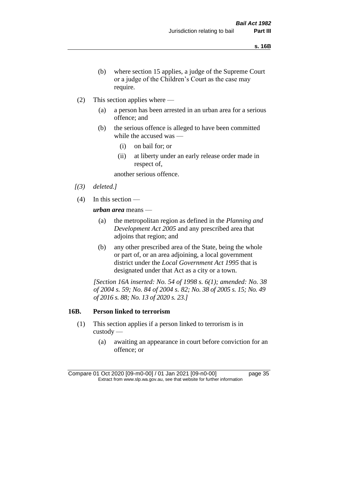- (b) where section 15 applies, a judge of the Supreme Court or a judge of the Children's Court as the case may require.
- (2) This section applies where
	- (a) a person has been arrested in an urban area for a serious offence; and
	- (b) the serious offence is alleged to have been committed while the accused was —
		- (i) on bail for; or
		- (ii) at liberty under an early release order made in respect of,

another serious offence.

- *[(3) deleted.]*
- (4) In this section —

*urban area* means —

- (a) the metropolitan region as defined in the *Planning and Development Act 2005* and any prescribed area that adjoins that region; and
- (b) any other prescribed area of the State, being the whole or part of, or an area adjoining, a local government district under the *Local Government Act 1995* that is designated under that Act as a city or a town.

*[Section 16A inserted: No. 54 of 1998 s. 6(1); amended: No. 38 of 2004 s. 59; No. 84 of 2004 s. 82; No. 38 of 2005 s. 15; No. 49 of 2016 s. 88; No. 13 of 2020 s. 23.]*

#### **16B. Person linked to terrorism**

- (1) This section applies if a person linked to terrorism is in custody —
	- (a) awaiting an appearance in court before conviction for an offence; or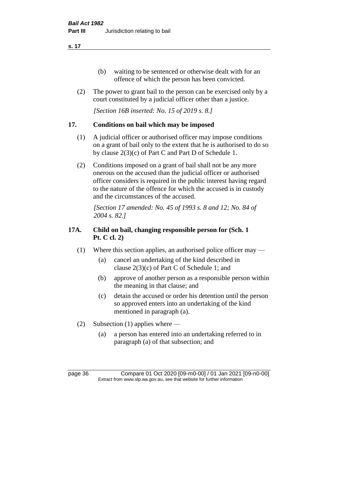- (b) waiting to be sentenced or otherwise dealt with for an offence of which the person has been convicted.
- (2) The power to grant bail to the person can be exercised only by a court constituted by a judicial officer other than a justice.

*[Section 16B inserted: No. 15 of 2019 s. 8.]*

# **17. Conditions on bail which may be imposed**

- (1) A judicial officer or authorised officer may impose conditions on a grant of bail only to the extent that he is authorised to do so by clause 2(3)(c) of Part C and Part D of Schedule 1.
- (2) Conditions imposed on a grant of bail shall not be any more onerous on the accused than the judicial officer or authorised officer considers is required in the public interest having regard to the nature of the offence for which the accused is in custody and the circumstances of the accused.

*[Section 17 amended: No. 45 of 1993 s. 8 and 12; No. 84 of 2004 s. 82.]* 

# **17A. Child on bail, changing responsible person for (Sch. 1 Pt. C cl. 2)**

- (1) Where this section applies, an authorised police officer may
	- (a) cancel an undertaking of the kind described in clause 2(3)(c) of Part C of Schedule 1; and
	- (b) approve of another person as a responsible person within the meaning in that clause; and
	- (c) detain the accused or order his detention until the person so approved enters into an undertaking of the kind mentioned in paragraph (a).
- (2) Subsection (1) applies where
	- (a) a person has entered into an undertaking referred to in paragraph (a) of that subsection; and

page 36 Compare 01 Oct 2020 [09-m0-00] / 01 Jan 2021 [09-n0-00] Extract from www.slp.wa.gov.au, see that website for further information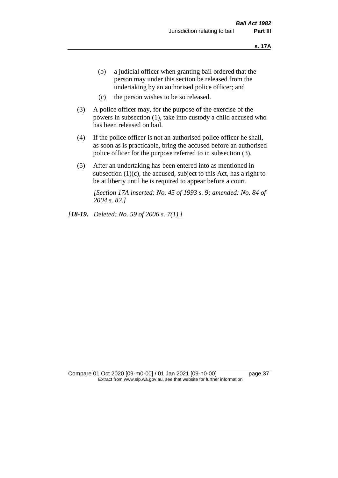- (b) a judicial officer when granting bail ordered that the person may under this section be released from the undertaking by an authorised police officer; and
- (c) the person wishes to be so released.
- (3) A police officer may, for the purpose of the exercise of the powers in subsection (1), take into custody a child accused who has been released on bail.
- (4) If the police officer is not an authorised police officer he shall, as soon as is practicable, bring the accused before an authorised police officer for the purpose referred to in subsection (3).
- (5) After an undertaking has been entered into as mentioned in subsection  $(1)(c)$ , the accused, subject to this Act, has a right to be at liberty until he is required to appear before a court.

*[Section 17A inserted: No. 45 of 1993 s. 9; amended: No. 84 of 2004 s. 82.]* 

*[18-19. Deleted: No. 59 of 2006 s. 7(1).]*

Compare 01 Oct 2020 [09-m0-00] / 01 Jan 2021 [09-n0-00] page 37 Extract from www.slp.wa.gov.au, see that website for further information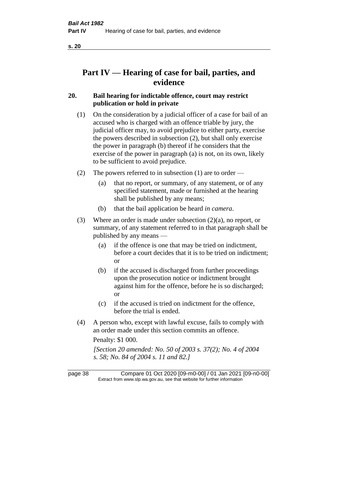# **Part IV — Hearing of case for bail, parties, and evidence**

# **20. Bail hearing for indictable offence, court may restrict publication or hold in private**

- (1) On the consideration by a judicial officer of a case for bail of an accused who is charged with an offence triable by jury, the judicial officer may, to avoid prejudice to either party, exercise the powers described in subsection (2), but shall only exercise the power in paragraph (b) thereof if he considers that the exercise of the power in paragraph (a) is not, on its own, likely to be sufficient to avoid prejudice.
- (2) The powers referred to in subsection (1) are to order
	- (a) that no report, or summary, of any statement, or of any specified statement, made or furnished at the hearing shall be published by any means;
	- (b) that the bail application be heard *in camera*.
- (3) Where an order is made under subsection (2)(a), no report, or summary, of any statement referred to in that paragraph shall be published by any means —
	- (a) if the offence is one that may be tried on indictment, before a court decides that it is to be tried on indictment; or
	- (b) if the accused is discharged from further proceedings upon the prosecution notice or indictment brought against him for the offence, before he is so discharged; or
	- (c) if the accused is tried on indictment for the offence, before the trial is ended.
- (4) A person who, except with lawful excuse, fails to comply with an order made under this section commits an offence.

Penalty: \$1 000.

*[Section 20 amended: No. 50 of 2003 s. 37(2); No. 4 of 2004 s. 58; No. 84 of 2004 s. 11 and 82.]*

page 38 Compare 01 Oct 2020 [09-m0-00] / 01 Jan 2021 [09-n0-00] Extract from www.slp.wa.gov.au, see that website for further information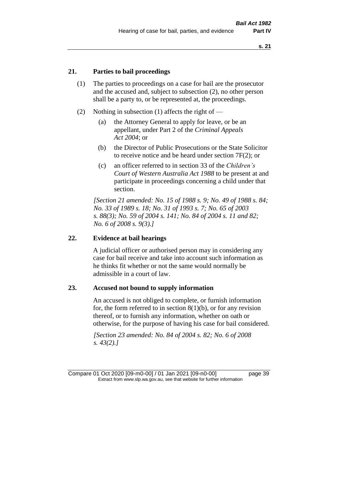## **21. Parties to bail proceedings**

- (1) The parties to proceedings on a case for bail are the prosecutor and the accused and, subject to subsection (2), no other person shall be a party to, or be represented at, the proceedings.
- (2) Nothing in subsection (1) affects the right of
	- (a) the Attorney General to apply for leave, or be an appellant, under Part 2 of the *Criminal Appeals Act 2004*; or
	- (b) the Director of Public Prosecutions or the State Solicitor to receive notice and be heard under section 7F(2); or
	- (c) an officer referred to in section 33 of the *Children's Court of Western Australia Act 1988* to be present at and participate in proceedings concerning a child under that section.

*[Section 21 amended: No. 15 of 1988 s. 9; No. 49 of 1988 s. 84; No. 33 of 1989 s. 18; No. 31 of 1993 s. 7; No. 65 of 2003 s. 88(3); No. 59 of 2004 s. 141; No. 84 of 2004 s. 11 and 82; No. 6 of 2008 s. 9(3).]* 

#### **22. Evidence at bail hearings**

A judicial officer or authorised person may in considering any case for bail receive and take into account such information as he thinks fit whether or not the same would normally be admissible in a court of law.

#### **23. Accused not bound to supply information**

An accused is not obliged to complete, or furnish information for, the form referred to in section  $8(1)(b)$ , or for any revision thereof, or to furnish any information, whether on oath or otherwise, for the purpose of having his case for bail considered.

*[Section 23 amended: No. 84 of 2004 s. 82; No. 6 of 2008 s. 43(2).]*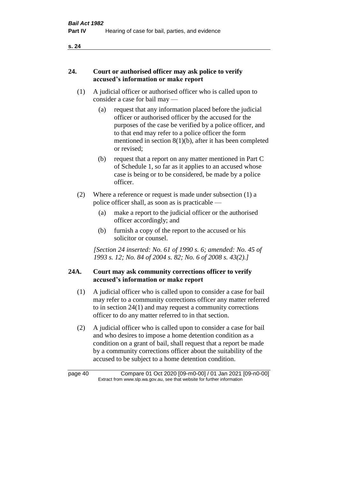## **24. Court or authorised officer may ask police to verify accused's information or make report**

- (1) A judicial officer or authorised officer who is called upon to consider a case for bail may —
	- (a) request that any information placed before the judicial officer or authorised officer by the accused for the purposes of the case be verified by a police officer, and to that end may refer to a police officer the form mentioned in section 8(1)(b), after it has been completed or revised;
	- (b) request that a report on any matter mentioned in Part C of Schedule 1, so far as it applies to an accused whose case is being or to be considered, be made by a police officer.
- (2) Where a reference or request is made under subsection (1) a police officer shall, as soon as is practicable —
	- (a) make a report to the judicial officer or the authorised officer accordingly; and
	- (b) furnish a copy of the report to the accused or his solicitor or counsel.

*[Section 24 inserted: No. 61 of 1990 s. 6; amended: No. 45 of 1993 s. 12; No. 84 of 2004 s. 82; No. 6 of 2008 s. 43(2).]* 

# **24A. Court may ask community corrections officer to verify accused's information or make report**

- (1) A judicial officer who is called upon to consider a case for bail may refer to a community corrections officer any matter referred to in section 24(1) and may request a community corrections officer to do any matter referred to in that section.
- (2) A judicial officer who is called upon to consider a case for bail and who desires to impose a home detention condition as a condition on a grant of bail, shall request that a report be made by a community corrections officer about the suitability of the accused to be subject to a home detention condition.

| page 40 | Compare 01 Oct 2020 [09-m0-00] / 01 Jan 2021 [09-n0-00]                  |
|---------|--------------------------------------------------------------------------|
|         | Extract from www.slp.wa.gov.au, see that website for further information |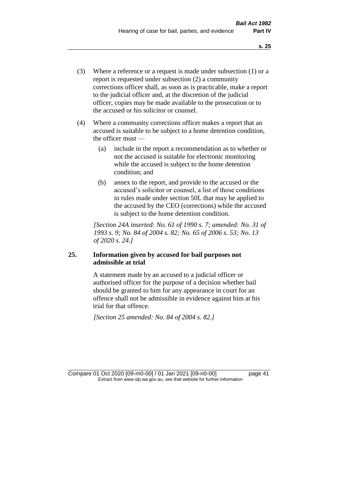- (3) Where a reference or a request is made under subsection (1) or a report is requested under subsection (2) a community corrections officer shall, as soon as is practicable, make a report to the judicial officer and, at the discretion of the judicial officer, copies may be made available to the prosecution or to the accused or his solicitor or counsel.
- (4) Where a community corrections officer makes a report that an accused is suitable to be subject to a home detention condition, the officer must —
	- (a) include in the report a recommendation as to whether or not the accused is suitable for electronic monitoring while the accused is subject to the home detention condition; and
	- (b) annex to the report, and provide to the accused or the accused's solicitor or counsel, a list of those conditions in rules made under section 50L that may be applied to the accused by the CEO (corrections) while the accused is subject to the home detention condition.

*[Section 24A inserted: No. 61 of 1990 s. 7; amended: No. 31 of 1993 s. 9; No. 84 of 2004 s. 82; No. 65 of 2006 s. 53; No. 13 of 2020 s. 24.]* 

# **25. Information given by accused for bail purposes not admissible at trial**

A statement made by an accused to a judicial officer or authorised officer for the purpose of a decision whether bail should be granted to him for any appearance in court for an offence shall not be admissible in evidence against him at his trial for that offence.

*[Section 25 amended: No. 84 of 2004 s. 82.]* 

Compare 01 Oct 2020 [09-m0-00] / 01 Jan 2021 [09-n0-00] page 41 Extract from www.slp.wa.gov.au, see that website for further information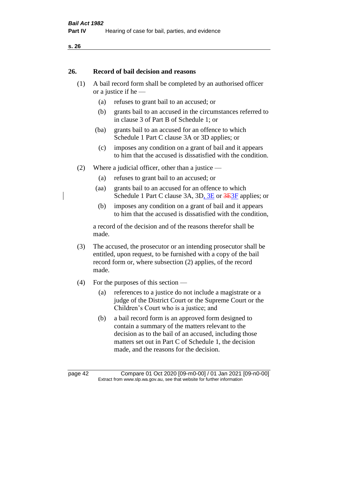#### **26. Record of bail decision and reasons**

- (1) A bail record form shall be completed by an authorised officer or a justice if he —
	- (a) refuses to grant bail to an accused; or
	- (b) grants bail to an accused in the circumstances referred to in clause 3 of Part B of Schedule 1; or
	- (ba) grants bail to an accused for an offence to which Schedule 1 Part C clause 3A or 3D applies; or
	- (c) imposes any condition on a grant of bail and it appears to him that the accused is dissatisfied with the condition.
- (2) Where a judicial officer, other than a justice
	- (a) refuses to grant bail to an accused; or
	- (aa) grants bail to an accused for an offence to which Schedule 1 Part C clause 3A, 3D, 3E or 3E3F applies; or
	- (b) imposes any condition on a grant of bail and it appears to him that the accused is dissatisfied with the condition,

a record of the decision and of the reasons therefor shall be made.

- (3) The accused, the prosecutor or an intending prosecutor shall be entitled, upon request, to be furnished with a copy of the bail record form or, where subsection (2) applies, of the record made.
- (4) For the purposes of this section
	- (a) references to a justice do not include a magistrate or a judge of the District Court or the Supreme Court or the Children's Court who is a justice; and
	- (b) a bail record form is an approved form designed to contain a summary of the matters relevant to the decision as to the bail of an accused, including those matters set out in Part C of Schedule 1, the decision made, and the reasons for the decision.

page 42 Compare 01 Oct 2020 [09-m0-00] / 01 Jan 2021 [09-n0-00] Extract from www.slp.wa.gov.au, see that website for further information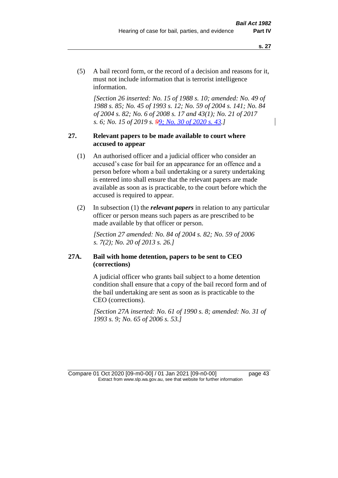(5) A bail record form, or the record of a decision and reasons for it, must not include information that is terrorist intelligence information.

*[Section 26 inserted: No. 15 of 1988 s. 10; amended: No. 49 of 1988 s. 85; No. 45 of 1993 s. 12; No. 59 of 2004 s. 141; No. 84 of 2004 s. 82; No. 6 of 2008 s. 17 and 43(1); No. 21 of 2017 s. 6; No. 15 of 2019 s. 99; No. 30 of 2020 s. 43.]* 

## **27. Relevant papers to be made available to court where accused to appear**

- (1) An authorised officer and a judicial officer who consider an accused's case for bail for an appearance for an offence and a person before whom a bail undertaking or a surety undertaking is entered into shall ensure that the relevant papers are made available as soon as is practicable, to the court before which the accused is required to appear.
- (2) In subsection (1) the *relevant papers* in relation to any particular officer or person means such papers as are prescribed to be made available by that officer or person.

*[Section 27 amended: No. 84 of 2004 s. 82; No. 59 of 2006 s. 7(2); No. 20 of 2013 s. 26.]* 

# **27A. Bail with home detention, papers to be sent to CEO (corrections)**

A judicial officer who grants bail subject to a home detention condition shall ensure that a copy of the bail record form and of the bail undertaking are sent as soon as is practicable to the CEO (corrections).

*[Section 27A inserted: No. 61 of 1990 s. 8; amended: No. 31 of 1993 s. 9; No. 65 of 2006 s. 53.]* 

Compare 01 Oct 2020 [09-m0-00] / 01 Jan 2021 [09-n0-00] page 43 Extract from www.slp.wa.gov.au, see that website for further information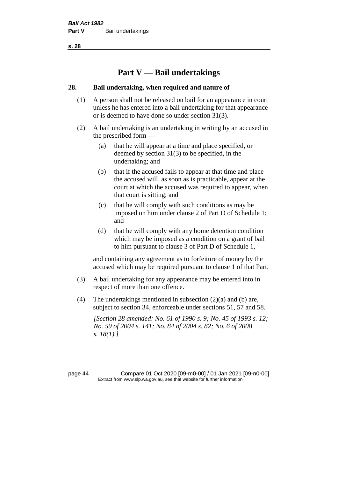# **Part V — Bail undertakings**

#### **28. Bail undertaking, when required and nature of**

- (1) A person shall not be released on bail for an appearance in court unless he has entered into a bail undertaking for that appearance or is deemed to have done so under section 31(3).
- (2) A bail undertaking is an undertaking in writing by an accused in the prescribed form —
	- (a) that he will appear at a time and place specified, or deemed by section 31(3) to be specified, in the undertaking; and
	- (b) that if the accused fails to appear at that time and place the accused will, as soon as is practicable, appear at the court at which the accused was required to appear, when that court is sitting; and
	- (c) that he will comply with such conditions as may be imposed on him under clause 2 of Part D of Schedule 1; and
	- (d) that he will comply with any home detention condition which may be imposed as a condition on a grant of bail to him pursuant to clause 3 of Part D of Schedule 1,

and containing any agreement as to forfeiture of money by the accused which may be required pursuant to clause 1 of that Part.

- (3) A bail undertaking for any appearance may be entered into in respect of more than one offence.
- (4) The undertakings mentioned in subsection (2)(a) and (b) are, subject to section 34, enforceable under sections 51, 57 and 58.

*[Section 28 amended: No. 61 of 1990 s. 9; No. 45 of 1993 s. 12; No. 59 of 2004 s. 141; No. 84 of 2004 s. 82; No. 6 of 2008 s. 18(1).]* 

page 44 Compare 01 Oct 2020 [09-m0-00] / 01 Jan 2021 [09-n0-00] Extract from www.slp.wa.gov.au, see that website for further information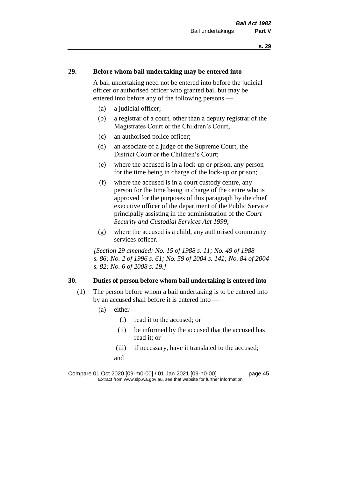#### **29. Before whom bail undertaking may be entered into**

A bail undertaking need not be entered into before the judicial officer or authorised officer who granted bail but may be entered into before any of the following persons —

- (a) a judicial officer;
- (b) a registrar of a court, other than a deputy registrar of the Magistrates Court or the Children's Court;
- (c) an authorised police officer;
- (d) an associate of a judge of the Supreme Court, the District Court or the Children's Court;
- (e) where the accused is in a lock-up or prison, any person for the time being in charge of the lock-up or prison;
- (f) where the accused is in a court custody centre, any person for the time being in charge of the centre who is approved for the purposes of this paragraph by the chief executive officer of the department of the Public Service principally assisting in the administration of the *Court Security and Custodial Services Act 1999*;
- (g) where the accused is a child, any authorised community services officer.

*[Section 29 amended: No. 15 of 1988 s. 11; No. 49 of 1988 s. 86; No. 2 of 1996 s. 61; No. 59 of 2004 s. 141; No. 84 of 2004 s. 82; No. 6 of 2008 s. 19.]* 

#### **30. Duties of person before whom bail undertaking is entered into**

- (1) The person before whom a bail undertaking is to be entered into by an accused shall before it is entered into —
	- $(a)$  either
		- (i) read it to the accused; or
		- (ii) be informed by the accused that the accused has read it; or
		- (iii) if necessary, have it translated to the accused;
		- and

Compare 01 Oct 2020 [09-m0-00] / 01 Jan 2021 [09-n0-00] page 45 Extract from www.slp.wa.gov.au, see that website for further information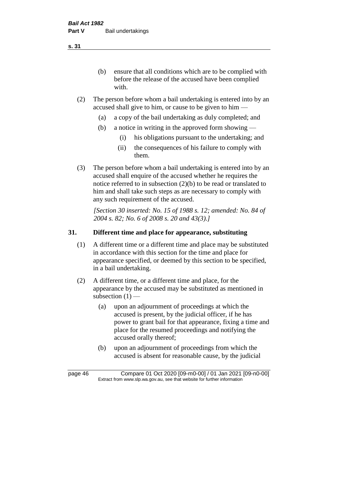(b) ensure that all conditions which are to be complied with before the release of the accused have been complied with.

- (2) The person before whom a bail undertaking is entered into by an accused shall give to him, or cause to be given to him —
	- (a) a copy of the bail undertaking as duly completed; and
	- (b) a notice in writing in the approved form showing
		- (i) his obligations pursuant to the undertaking; and
		- (ii) the consequences of his failure to comply with them.
- (3) The person before whom a bail undertaking is entered into by an accused shall enquire of the accused whether he requires the notice referred to in subsection (2)(b) to be read or translated to him and shall take such steps as are necessary to comply with any such requirement of the accused.

*[Section 30 inserted: No. 15 of 1988 s. 12; amended: No. 84 of 2004 s. 82; No. 6 of 2008 s. 20 and 43(3).]* 

# **31. Different time and place for appearance, substituting**

- (1) A different time or a different time and place may be substituted in accordance with this section for the time and place for appearance specified, or deemed by this section to be specified, in a bail undertaking.
- (2) A different time, or a different time and place, for the appearance by the accused may be substituted as mentioned in subsection  $(1)$  —
	- (a) upon an adjournment of proceedings at which the accused is present, by the judicial officer, if he has power to grant bail for that appearance, fixing a time and place for the resumed proceedings and notifying the accused orally thereof;
	- (b) upon an adjournment of proceedings from which the accused is absent for reasonable cause, by the judicial

page 46 Compare 01 Oct 2020 [09-m0-00] / 01 Jan 2021 [09-n0-00] Extract from www.slp.wa.gov.au, see that website for further information

**s. 31**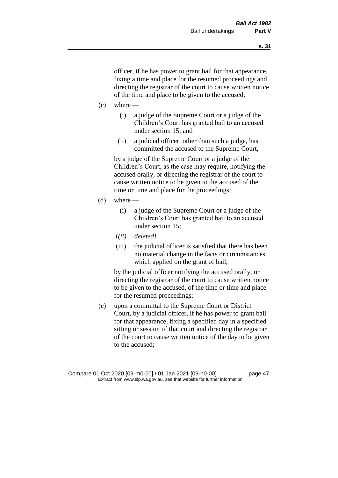officer, if he has power to grant bail for that appearance, fixing a time and place for the resumed proceedings and directing the registrar of the court to cause written notice of the time and place to be given to the accused;

- $(c)$  where
	- (i) a judge of the Supreme Court or a judge of the Children's Court has granted bail to an accused under section 15; and
	- (ii) a judicial officer, other than such a judge, has committed the accused to the Supreme Court,

by a judge of the Supreme Court or a judge of the Children's Court, as the case may require, notifying the accused orally, or directing the registrar of the court to cause written notice to be given to the accused of the time or time and place for the proceedings;

- (d) where  $-$ 
	- (i) a judge of the Supreme Court or a judge of the Children's Court has granted bail to an accused under section 15;
	- *[(ii) deleted]*
	- (iii) the judicial officer is satisfied that there has been no material change in the facts or circumstances which applied on the grant of bail,

by the judicial officer notifying the accused orally, or directing the registrar of the court to cause written notice to be given to the accused, of the time or time and place for the resumed proceedings;

(e) upon a committal to the Supreme Court or District Court, by a judicial officer, if he has power to grant bail for that appearance, fixing a specified day in a specified sitting or session of that court and directing the registrar of the court to cause written notice of the day to be given to the accused;

Compare 01 Oct 2020 [09-m0-00] / 01 Jan 2021 [09-n0-00] page 47 Extract from www.slp.wa.gov.au, see that website for further information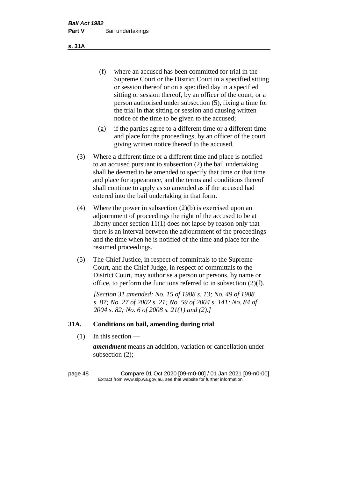(f) where an accused has been committed for trial in the Supreme Court or the District Court in a specified sitting or session thereof or on a specified day in a specified sitting or session thereof, by an officer of the court, or a person authorised under subsection (5), fixing a time for the trial in that sitting or session and causing written notice of the time to be given to the accused;

- (g) if the parties agree to a different time or a different time and place for the proceedings, by an officer of the court giving written notice thereof to the accused.
- (3) Where a different time or a different time and place is notified to an accused pursuant to subsection (2) the bail undertaking shall be deemed to be amended to specify that time or that time and place for appearance, and the terms and conditions thereof shall continue to apply as so amended as if the accused had entered into the bail undertaking in that form.
- (4) Where the power in subsection (2)(b) is exercised upon an adjournment of proceedings the right of the accused to be at liberty under section 11(1) does not lapse by reason only that there is an interval between the adjournment of the proceedings and the time when he is notified of the time and place for the resumed proceedings.
- (5) The Chief Justice, in respect of committals to the Supreme Court, and the Chief Judge, in respect of committals to the District Court, may authorise a person or persons, by name or office, to perform the functions referred to in subsection (2)(f).

*[Section 31 amended: No. 15 of 1988 s. 13; No. 49 of 1988 s. 87; No. 27 of 2002 s. 21; No. 59 of 2004 s. 141; No. 84 of 2004 s. 82; No. 6 of 2008 s. 21(1) and (2).]* 

#### **31A. Conditions on bail, amending during trial**

 $(1)$  In this section —

*amendment* means an addition, variation or cancellation under subsection (2);

page 48 Compare 01 Oct 2020 [09-m0-00] / 01 Jan 2021 [09-n0-00] Extract from www.slp.wa.gov.au, see that website for further information

**s. 31A**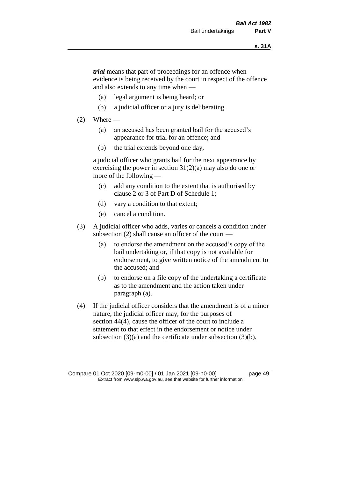*trial* means that part of proceedings for an offence when evidence is being received by the court in respect of the offence and also extends to any time when —

- (a) legal argument is being heard; or
- (b) a judicial officer or a jury is deliberating.

#### $(2)$  Where —

- (a) an accused has been granted bail for the accused's appearance for trial for an offence; and
- (b) the trial extends beyond one day,

a judicial officer who grants bail for the next appearance by exercising the power in section  $31(2)(a)$  may also do one or more of the following —

- (c) add any condition to the extent that is authorised by clause 2 or 3 of Part D of Schedule 1;
- (d) vary a condition to that extent;
- (e) cancel a condition.
- (3) A judicial officer who adds, varies or cancels a condition under subsection (2) shall cause an officer of the court —
	- (a) to endorse the amendment on the accused's copy of the bail undertaking or, if that copy is not available for endorsement, to give written notice of the amendment to the accused; and
	- (b) to endorse on a file copy of the undertaking a certificate as to the amendment and the action taken under paragraph (a).
- (4) If the judicial officer considers that the amendment is of a minor nature, the judicial officer may, for the purposes of section 44(4), cause the officer of the court to include a statement to that effect in the endorsement or notice under subsection (3)(a) and the certificate under subsection (3)(b).

Compare 01 Oct 2020 [09-m0-00] / 01 Jan 2021 [09-n0-00] page 49 Extract from www.slp.wa.gov.au, see that website for further information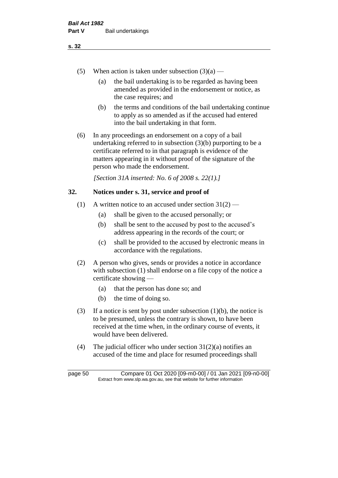- (a) the bail undertaking is to be regarded as having been amended as provided in the endorsement or notice, as the case requires; and
- (b) the terms and conditions of the bail undertaking continue to apply as so amended as if the accused had entered into the bail undertaking in that form.
- (6) In any proceedings an endorsement on a copy of a bail undertaking referred to in subsection (3)(b) purporting to be a certificate referred to in that paragraph is evidence of the matters appearing in it without proof of the signature of the person who made the endorsement.

*[Section 31A inserted: No. 6 of 2008 s. 22(1).]*

# **32. Notices under s. 31, service and proof of**

- (1) A written notice to an accused under section  $31(2)$ 
	- (a) shall be given to the accused personally; or
	- (b) shall be sent to the accused by post to the accused's address appearing in the records of the court; or
	- (c) shall be provided to the accused by electronic means in accordance with the regulations.
- (2) A person who gives, sends or provides a notice in accordance with subsection (1) shall endorse on a file copy of the notice a certificate showing —
	- (a) that the person has done so; and
	- (b) the time of doing so.
- (3) If a notice is sent by post under subsection  $(1)(b)$ , the notice is to be presumed, unless the contrary is shown, to have been received at the time when, in the ordinary course of events, it would have been delivered.
- (4) The judicial officer who under section  $31(2)(a)$  notifies an accused of the time and place for resumed proceedings shall

page 50 Compare 01 Oct 2020 [09-m0-00] / 01 Jan 2021 [09-n0-00] Extract from www.slp.wa.gov.au, see that website for further information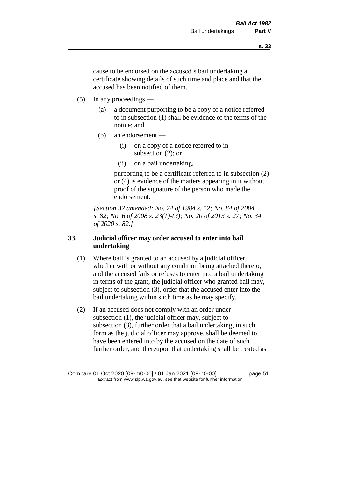cause to be endorsed on the accused's bail undertaking a certificate showing details of such time and place and that the accused has been notified of them.

- (5) In any proceedings
	- (a) a document purporting to be a copy of a notice referred to in subsection (1) shall be evidence of the terms of the notice; and
	- (b) an endorsement
		- (i) on a copy of a notice referred to in subsection (2); or
		- (ii) on a bail undertaking,

purporting to be a certificate referred to in subsection (2) or (4) is evidence of the matters appearing in it without proof of the signature of the person who made the endorsement.

*[Section 32 amended: No. 74 of 1984 s. 12; No. 84 of 2004 s. 82; No. 6 of 2008 s. 23(1)-(3); No. 20 of 2013 s. 27; No. 34 of 2020 s. 82.]* 

# **33. Judicial officer may order accused to enter into bail undertaking**

- (1) Where bail is granted to an accused by a judicial officer, whether with or without any condition being attached thereto, and the accused fails or refuses to enter into a bail undertaking in terms of the grant, the judicial officer who granted bail may, subject to subsection (3), order that the accused enter into the bail undertaking within such time as he may specify.
- (2) If an accused does not comply with an order under subsection (1), the judicial officer may, subject to subsection (3), further order that a bail undertaking, in such form as the judicial officer may approve, shall be deemed to have been entered into by the accused on the date of such further order, and thereupon that undertaking shall be treated as

Compare 01 Oct 2020 [09-m0-00] / 01 Jan 2021 [09-n0-00] page 51 Extract from www.slp.wa.gov.au, see that website for further information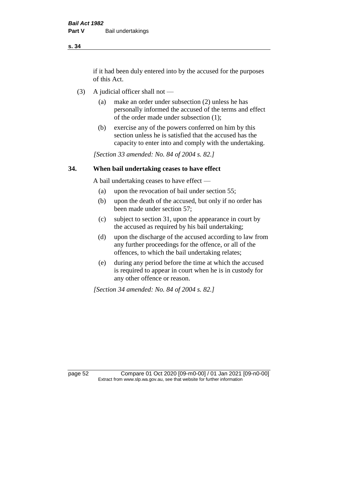if it had been duly entered into by the accused for the purposes of this Act.

- (3) A judicial officer shall not
	- (a) make an order under subsection (2) unless he has personally informed the accused of the terms and effect of the order made under subsection (1);
	- (b) exercise any of the powers conferred on him by this section unless he is satisfied that the accused has the capacity to enter into and comply with the undertaking.

*[Section 33 amended: No. 84 of 2004 s. 82.]* 

## **34. When bail undertaking ceases to have effect**

A bail undertaking ceases to have effect —

- (a) upon the revocation of bail under section 55;
- (b) upon the death of the accused, but only if no order has been made under section 57;
- (c) subject to section 31, upon the appearance in court by the accused as required by his bail undertaking;
- (d) upon the discharge of the accused according to law from any further proceedings for the offence, or all of the offences, to which the bail undertaking relates;
- (e) during any period before the time at which the accused is required to appear in court when he is in custody for any other offence or reason.

*[Section 34 amended: No. 84 of 2004 s. 82.]* 

page 52 Compare 01 Oct 2020 [09-m0-00] / 01 Jan 2021 [09-n0-00] Extract from www.slp.wa.gov.au, see that website for further information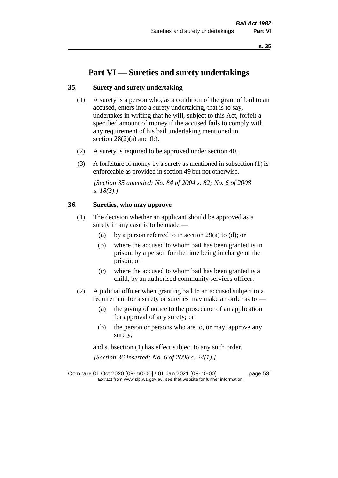# **Part VI — Sureties and surety undertakings**

#### **35. Surety and surety undertaking**

- (1) A surety is a person who, as a condition of the grant of bail to an accused, enters into a surety undertaking, that is to say, undertakes in writing that he will, subject to this Act, forfeit a specified amount of money if the accused fails to comply with any requirement of his bail undertaking mentioned in section  $28(2)(a)$  and (b).
- (2) A surety is required to be approved under section 40.
- (3) A forfeiture of money by a surety as mentioned in subsection (1) is enforceable as provided in section 49 but not otherwise.

*[Section 35 amended: No. 84 of 2004 s. 82; No. 6 of 2008 s. 18(3).]* 

## **36. Sureties, who may approve**

- (1) The decision whether an applicant should be approved as a surety in any case is to be made —
	- (a) by a person referred to in section 29(a) to (d); or
	- (b) where the accused to whom bail has been granted is in prison, by a person for the time being in charge of the prison; or
	- (c) where the accused to whom bail has been granted is a child, by an authorised community services officer.
- (2) A judicial officer when granting bail to an accused subject to a requirement for a surety or sureties may make an order as to —
	- (a) the giving of notice to the prosecutor of an application for approval of any surety; or
	- (b) the person or persons who are to, or may, approve any surety,

and subsection (1) has effect subject to any such order. *[Section 36 inserted: No. 6 of 2008 s. 24(1).]*

Compare 01 Oct 2020 [09-m0-00] / 01 Jan 2021 [09-n0-00] page 53 Extract from www.slp.wa.gov.au, see that website for further information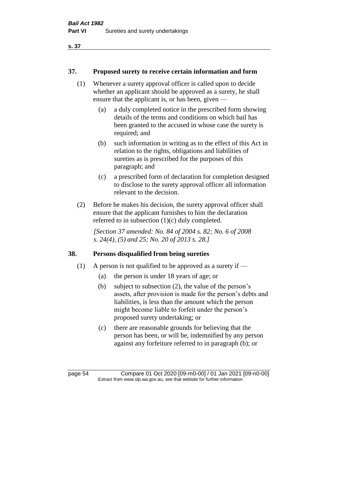#### **37. Proposed surety to receive certain information and form**

- (1) Whenever a surety approval officer is called upon to decide whether an applicant should be approved as a surety, he shall ensure that the applicant is, or has been, given —
	- (a) a duly completed notice in the prescribed form showing details of the terms and conditions on which bail has been granted to the accused in whose case the surety is required; and
	- (b) such information in writing as to the effect of this Act in relation to the rights, obligations and liabilities of sureties as is prescribed for the purposes of this paragraph; and
	- (c) a prescribed form of declaration for completion designed to disclose to the surety approval officer all information relevant to the decision.
- (2) Before he makes his decision, the surety approval officer shall ensure that the applicant furnishes to him the declaration referred to in subsection (1)(c) duly completed.

*[Section 37 amended: No. 84 of 2004 s. 82; No. 6 of 2008 s. 24(4), (5) and 25; No. 20 of 2013 s. 28.]* 

#### **38. Persons disqualified from being sureties**

- (1) A person is not qualified to be approved as a surety if  $-$ 
	- (a) the person is under 18 years of age; or
	- (b) subject to subsection (2), the value of the person's assets, after provision is made for the person's debts and liabilities, is less than the amount which the person might become liable to forfeit under the person's proposed surety undertaking; or
	- (c) there are reasonable grounds for believing that the person has been, or will be, indemnified by any person against any forfeiture referred to in paragraph (b); or

page 54 Compare 01 Oct 2020 [09-m0-00] / 01 Jan 2021 [09-n0-00] Extract from www.slp.wa.gov.au, see that website for further information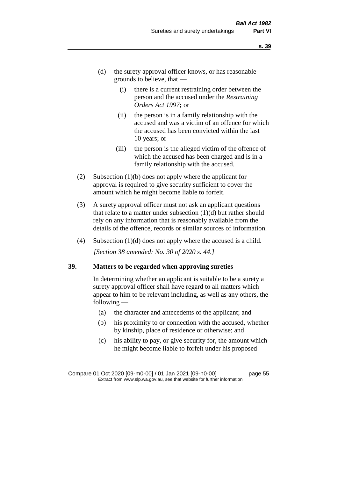- (d) the surety approval officer knows, or has reasonable grounds to believe, that —
	- (i) there is a current restraining order between the person and the accused under the *Restraining Orders Act 1997***;** or
	- (ii) the person is in a family relationship with the accused and was a victim of an offence for which the accused has been convicted within the last 10 years; or
	- (iii) the person is the alleged victim of the offence of which the accused has been charged and is in a family relationship with the accused.
- (2) Subsection (1)(b) does not apply where the applicant for approval is required to give security sufficient to cover the amount which he might become liable to forfeit.
- (3) A surety approval officer must not ask an applicant questions that relate to a matter under subsection  $(1)(d)$  but rather should rely on any information that is reasonably available from the details of the offence, records or similar sources of information.
- (4) Subsection (1)(d) does not apply where the accused is a child. *[Section 38 amended: No. 30 of 2020 s. 44.]*

#### **39. Matters to be regarded when approving sureties**

In determining whether an applicant is suitable to be a surety a surety approval officer shall have regard to all matters which appear to him to be relevant including, as well as any others, the following —

- (a) the character and antecedents of the applicant; and
- (b) his proximity to or connection with the accused, whether by kinship, place of residence or otherwise; and
- (c) his ability to pay, or give security for, the amount which he might become liable to forfeit under his proposed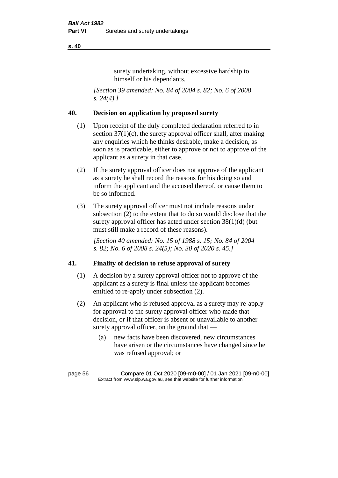surety undertaking, without excessive hardship to himself or his dependants.

*[Section 39 amended: No. 84 of 2004 s. 82; No. 6 of 2008 s. 24(4).]* 

#### **40. Decision on application by proposed surety**

- (1) Upon receipt of the duly completed declaration referred to in section  $37(1)(c)$ , the surety approval officer shall, after making any enquiries which he thinks desirable, make a decision, as soon as is practicable, either to approve or not to approve of the applicant as a surety in that case.
- (2) If the surety approval officer does not approve of the applicant as a surety he shall record the reasons for his doing so and inform the applicant and the accused thereof, or cause them to be so informed.
- (3) The surety approval officer must not include reasons under subsection (2) to the extent that to do so would disclose that the surety approval officer has acted under section 38(1)(d) (but must still make a record of these reasons).

*[Section 40 amended: No. 15 of 1988 s. 15; No. 84 of 2004 s. 82; No. 6 of 2008 s. 24(5); No. 30 of 2020 s. 45.]* 

#### **41. Finality of decision to refuse approval of surety**

- (1) A decision by a surety approval officer not to approve of the applicant as a surety is final unless the applicant becomes entitled to re-apply under subsection (2).
- (2) An applicant who is refused approval as a surety may re-apply for approval to the surety approval officer who made that decision, or if that officer is absent or unavailable to another surety approval officer, on the ground that —
	- (a) new facts have been discovered, new circumstances have arisen or the circumstances have changed since he was refused approval; or

page 56 Compare 01 Oct 2020 [09-m0-00] / 01 Jan 2021 [09-n0-00] Extract from www.slp.wa.gov.au, see that website for further information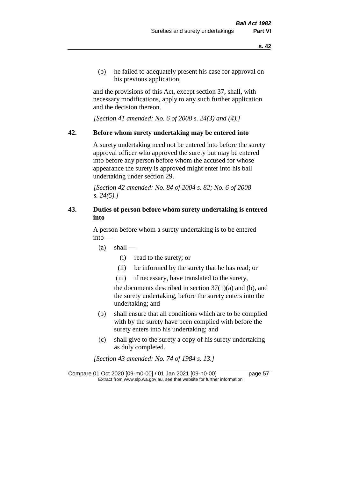(b) he failed to adequately present his case for approval on his previous application,

and the provisions of this Act, except section 37, shall, with necessary modifications, apply to any such further application and the decision thereon.

*[Section 41 amended: No. 6 of 2008 s. 24(3) and (4).]*

#### **42. Before whom surety undertaking may be entered into**

A surety undertaking need not be entered into before the surety approval officer who approved the surety but may be entered into before any person before whom the accused for whose appearance the surety is approved might enter into his bail undertaking under section 29.

*[Section 42 amended: No. 84 of 2004 s. 82; No. 6 of 2008 s. 24(5).]* 

# **43. Duties of person before whom surety undertaking is entered into**

A person before whom a surety undertaking is to be entered into —

- $(a)$  shall
	- (i) read to the surety; or
	- (ii) be informed by the surety that he has read; or
	- (iii) if necessary, have translated to the surety,

the documents described in section  $37(1)(a)$  and (b), and the surety undertaking, before the surety enters into the undertaking; and

- (b) shall ensure that all conditions which are to be complied with by the surety have been complied with before the surety enters into his undertaking; and
- (c) shall give to the surety a copy of his surety undertaking as duly completed.

*[Section 43 amended: No. 74 of 1984 s. 13.]* 

Compare 01 Oct 2020 [09-m0-00] / 01 Jan 2021 [09-n0-00] page 57 Extract from www.slp.wa.gov.au, see that website for further information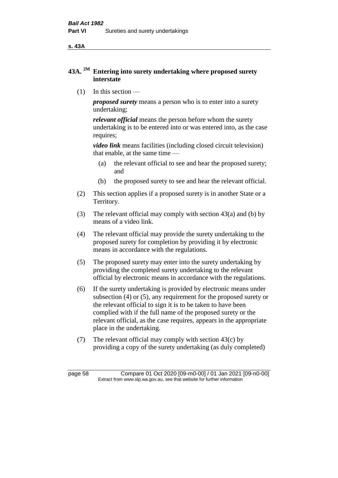**s. 43A**

# **43A. 2M Entering into surety undertaking where proposed surety interstate**

(1) In this section —

*proposed surety* means a person who is to enter into a surety undertaking;

*relevant official* means the person before whom the surety undertaking is to be entered into or was entered into, as the case requires;

*video link* means facilities (including closed circuit television) that enable, at the same time —

- (a) the relevant official to see and hear the proposed surety; and
- (b) the proposed surety to see and hear the relevant official.
- (2) This section applies if a proposed surety is in another State or a Territory.
- (3) The relevant official may comply with section 43(a) and (b) by means of a video link.
- (4) The relevant official may provide the surety undertaking to the proposed surety for completion by providing it by electronic means in accordance with the regulations.
- (5) The proposed surety may enter into the surety undertaking by providing the completed surety undertaking to the relevant official by electronic means in accordance with the regulations.
- (6) If the surety undertaking is provided by electronic means under subsection (4) or (5), any requirement for the proposed surety or the relevant official to sign it is to be taken to have been complied with if the full name of the proposed surety or the relevant official, as the case requires, appears in the appropriate place in the undertaking.
- (7) The relevant official may comply with section 43(c) by providing a copy of the surety undertaking (as duly completed)

page 58 Compare 01 Oct 2020 [09-m0-00] / 01 Jan 2021 [09-n0-00] Extract from www.slp.wa.gov.au, see that website for further information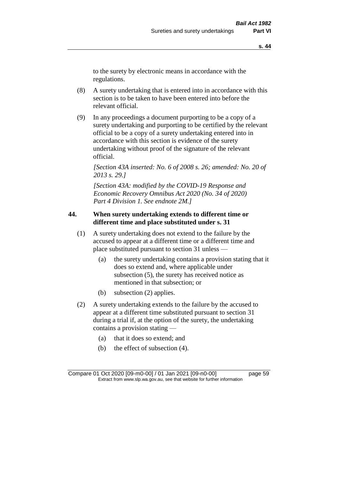to the surety by electronic means in accordance with the regulations.

- (8) A surety undertaking that is entered into in accordance with this section is to be taken to have been entered into before the relevant official.
- (9) In any proceedings a document purporting to be a copy of a surety undertaking and purporting to be certified by the relevant official to be a copy of a surety undertaking entered into in accordance with this section is evidence of the surety undertaking without proof of the signature of the relevant official.

*[Section 43A inserted: No. 6 of 2008 s. 26; amended: No. 20 of 2013 s. 29.]*

*[Section 43A: modified by the COVID-19 Response and Economic Recovery Omnibus Act 2020 (No. 34 of 2020) Part 4 Division 1. See endnote 2M.]*

#### **44. When surety undertaking extends to different time or different time and place substituted under s. 31**

- (1) A surety undertaking does not extend to the failure by the accused to appear at a different time or a different time and place substituted pursuant to section 31 unless —
	- (a) the surety undertaking contains a provision stating that it does so extend and, where applicable under subsection (5), the surety has received notice as mentioned in that subsection; or
	- (b) subsection (2) applies.
- (2) A surety undertaking extends to the failure by the accused to appear at a different time substituted pursuant to section 31 during a trial if, at the option of the surety, the undertaking contains a provision stating —
	- (a) that it does so extend; and
	- (b) the effect of subsection (4).

Compare 01 Oct 2020 [09-m0-00] / 01 Jan 2021 [09-n0-00] page 59 Extract from www.slp.wa.gov.au, see that website for further information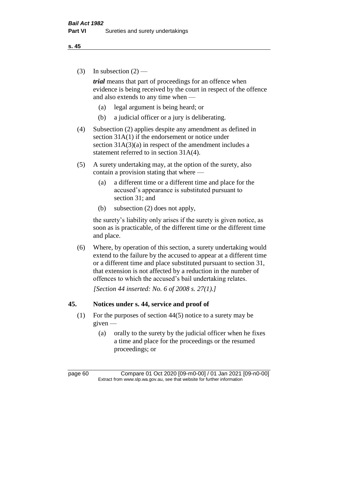(3) In subsection  $(2)$  —

*trial* means that part of proceedings for an offence when evidence is being received by the court in respect of the offence and also extends to any time when —

- (a) legal argument is being heard; or
- (b) a judicial officer or a jury is deliberating.
- (4) Subsection (2) applies despite any amendment as defined in section 31A(1) if the endorsement or notice under section 31A(3)(a) in respect of the amendment includes a statement referred to in section 31A(4).
- (5) A surety undertaking may, at the option of the surety, also contain a provision stating that where —
	- (a) a different time or a different time and place for the accused's appearance is substituted pursuant to section 31; and
	- (b) subsection (2) does not apply,

the surety's liability only arises if the surety is given notice, as soon as is practicable, of the different time or the different time and place.

(6) Where, by operation of this section, a surety undertaking would extend to the failure by the accused to appear at a different time or a different time and place substituted pursuant to section 31, that extension is not affected by a reduction in the number of offences to which the accused's bail undertaking relates.

*[Section 44 inserted: No. 6 of 2008 s. 27(1).]*

#### **45. Notices under s. 44, service and proof of**

- (1) For the purposes of section 44(5) notice to a surety may be given —
	- (a) orally to the surety by the judicial officer when he fixes a time and place for the proceedings or the resumed proceedings; or

page 60 Compare 01 Oct 2020 [09-m0-00] / 01 Jan 2021 [09-n0-00] Extract from www.slp.wa.gov.au, see that website for further information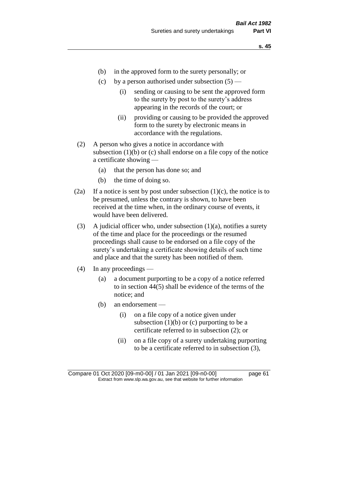- (b) in the approved form to the surety personally; or
- (c) by a person authorised under subsection  $(5)$ 
	- (i) sending or causing to be sent the approved form to the surety by post to the surety's address appearing in the records of the court; or
	- (ii) providing or causing to be provided the approved form to the surety by electronic means in accordance with the regulations.
- (2) A person who gives a notice in accordance with subsection  $(1)(b)$  or  $(c)$  shall endorse on a file copy of the notice a certificate showing —
	- (a) that the person has done so; and
	- (b) the time of doing so.
- (2a) If a notice is sent by post under subsection  $(1)(c)$ , the notice is to be presumed, unless the contrary is shown, to have been received at the time when, in the ordinary course of events, it would have been delivered.
- (3) A judicial officer who, under subsection  $(1)(a)$ , notifies a surety of the time and place for the proceedings or the resumed proceedings shall cause to be endorsed on a file copy of the surety's undertaking a certificate showing details of such time and place and that the surety has been notified of them.
- (4) In any proceedings
	- (a) a document purporting to be a copy of a notice referred to in section 44(5) shall be evidence of the terms of the notice; and
	- (b) an endorsement
		- (i) on a file copy of a notice given under subsection  $(1)(b)$  or  $(c)$  purporting to be a certificate referred to in subsection (2); or
		- (ii) on a file copy of a surety undertaking purporting to be a certificate referred to in subsection (3),

Compare 01 Oct 2020 [09-m0-00] / 01 Jan 2021 [09-n0-00] page 61 Extract from www.slp.wa.gov.au, see that website for further information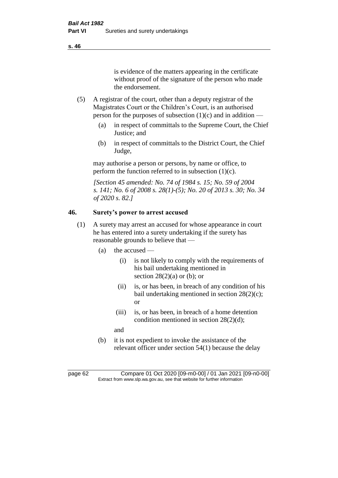is evidence of the matters appearing in the certificate without proof of the signature of the person who made the endorsement.

- (5) A registrar of the court, other than a deputy registrar of the Magistrates Court or the Children's Court, is an authorised person for the purposes of subsection  $(1)(c)$  and in addition —
	- (a) in respect of committals to the Supreme Court, the Chief Justice; and
	- (b) in respect of committals to the District Court, the Chief Judge,

may authorise a person or persons, by name or office, to perform the function referred to in subsection  $(1)(c)$ .

*[Section 45 amended: No. 74 of 1984 s. 15; No. 59 of 2004 s. 141; No. 6 of 2008 s. 28(1)-(5); No. 20 of 2013 s. 30; No. 34 of 2020 s. 82.]* 

# **46. Surety's power to arrest accused**

- (1) A surety may arrest an accused for whose appearance in court he has entered into a surety undertaking if the surety has reasonable grounds to believe that —
	- (a) the accused
		- (i) is not likely to comply with the requirements of his bail undertaking mentioned in section  $28(2)(a)$  or (b); or
		- (ii) is, or has been, in breach of any condition of his bail undertaking mentioned in section 28(2)(c); or
		- (iii) is, or has been, in breach of a home detention condition mentioned in section 28(2)(d);
		- and
	- (b) it is not expedient to invoke the assistance of the relevant officer under section 54(1) because the delay

page 62 Compare 01 Oct 2020 [09-m0-00] / 01 Jan 2021 [09-n0-00] Extract from www.slp.wa.gov.au, see that website for further information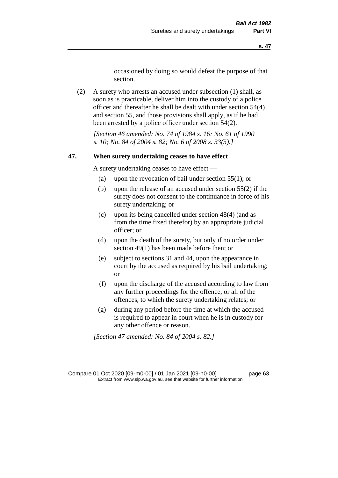occasioned by doing so would defeat the purpose of that section.

(2) A surety who arrests an accused under subsection (1) shall, as soon as is practicable, deliver him into the custody of a police officer and thereafter he shall be dealt with under section 54(4) and section 55, and those provisions shall apply, as if he had been arrested by a police officer under section 54(2).

*[Section 46 amended: No. 74 of 1984 s. 16; No. 61 of 1990 s. 10; No. 84 of 2004 s. 82; No. 6 of 2008 s. 33(5).]* 

#### **47. When surety undertaking ceases to have effect**

A surety undertaking ceases to have effect —

- (a) upon the revocation of bail under section 55(1); or
- (b) upon the release of an accused under section 55(2) if the surety does not consent to the continuance in force of his surety undertaking; or
- (c) upon its being cancelled under section 48(4) (and as from the time fixed therefor) by an appropriate judicial officer; or
- (d) upon the death of the surety, but only if no order under section 49(1) has been made before then; or
- (e) subject to sections 31 and 44, upon the appearance in court by the accused as required by his bail undertaking; or
- (f) upon the discharge of the accused according to law from any further proceedings for the offence, or all of the offences, to which the surety undertaking relates; or
- (g) during any period before the time at which the accused is required to appear in court when he is in custody for any other offence or reason.

*[Section 47 amended: No. 84 of 2004 s. 82.]* 

Compare 01 Oct 2020 [09-m0-00] / 01 Jan 2021 [09-n0-00] page 63 Extract from www.slp.wa.gov.au, see that website for further information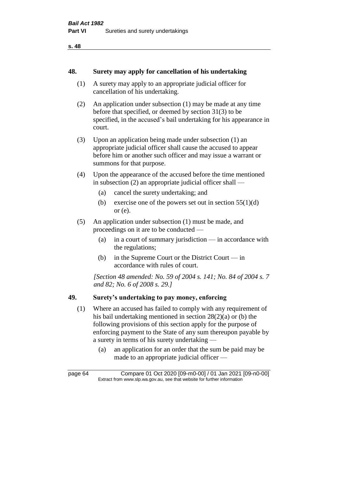#### **48. Surety may apply for cancellation of his undertaking**

- (1) A surety may apply to an appropriate judicial officer for cancellation of his undertaking.
- (2) An application under subsection (1) may be made at any time before that specified, or deemed by section 31(3) to be specified, in the accused's bail undertaking for his appearance in court.
- (3) Upon an application being made under subsection (1) an appropriate judicial officer shall cause the accused to appear before him or another such officer and may issue a warrant or summons for that purpose.
- (4) Upon the appearance of the accused before the time mentioned in subsection (2) an appropriate judicial officer shall —
	- (a) cancel the surety undertaking; and
	- (b) exercise one of the powers set out in section  $55(1)(d)$ or (e).
- (5) An application under subsection (1) must be made, and proceedings on it are to be conducted —
	- (a) in a court of summary jurisdiction in accordance with the regulations;
	- (b) in the Supreme Court or the District Court in accordance with rules of court.

*[Section 48 amended: No. 59 of 2004 s. 141; No. 84 of 2004 s. 7 and 82; No. 6 of 2008 s. 29.]* 

#### **49. Surety's undertaking to pay money, enforcing**

- (1) Where an accused has failed to comply with any requirement of his bail undertaking mentioned in section 28(2)(a) or (b) the following provisions of this section apply for the purpose of enforcing payment to the State of any sum thereupon payable by a surety in terms of his surety undertaking —
	- (a) an application for an order that the sum be paid may be made to an appropriate judicial officer —

page 64 Compare 01 Oct 2020 [09-m0-00] / 01 Jan 2021 [09-n0-00] Extract from www.slp.wa.gov.au, see that website for further information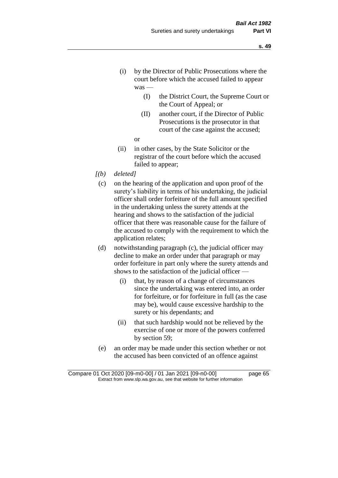- (i) by the Director of Public Prosecutions where the court before which the accused failed to appear was —
	- (I) the District Court, the Supreme Court or the Court of Appeal; or
	- (II) another court, if the Director of Public Prosecutions is the prosecutor in that court of the case against the accused;
	- or
- (ii) in other cases, by the State Solicitor or the registrar of the court before which the accused failed to appear;
- *[(b) deleted]*
	- (c) on the hearing of the application and upon proof of the surety's liability in terms of his undertaking, the judicial officer shall order forfeiture of the full amount specified in the undertaking unless the surety attends at the hearing and shows to the satisfaction of the judicial officer that there was reasonable cause for the failure of the accused to comply with the requirement to which the application relates;
	- (d) notwithstanding paragraph (c), the judicial officer may decline to make an order under that paragraph or may order forfeiture in part only where the surety attends and shows to the satisfaction of the judicial officer —
		- (i) that, by reason of a change of circumstances since the undertaking was entered into, an order for forfeiture, or for forfeiture in full (as the case may be), would cause excessive hardship to the surety or his dependants; and
		- (ii) that such hardship would not be relieved by the exercise of one or more of the powers conferred by section 59;
	- (e) an order may be made under this section whether or not the accused has been convicted of an offence against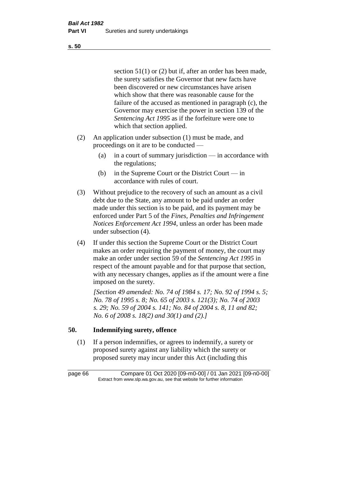section 51(1) or (2) but if, after an order has been made, the surety satisfies the Governor that new facts have been discovered or new circumstances have arisen which show that there was reasonable cause for the failure of the accused as mentioned in paragraph (c), the Governor may exercise the power in section 139 of the *Sentencing Act 1995* as if the forfeiture were one to which that section applied.

- (2) An application under subsection (1) must be made, and proceedings on it are to be conducted —
	- (a) in a court of summary jurisdiction in accordance with the regulations;
	- (b) in the Supreme Court or the District Court in accordance with rules of court.
- (3) Without prejudice to the recovery of such an amount as a civil debt due to the State, any amount to be paid under an order made under this section is to be paid, and its payment may be enforced under Part 5 of the *Fines, Penalties and Infringement Notices Enforcement Act 1994*, unless an order has been made under subsection (4).
- (4) If under this section the Supreme Court or the District Court makes an order requiring the payment of money, the court may make an order under section 59 of the *Sentencing Act 1995* in respect of the amount payable and for that purpose that section, with any necessary changes, applies as if the amount were a fine imposed on the surety.

*[Section 49 amended: No. 74 of 1984 s. 17; No. 92 of 1994 s. 5; No. 78 of 1995 s. 8; No. 65 of 2003 s. 121(3); No. 74 of 2003 s. 29; No. 59 of 2004 s. 141; No. 84 of 2004 s. 8, 11 and 82; No. 6 of 2008 s. 18(2) and 30(1) and (2).]* 

# **50. Indemnifying surety, offence**

(1) If a person indemnifies, or agrees to indemnify, a surety or proposed surety against any liability which the surety or proposed surety may incur under this Act (including this

page 66 Compare 01 Oct 2020 [09-m0-00] / 01 Jan 2021 [09-n0-00] Extract from www.slp.wa.gov.au, see that website for further information

**s. 50**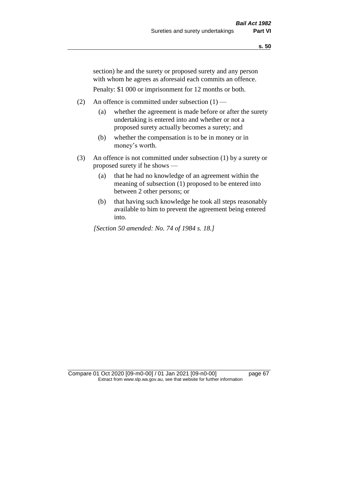section) he and the surety or proposed surety and any person with whom he agrees as aforesaid each commits an offence.

Penalty: \$1 000 or imprisonment for 12 months or both.

- (2) An offence is committed under subsection  $(1)$ 
	- (a) whether the agreement is made before or after the surety undertaking is entered into and whether or not a proposed surety actually becomes a surety; and
	- (b) whether the compensation is to be in money or in money's worth.
- (3) An offence is not committed under subsection (1) by a surety or proposed surety if he shows —
	- (a) that he had no knowledge of an agreement within the meaning of subsection (1) proposed to be entered into between 2 other persons; or
	- (b) that having such knowledge he took all steps reasonably available to him to prevent the agreement being entered into.

*[Section 50 amended: No. 74 of 1984 s. 18.]* 

Compare 01 Oct 2020 [09-m0-00] / 01 Jan 2021 [09-n0-00] page 67 Extract from www.slp.wa.gov.au, see that website for further information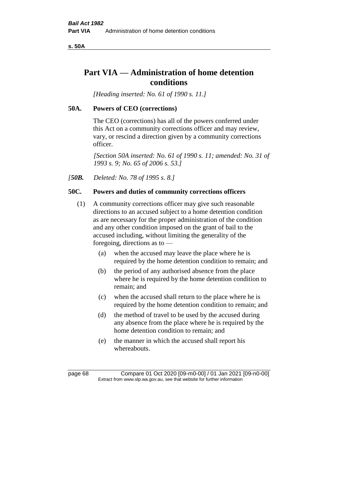**s. 50A**

# **Part VIA — Administration of home detention conditions**

*[Heading inserted: No. 61 of 1990 s. 11.]* 

## **50A. Powers of CEO (corrections)**

The CEO (corrections) has all of the powers conferred under this Act on a community corrections officer and may review, vary, or rescind a direction given by a community corrections officer.

*[Section 50A inserted: No. 61 of 1990 s. 11; amended: No. 31 of 1993 s. 9; No. 65 of 2006 s. 53.]* 

*[50B. Deleted: No. 78 of 1995 s. 8.]* 

# **50C. Powers and duties of community corrections officers**

- (1) A community corrections officer may give such reasonable directions to an accused subject to a home detention condition as are necessary for the proper administration of the condition and any other condition imposed on the grant of bail to the accused including, without limiting the generality of the foregoing, directions as to —
	- (a) when the accused may leave the place where he is required by the home detention condition to remain; and
	- (b) the period of any authorised absence from the place where he is required by the home detention condition to remain; and
	- (c) when the accused shall return to the place where he is required by the home detention condition to remain; and
	- (d) the method of travel to be used by the accused during any absence from the place where he is required by the home detention condition to remain; and
	- (e) the manner in which the accused shall report his whereabouts.

page 68 Compare 01 Oct 2020 [09-m0-00] / 01 Jan 2021 [09-n0-00] Extract from www.slp.wa.gov.au, see that website for further information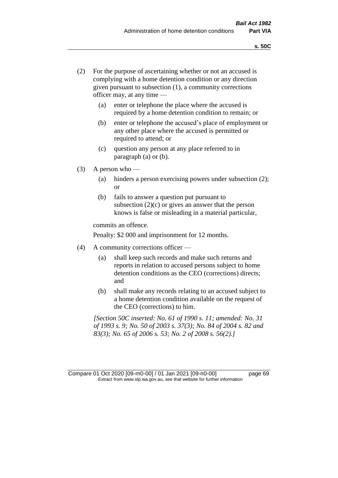- (2) For the purpose of ascertaining whether or not an accused is complying with a home detention condition or any direction given pursuant to subsection (1), a community corrections officer may, at any time —
	- (a) enter or telephone the place where the accused is required by a home detention condition to remain; or
	- (b) enter or telephone the accused's place of employment or any other place where the accused is permitted or required to attend; or
	- (c) question any person at any place referred to in paragraph (a) or (b).
- (3) A person who
	- (a) hinders a person exercising powers under subsection (2); or
	- (b) fails to answer a question put pursuant to subsection  $(2)(c)$  or gives an answer that the person knows is false or misleading in a material particular,

commits an offence.

Penalty: \$2 000 and imprisonment for 12 months.

- (4) A community corrections officer
	- (a) shall keep such records and make such returns and reports in relation to accused persons subject to home detention conditions as the CEO (corrections) directs; and
	- (b) shall make any records relating to an accused subject to a home detention condition available on the request of the CEO (corrections) to him.

*[Section 50C inserted: No. 61 of 1990 s. 11; amended: No. 31 of 1993 s. 9; No. 50 of 2003 s. 37(3); No. 84 of 2004 s. 82 and 83(3); No. 65 of 2006 s. 53; No. 2 of 2008 s. 56(2).]* 

Compare 01 Oct 2020 [09-m0-00] / 01 Jan 2021 [09-n0-00] page 69 Extract from www.slp.wa.gov.au, see that website for further information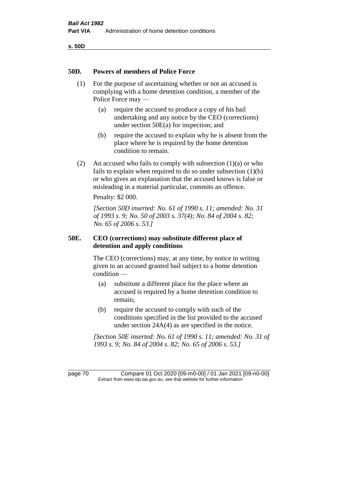**s. 50D**

#### **50D. Powers of members of Police Force**

- (1) For the purpose of ascertaining whether or not an accused is complying with a home detention condition, a member of the Police Force may —
	- (a) require the accused to produce a copy of his bail undertaking and any notice by the CEO (corrections) under section 50E(a) for inspection; and
	- (b) require the accused to explain why he is absent from the place where he is required by the home detention condition to remain.
- (2) An accused who fails to comply with subsection  $(1)(a)$  or who fails to explain when required to do so under subsection (1)(b) or who gives an explanation that the accused knows is false or misleading in a material particular, commits an offence.

Penalty: \$2 000.

*[Section 50D inserted: No. 61 of 1990 s. 11; amended: No. 31 of 1993 s. 9; No. 50 of 2003 s. 37(4); No. 84 of 2004 s. 82; No. 65 of 2006 s. 53.]* 

#### **50E. CEO (corrections) may substitute different place of detention and apply conditions**

The CEO (corrections) may, at any time, by notice in writing given to an accused granted bail subject to a home detention condition —

- (a) substitute a different place for the place where an accused is required by a home detention condition to remain;
- (b) require the accused to comply with such of the conditions specified in the list provided to the accused under section 24A(4) as are specified in the notice.

*[Section 50E inserted: No. 61 of 1990 s. 11; amended: No. 31 of 1993 s. 9; No. 84 of 2004 s. 82; No. 65 of 2006 s. 53.]* 

page 70 Compare 01 Oct 2020 [09-m0-00] / 01 Jan 2021 [09-n0-00] Extract from www.slp.wa.gov.au, see that website for further information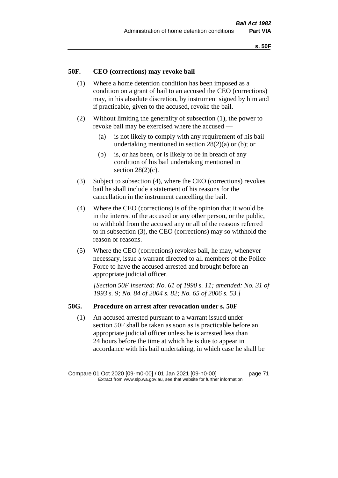# **50F. CEO (corrections) may revoke bail**

- (1) Where a home detention condition has been imposed as a condition on a grant of bail to an accused the CEO (corrections) may, in his absolute discretion, by instrument signed by him and if practicable, given to the accused, revoke the bail.
- (2) Without limiting the generality of subsection (1), the power to revoke bail may be exercised where the accused —
	- (a) is not likely to comply with any requirement of his bail undertaking mentioned in section 28(2)(a) or (b); or
	- (b) is, or has been, or is likely to be in breach of any condition of his bail undertaking mentioned in section  $28(2)(c)$ .
- (3) Subject to subsection (4), where the CEO (corrections) revokes bail he shall include a statement of his reasons for the cancellation in the instrument cancelling the bail.
- (4) Where the CEO (corrections) is of the opinion that it would be in the interest of the accused or any other person, or the public, to withhold from the accused any or all of the reasons referred to in subsection (3), the CEO (corrections) may so withhold the reason or reasons.
- (5) Where the CEO (corrections) revokes bail, he may, whenever necessary, issue a warrant directed to all members of the Police Force to have the accused arrested and brought before an appropriate judicial officer.

*[Section 50F inserted: No. 61 of 1990 s. 11; amended: No. 31 of 1993 s. 9; No. 84 of 2004 s. 82; No. 65 of 2006 s. 53.]* 

#### **50G. Procedure on arrest after revocation under s. 50F**

(1) An accused arrested pursuant to a warrant issued under section 50F shall be taken as soon as is practicable before an appropriate judicial officer unless he is arrested less than 24 hours before the time at which he is due to appear in accordance with his bail undertaking, in which case he shall be

Compare 01 Oct 2020 [09-m0-00] / 01 Jan 2021 [09-n0-00] page 71 Extract from www.slp.wa.gov.au, see that website for further information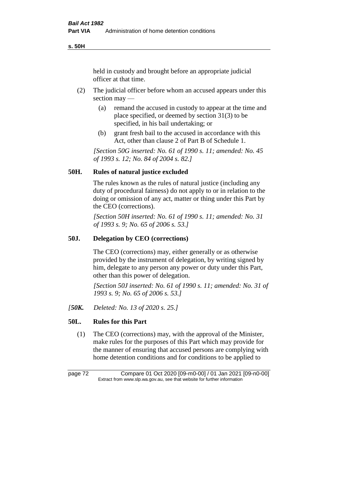**s. 50H**

held in custody and brought before an appropriate judicial officer at that time.

- (2) The judicial officer before whom an accused appears under this section may —
	- (a) remand the accused in custody to appear at the time and place specified, or deemed by section 31(3) to be specified, in his bail undertaking; or
	- (b) grant fresh bail to the accused in accordance with this Act, other than clause 2 of Part B of Schedule 1.

*[Section 50G inserted: No. 61 of 1990 s. 11; amended: No. 45 of 1993 s. 12; No. 84 of 2004 s. 82.]* 

# **50H. Rules of natural justice excluded**

The rules known as the rules of natural justice (including any duty of procedural fairness) do not apply to or in relation to the doing or omission of any act, matter or thing under this Part by the CEO (corrections).

*[Section 50H inserted: No. 61 of 1990 s. 11; amended: No. 31 of 1993 s. 9; No. 65 of 2006 s. 53.]* 

### **50J. Delegation by CEO (corrections)**

The CEO (corrections) may, either generally or as otherwise provided by the instrument of delegation, by writing signed by him, delegate to any person any power or duty under this Part, other than this power of delegation.

*[Section 50J inserted: No. 61 of 1990 s. 11; amended: No. 31 of 1993 s. 9; No. 65 of 2006 s. 53.]* 

*[50K. Deleted: No. 13 of 2020 s. 25.]*

# **50L. Rules for this Part**

(1) The CEO (corrections) may, with the approval of the Minister, make rules for the purposes of this Part which may provide for the manner of ensuring that accused persons are complying with home detention conditions and for conditions to be applied to

page 72 Compare 01 Oct 2020 [09-m0-00] / 01 Jan 2021 [09-n0-00] Extract from www.slp.wa.gov.au, see that website for further information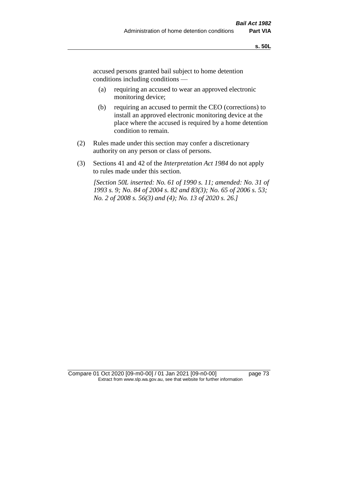accused persons granted bail subject to home detention conditions including conditions —

- (a) requiring an accused to wear an approved electronic monitoring device;
- (b) requiring an accused to permit the CEO (corrections) to install an approved electronic monitoring device at the place where the accused is required by a home detention condition to remain.
- (2) Rules made under this section may confer a discretionary authority on any person or class of persons.
- (3) Sections 41 and 42 of the *Interpretation Act 1984* do not apply to rules made under this section.

*[Section 50L inserted: No. 61 of 1990 s. 11; amended: No. 31 of 1993 s. 9; No. 84 of 2004 s. 82 and 83(3); No. 65 of 2006 s. 53; No. 2 of 2008 s. 56(3) and (4); No. 13 of 2020 s. 26.]* 

Compare 01 Oct 2020 [09-m0-00] / 01 Jan 2021 [09-n0-00] page 73 Extract from www.slp.wa.gov.au, see that website for further information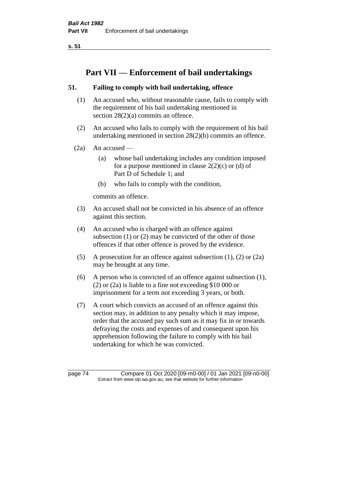**s. 51**

# **Part VII — Enforcement of bail undertakings**

# **51. Failing to comply with bail undertaking, offence**

- (1) An accused who, without reasonable cause, fails to comply with the requirement of his bail undertaking mentioned in section 28(2)(a) commits an offence.
- (2) An accused who fails to comply with the requirement of his bail undertaking mentioned in section 28(2)(b) commits an offence.
- $(2a)$  An accused
	- (a) whose bail undertaking includes any condition imposed for a purpose mentioned in clause  $2(2)(c)$  or (d) of Part D of Schedule 1; and
	- (b) who fails to comply with the condition,

commits an offence.

- (3) An accused shall not be convicted in his absence of an offence against this section.
- (4) An accused who is charged with an offence against subsection (1) or (2) may be convicted of the other of those offences if that other offence is proved by the evidence.
- (5) A prosecution for an offence against subsection (1), (2) or (2a) may be brought at any time.
- (6) A person who is convicted of an offence against subsection (1), (2) or (2a) is liable to a fine not exceeding \$10 000 or imprisonment for a term not exceeding 3 years, or both.
- (7) A court which convicts an accused of an offence against this section may, in addition to any penalty which it may impose, order that the accused pay such sum as it may fix in or towards defraying the costs and expenses of and consequent upon his apprehension following the failure to comply with his bail undertaking for which he was convicted.

page 74 Compare 01 Oct 2020 [09-m0-00] / 01 Jan 2021 [09-n0-00] Extract from www.slp.wa.gov.au, see that website for further information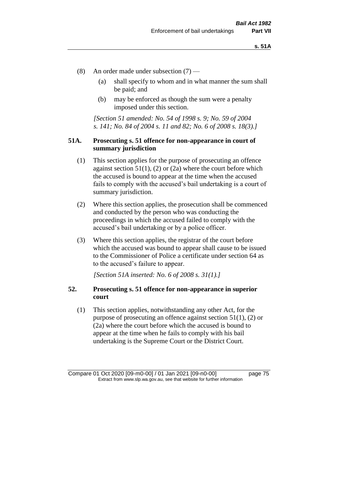- (8) An order made under subsection (7)
	- (a) shall specify to whom and in what manner the sum shall be paid; and
	- (b) may be enforced as though the sum were a penalty imposed under this section.

*[Section 51 amended: No. 54 of 1998 s. 9; No. 59 of 2004 s. 141; No. 84 of 2004 s. 11 and 82; No. 6 of 2008 s. 18(3).]*

### **51A. Prosecuting s. 51 offence for non-appearance in court of summary jurisdiction**

- (1) This section applies for the purpose of prosecuting an offence against section  $51(1)$ , (2) or (2a) where the court before which the accused is bound to appear at the time when the accused fails to comply with the accused's bail undertaking is a court of summary jurisdiction.
- (2) Where this section applies, the prosecution shall be commenced and conducted by the person who was conducting the proceedings in which the accused failed to comply with the accused's bail undertaking or by a police officer.
- (3) Where this section applies, the registrar of the court before which the accused was bound to appear shall cause to be issued to the Commissioner of Police a certificate under section 64 as to the accused's failure to appear.

*[Section 51A inserted: No. 6 of 2008 s. 31(1).]*

# **52. Prosecuting s. 51 offence for non-appearance in superior court**

(1) This section applies, notwithstanding any other Act, for the purpose of prosecuting an offence against section 51(1), (2) or (2a) where the court before which the accused is bound to appear at the time when he fails to comply with his bail undertaking is the Supreme Court or the District Court.

Compare 01 Oct 2020 [09-m0-00] / 01 Jan 2021 [09-n0-00] page 75 Extract from www.slp.wa.gov.au, see that website for further information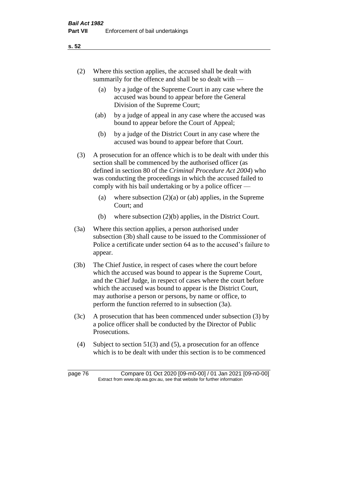- (2) Where this section applies, the accused shall be dealt with summarily for the offence and shall be so dealt with —
	- (a) by a judge of the Supreme Court in any case where the accused was bound to appear before the General Division of the Supreme Court;
	- (ab) by a judge of appeal in any case where the accused was bound to appear before the Court of Appeal;
	- (b) by a judge of the District Court in any case where the accused was bound to appear before that Court.
- (3) A prosecution for an offence which is to be dealt with under this section shall be commenced by the authorised officer (as defined in section 80 of the *Criminal Procedure Act 2004*) who was conducting the proceedings in which the accused failed to comply with his bail undertaking or by a police officer —
	- (a) where subsection  $(2)(a)$  or (ab) applies, in the Supreme Court; and
	- (b) where subsection (2)(b) applies, in the District Court.
- (3a) Where this section applies, a person authorised under subsection (3b) shall cause to be issued to the Commissioner of Police a certificate under section 64 as to the accused's failure to appear.
- (3b) The Chief Justice, in respect of cases where the court before which the accused was bound to appear is the Supreme Court, and the Chief Judge, in respect of cases where the court before which the accused was bound to appear is the District Court, may authorise a person or persons, by name or office, to perform the function referred to in subsection (3a).
- (3c) A prosecution that has been commenced under subsection (3) by a police officer shall be conducted by the Director of Public Prosecutions.
- (4) Subject to section 51(3) and (5), a prosecution for an offence which is to be dealt with under this section is to be commenced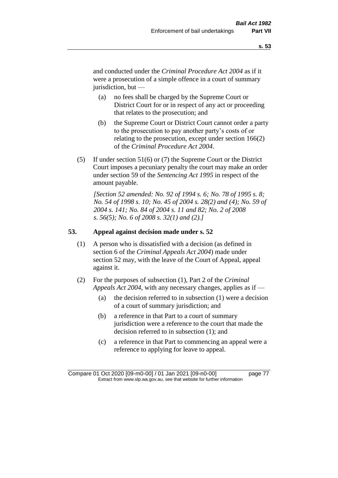and conducted under the *Criminal Procedure Act 2004* as if it were a prosecution of a simple offence in a court of summary jurisdiction, but —

- (a) no fees shall be charged by the Supreme Court or District Court for or in respect of any act or proceeding that relates to the prosecution; and
- (b) the Supreme Court or District Court cannot order a party to the prosecution to pay another party's costs of or relating to the prosecution, except under section 166(2) of the *Criminal Procedure Act 2004*.
- (5) If under section 51(6) or (7) the Supreme Court or the District Court imposes a pecuniary penalty the court may make an order under section 59 of the *Sentencing Act 1995* in respect of the amount payable.

*[Section 52 amended: No. 92 of 1994 s. 6; No. 78 of 1995 s. 8; No. 54 of 1998 s. 10; No. 45 of 2004 s. 28(2) and (4); No. 59 of 2004 s. 141; No. 84 of 2004 s. 11 and 82; No. 2 of 2008 s. 56(5); No. 6 of 2008 s. 32(1) and (2).]* 

#### **53. Appeal against decision made under s. 52**

- (1) A person who is dissatisfied with a decision (as defined in section 6 of the *Criminal Appeals Act 2004*) made under section 52 may, with the leave of the Court of Appeal, appeal against it.
- (2) For the purposes of subsection (1), Part 2 of the *Criminal Appeals Act 2004*, with any necessary changes, applies as if —
	- (a) the decision referred to in subsection (1) were a decision of a court of summary jurisdiction; and
	- (b) a reference in that Part to a court of summary jurisdiction were a reference to the court that made the decision referred to in subsection (1); and
	- (c) a reference in that Part to commencing an appeal were a reference to applying for leave to appeal.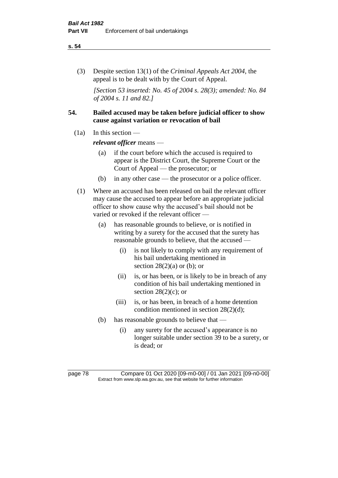#### **s. 54**

(3) Despite section 13(1) of the *Criminal Appeals Act 2004*, the appeal is to be dealt with by the Court of Appeal.

*[Section 53 inserted: No. 45 of 2004 s. 28(3); amended: No. 84 of 2004 s. 11 and 82.]*

# **54. Bailed accused may be taken before judicial officer to show cause against variation or revocation of bail**

 $(1a)$  In this section —

*relevant officer* means —

- (a) if the court before which the accused is required to appear is the District Court, the Supreme Court or the Court of Appeal — the prosecutor; or
- (b) in any other case the prosecutor or a police officer.
- (1) Where an accused has been released on bail the relevant officer may cause the accused to appear before an appropriate judicial officer to show cause why the accused's bail should not be varied or revoked if the relevant officer —
	- (a) has reasonable grounds to believe, or is notified in writing by a surety for the accused that the surety has reasonable grounds to believe, that the accused —
		- (i) is not likely to comply with any requirement of his bail undertaking mentioned in section  $28(2)(a)$  or (b); or
		- (ii) is, or has been, or is likely to be in breach of any condition of his bail undertaking mentioned in section  $28(2)(c)$ ; or
		- (iii) is, or has been, in breach of a home detention condition mentioned in section 28(2)(d);
	- (b) has reasonable grounds to believe that
		- (i) any surety for the accused's appearance is no longer suitable under section 39 to be a surety, or is dead; or

page 78 Compare 01 Oct 2020 [09-m0-00] / 01 Jan 2021 [09-n0-00] Extract from www.slp.wa.gov.au, see that website for further information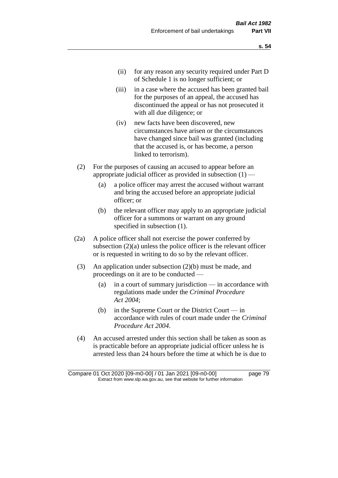- (ii) for any reason any security required under Part D of Schedule 1 is no longer sufficient; or
- (iii) in a case where the accused has been granted bail for the purposes of an appeal, the accused has discontinued the appeal or has not prosecuted it with all due diligence; or
- (iv) new facts have been discovered, new circumstances have arisen or the circumstances have changed since bail was granted (including that the accused is, or has become, a person linked to terrorism).
- (2) For the purposes of causing an accused to appear before an appropriate judicial officer as provided in subsection  $(1)$  —
	- (a) a police officer may arrest the accused without warrant and bring the accused before an appropriate judicial officer; or
	- (b) the relevant officer may apply to an appropriate judicial officer for a summons or warrant on any ground specified in subsection (1).
- (2a) A police officer shall not exercise the power conferred by subsection (2)(a) unless the police officer is the relevant officer or is requested in writing to do so by the relevant officer.
- (3) An application under subsection (2)(b) must be made, and proceedings on it are to be conducted —
	- (a) in a court of summary jurisdiction in accordance with regulations made under the *Criminal Procedure Act 2004*;
	- (b) in the Supreme Court or the District Court  $-\text{in}$ accordance with rules of court made under the *Criminal Procedure Act 2004*.
- (4) An accused arrested under this section shall be taken as soon as is practicable before an appropriate judicial officer unless he is arrested less than 24 hours before the time at which he is due to

Compare 01 Oct 2020 [09-m0-00] / 01 Jan 2021 [09-n0-00] page 79 Extract from www.slp.wa.gov.au, see that website for further information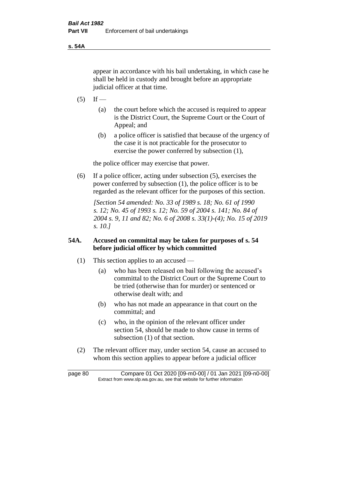**s. 54A**

appear in accordance with his bail undertaking, in which case he shall be held in custody and brought before an appropriate judicial officer at that time.

- $(5)$  If
	- (a) the court before which the accused is required to appear is the District Court, the Supreme Court or the Court of Appeal; and
	- (b) a police officer is satisfied that because of the urgency of the case it is not practicable for the prosecutor to exercise the power conferred by subsection (1),

the police officer may exercise that power.

(6) If a police officer, acting under subsection (5), exercises the power conferred by subsection (1), the police officer is to be regarded as the relevant officer for the purposes of this section.

*[Section 54 amended: No. 33 of 1989 s. 18; No. 61 of 1990 s. 12; No. 45 of 1993 s. 12; No. 59 of 2004 s. 141; No. 84 of 2004 s. 9, 11 and 82; No. 6 of 2008 s. 33(1)-(4); No. 15 of 2019 s. 10.]* 

# **54A. Accused on committal may be taken for purposes of s. 54 before judicial officer by which committed**

- (1) This section applies to an accused
	- (a) who has been released on bail following the accused's committal to the District Court or the Supreme Court to be tried (otherwise than for murder) or sentenced or otherwise dealt with; and
	- (b) who has not made an appearance in that court on the committal; and
	- (c) who, in the opinion of the relevant officer under section 54, should be made to show cause in terms of subsection (1) of that section.
- (2) The relevant officer may, under section 54, cause an accused to whom this section applies to appear before a judicial officer

page 80 Compare 01 Oct 2020 [09-m0-00] / 01 Jan 2021 [09-n0-00] Extract from www.slp.wa.gov.au, see that website for further information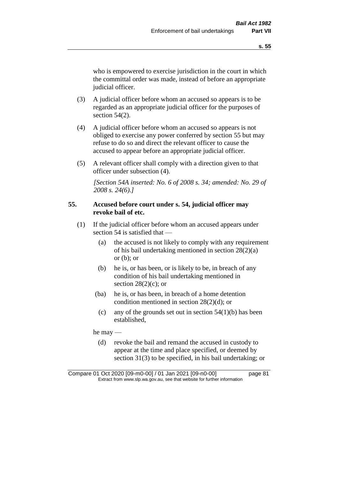who is empowered to exercise jurisdiction in the court in which the committal order was made, instead of before an appropriate judicial officer.

- (3) A judicial officer before whom an accused so appears is to be regarded as an appropriate judicial officer for the purposes of section 54(2).
- (4) A judicial officer before whom an accused so appears is not obliged to exercise any power conferred by section 55 but may refuse to do so and direct the relevant officer to cause the accused to appear before an appropriate judicial officer.
- (5) A relevant officer shall comply with a direction given to that officer under subsection (4).

*[Section 54A inserted: No. 6 of 2008 s. 34; amended: No. 29 of 2008 s. 24(6).]*

### **55. Accused before court under s. 54, judicial officer may revoke bail of etc.**

- (1) If the judicial officer before whom an accused appears under section 54 is satisfied that —
	- (a) the accused is not likely to comply with any requirement of his bail undertaking mentioned in section 28(2)(a) or  $(b)$ ; or
	- (b) he is, or has been, or is likely to be, in breach of any condition of his bail undertaking mentioned in section  $28(2)(c)$ ; or
	- (ba) he is, or has been, in breach of a home detention condition mentioned in section 28(2)(d); or
		- (c) any of the grounds set out in section  $54(1)(b)$  has been established,

he may —

(d) revoke the bail and remand the accused in custody to appear at the time and place specified, or deemed by section 31(3) to be specified, in his bail undertaking; or

Compare 01 Oct 2020 [09-m0-00] / 01 Jan 2021 [09-n0-00] page 81 Extract from www.slp.wa.gov.au, see that website for further information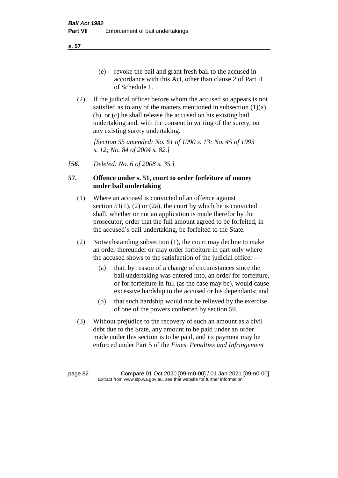**s. 57**

- (e) revoke the bail and grant fresh bail to the accused in accordance with this Act, other than clause 2 of Part B of Schedule 1.
- (2) If the judicial officer before whom the accused so appears is not satisfied as to any of the matters mentioned in subsection (1)(a), (b), or (c) he shall release the accused on his existing bail undertaking and, with the consent in writing of the surety, on any existing surety undertaking.

*[Section 55 amended: No. 61 of 1990 s. 13; No. 45 of 1993 s. 12; No. 84 of 2004 s. 82.]* 

*[56. Deleted: No. 6 of 2008 s. 35.]*

# **57. Offence under s. 51, court to order forfeiture of money under bail undertaking**

- (1) Where an accused is convicted of an offence against section  $51(1)$ ,  $(2)$  or  $(2a)$ , the court by which he is convicted shall, whether or not an application is made therefor by the prosecutor, order that the full amount agreed to be forfeited, in the accused's bail undertaking, be forfeited to the State.
- (2) Notwithstanding subsection (1), the court may decline to make an order thereunder or may order forfeiture in part only where the accused shows to the satisfaction of the judicial officer —
	- (a) that, by reason of a change of circumstances since the bail undertaking was entered into, an order for forfeiture, or for forfeiture in full (as the case may be), would cause excessive hardship to the accused or his dependants; and
	- (b) that such hardship would not be relieved by the exercise of one of the powers conferred by section 59.
- (3) Without prejudice to the recovery of such an amount as a civil debt due to the State, any amount to be paid under an order made under this section is to be paid, and its payment may be enforced under Part 5 of the *Fines, Penalties and Infringement*

page 82 Compare 01 Oct 2020 [09-m0-00] / 01 Jan 2021 [09-n0-00] Extract from www.slp.wa.gov.au, see that website for further information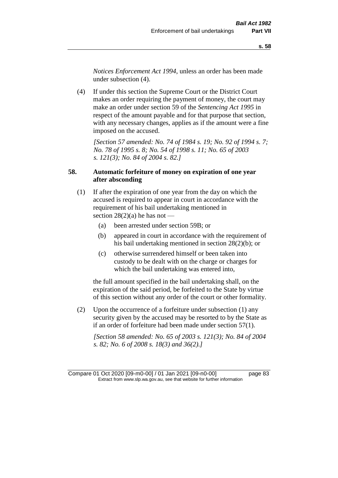*Notices Enforcement Act 1994*, unless an order has been made under subsection (4).

(4) If under this section the Supreme Court or the District Court makes an order requiring the payment of money, the court may make an order under section 59 of the *Sentencing Act 1995* in respect of the amount payable and for that purpose that section, with any necessary changes, applies as if the amount were a fine imposed on the accused.

*[Section 57 amended: No. 74 of 1984 s. 19; No. 92 of 1994 s. 7; No. 78 of 1995 s. 8; No. 54 of 1998 s. 11; No. 65 of 2003 s. 121(3); No. 84 of 2004 s. 82.]* 

### **58. Automatic forfeiture of money on expiration of one year after absconding**

- (1) If after the expiration of one year from the day on which the accused is required to appear in court in accordance with the requirement of his bail undertaking mentioned in section  $28(2)(a)$  he has not —
	- (a) been arrested under section 59B; or
	- (b) appeared in court in accordance with the requirement of his bail undertaking mentioned in section 28(2)(b); or
	- (c) otherwise surrendered himself or been taken into custody to be dealt with on the charge or charges for which the bail undertaking was entered into,

the full amount specified in the bail undertaking shall, on the expiration of the said period, be forfeited to the State by virtue of this section without any order of the court or other formality.

(2) Upon the occurrence of a forfeiture under subsection (1) any security given by the accused may be resorted to by the State as if an order of forfeiture had been made under section 57(1).

*[Section 58 amended: No. 65 of 2003 s. 121(3); No. 84 of 2004 s. 82; No. 6 of 2008 s. 18(3) and 36(2).]*

Compare 01 Oct 2020 [09-m0-00] / 01 Jan 2021 [09-n0-00] page 83 Extract from www.slp.wa.gov.au, see that website for further information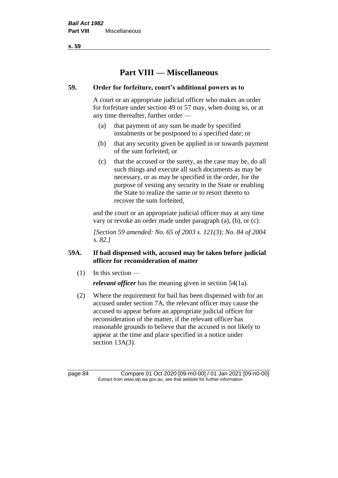**s. 59**

# **Part VIII — Miscellaneous**

# **59. Order for forfeiture, court's additional powers as to**

A court or an appropriate judicial officer who makes an order for forfeiture under section 49 or 57 may, when doing so, or at any time thereafter, further order —

- (a) that payment of any sum be made by specified instalments or be postponed to a specified date; or
- (b) that any security given be applied in or towards payment of the sum forfeited; or
- (c) that the accused or the surety, as the case may be, do all such things and execute all such documents as may be necessary, or as may be specified in the order, for the purpose of vesting any security in the State or enabling the State to realize the same or to resort thereto to recover the sum forfeited,

and the court or an appropriate judicial officer may at any time vary or revoke an order made under paragraph (a), (b), or (c).

*[Section 59 amended: No. 65 of 2003 s. 121(3); No. 84 of 2004 s. 82.]*

# **59A. If bail dispensed with, accused may be taken before judicial officer for reconsideration of matter**

 $(1)$  In this section —

*relevant officer* has the meaning given in section 54(1a).

(2) Where the requirement for bail has been dispensed with for an accused under section 7A, the relevant officer may cause the accused to appear before an appropriate judicial officer for reconsideration of the matter, if the relevant officer has reasonable grounds to believe that the accused is not likely to appear at the time and place specified in a notice under section 13A(3).

page 84 Compare 01 Oct 2020 [09-m0-00] / 01 Jan 2021 [09-n0-00] Extract from www.slp.wa.gov.au, see that website for further information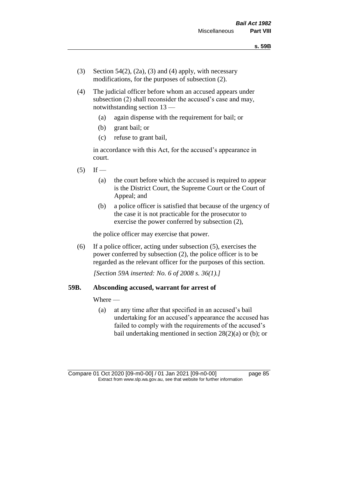- (3) Section 54(2), (2a), (3) and (4) apply, with necessary modifications, for the purposes of subsection (2).
- (4) The judicial officer before whom an accused appears under subsection (2) shall reconsider the accused's case and may, notwithstanding section 13 —
	- (a) again dispense with the requirement for bail; or
	- (b) grant bail; or
	- (c) refuse to grant bail,

in accordance with this Act, for the accused's appearance in court.

- $(5)$  If
	- (a) the court before which the accused is required to appear is the District Court, the Supreme Court or the Court of Appeal; and
	- (b) a police officer is satisfied that because of the urgency of the case it is not practicable for the prosecutor to exercise the power conferred by subsection (2),

the police officer may exercise that power.

(6) If a police officer, acting under subsection (5), exercises the power conferred by subsection (2), the police officer is to be regarded as the relevant officer for the purposes of this section.

*[Section 59A inserted: No. 6 of 2008 s. 36(1).]*

### **59B. Absconding accused, warrant for arrest of**

Where —

(a) at any time after that specified in an accused's bail undertaking for an accused's appearance the accused has failed to comply with the requirements of the accused's bail undertaking mentioned in section  $28(2)(a)$  or (b); or

Compare 01 Oct 2020 [09-m0-00] / 01 Jan 2021 [09-n0-00] page 85 Extract from www.slp.wa.gov.au, see that website for further information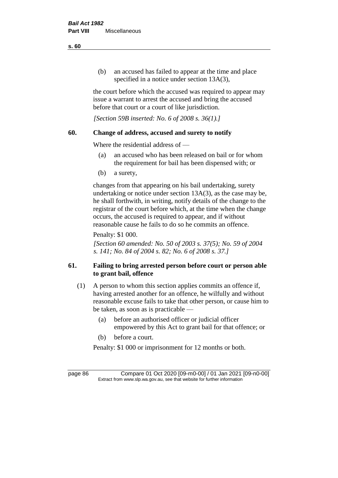(b) an accused has failed to appear at the time and place specified in a notice under section 13A(3),

the court before which the accused was required to appear may issue a warrant to arrest the accused and bring the accused before that court or a court of like jurisdiction.

*[Section 59B inserted: No. 6 of 2008 s. 36(1).]*

# **60. Change of address, accused and surety to notify**

Where the residential address of —

- (a) an accused who has been released on bail or for whom the requirement for bail has been dispensed with; or
- (b) a surety,

changes from that appearing on his bail undertaking, surety undertaking or notice under section 13A(3), as the case may be, he shall forthwith, in writing, notify details of the change to the registrar of the court before which, at the time when the change occurs, the accused is required to appear, and if without reasonable cause he fails to do so he commits an offence.

Penalty: \$1 000.

*[Section 60 amended: No. 50 of 2003 s. 37(5); No. 59 of 2004 s. 141; No. 84 of 2004 s. 82; No. 6 of 2008 s. 37.]*

# **61. Failing to bring arrested person before court or person able to grant bail, offence**

- (1) A person to whom this section applies commits an offence if, having arrested another for an offence, he wilfully and without reasonable excuse fails to take that other person, or cause him to be taken, as soon as is practicable —
	- (a) before an authorised officer or judicial officer empowered by this Act to grant bail for that offence; or
	- (b) before a court.

Penalty: \$1 000 or imprisonment for 12 months or both.

page 86 Compare 01 Oct 2020 [09-m0-00] / 01 Jan 2021 [09-n0-00] Extract from www.slp.wa.gov.au, see that website for further information

**s. 60**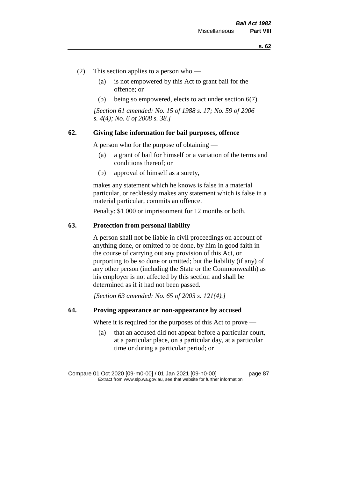- (2) This section applies to a person who
	- (a) is not empowered by this Act to grant bail for the offence; or
	- (b) being so empowered, elects to act under section 6(7).

*[Section 61 amended: No. 15 of 1988 s. 17; No. 59 of 2006 s. 4(4); No. 6 of 2008 s. 38.]* 

### **62. Giving false information for bail purposes, offence**

A person who for the purpose of obtaining —

- (a) a grant of bail for himself or a variation of the terms and conditions thereof; or
- (b) approval of himself as a surety,

makes any statement which he knows is false in a material particular, or recklessly makes any statement which is false in a material particular, commits an offence.

Penalty: \$1 000 or imprisonment for 12 months or both.

#### **63. Protection from personal liability**

A person shall not be liable in civil proceedings on account of anything done, or omitted to be done, by him in good faith in the course of carrying out any provision of this Act, or purporting to be so done or omitted; but the liability (if any) of any other person (including the State or the Commonwealth) as his employer is not affected by this section and shall be determined as if it had not been passed.

*[Section 63 amended: No. 65 of 2003 s. 121(4).]*

### **64. Proving appearance or non-appearance by accused**

Where it is required for the purposes of this Act to prove —

(a) that an accused did not appear before a particular court, at a particular place, on a particular day, at a particular time or during a particular period; or

Compare 01 Oct 2020 [09-m0-00] / 01 Jan 2021 [09-n0-00] page 87 Extract from www.slp.wa.gov.au, see that website for further information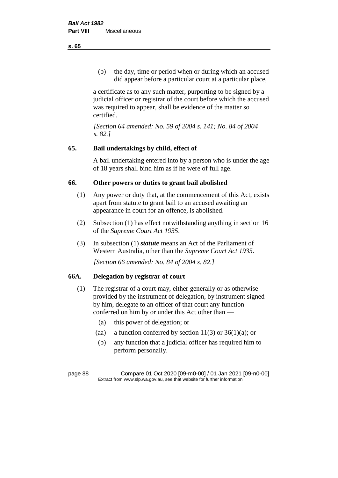(b) the day, time or period when or during which an accused did appear before a particular court at a particular place,

a certificate as to any such matter, purporting to be signed by a judicial officer or registrar of the court before which the accused was required to appear, shall be evidence of the matter so certified.

*[Section 64 amended: No. 59 of 2004 s. 141; No. 84 of 2004 s. 82.]* 

# **65. Bail undertakings by child, effect of**

A bail undertaking entered into by a person who is under the age of 18 years shall bind him as if he were of full age.

# **66. Other powers or duties to grant bail abolished**

- (1) Any power or duty that, at the commencement of this Act, exists apart from statute to grant bail to an accused awaiting an appearance in court for an offence, is abolished.
- (2) Subsection (1) has effect notwithstanding anything in section 16 of the *Supreme Court Act 1935*.
- (3) In subsection (1) *statute* means an Act of the Parliament of Western Australia, other than the *Supreme Court Act 1935*.

*[Section 66 amended: No. 84 of 2004 s. 82.]*

# **66A. Delegation by registrar of court**

- (1) The registrar of a court may, either generally or as otherwise provided by the instrument of delegation, by instrument signed by him, delegate to an officer of that court any function conferred on him by or under this Act other than —
	- (a) this power of delegation; or
	- (aa) a function conferred by section  $11(3)$  or  $36(1)(a)$ ; or
	- (b) any function that a judicial officer has required him to perform personally.

**s. 65**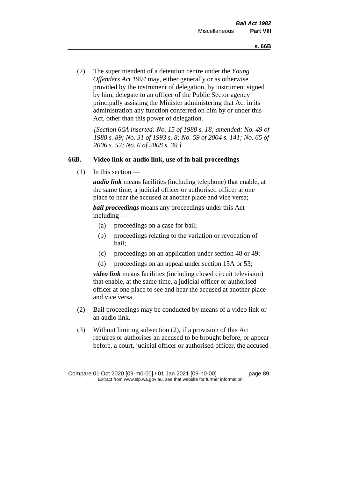(2) The superintendent of a detention centre under the *Young Offenders Act 1994* may, either generally or as otherwise provided by the instrument of delegation, by instrument signed by him, delegate to an officer of the Public Sector agency principally assisting the Minister administering that Act in its administration any function conferred on him by or under this Act, other than this power of delegation.

*[Section 66A inserted: No. 15 of 1988 s. 18; amended: No. 49 of 1988 s. 89; No. 31 of 1993 s. 8; No. 59 of 2004 s. 141; No. 65 of 2006 s. 52; No. 6 of 2008 s. 39.]* 

### **66B. Video link or audio link, use of in bail proceedings**

 $(1)$  In this section —

*audio link* means facilities (including telephone) that enable, at the same time, a judicial officer or authorised officer at one place to hear the accused at another place and vice versa;

*bail proceedings* means any proceedings under this Act including —

- (a) proceedings on a case for bail;
- (b) proceedings relating to the variation or revocation of bail;
- (c) proceedings on an application under section 48 or 49;
- (d) proceedings on an appeal under section 15A or 53;

*video link* means facilities (including closed circuit television) that enable, at the same time, a judicial officer or authorised officer at one place to see and hear the accused at another place and vice versa.

- (2) Bail proceedings may be conducted by means of a video link or an audio link.
- (3) Without limiting subsection (2), if a provision of this Act requires or authorises an accused to be brought before, or appear before, a court, judicial officer or authorised officer, the accused

Compare 01 Oct 2020 [09-m0-00] / 01 Jan 2021 [09-n0-00] page 89 Extract from www.slp.wa.gov.au, see that website for further information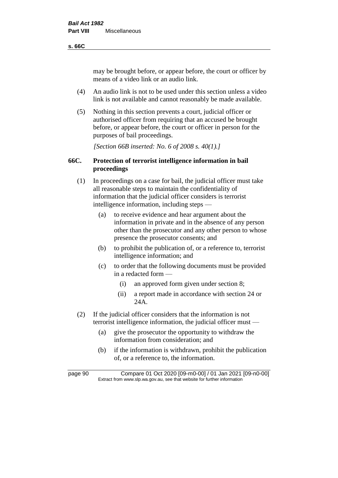#### **s. 66C**

may be brought before, or appear before, the court or officer by means of a video link or an audio link.

- (4) An audio link is not to be used under this section unless a video link is not available and cannot reasonably be made available.
- (5) Nothing in this section prevents a court, judicial officer or authorised officer from requiring that an accused be brought before, or appear before, the court or officer in person for the purposes of bail proceedings.

*[Section 66B inserted: No. 6 of 2008 s. 40(1).]*

# **66C. Protection of terrorist intelligence information in bail proceedings**

- (1) In proceedings on a case for bail, the judicial officer must take all reasonable steps to maintain the confidentiality of information that the judicial officer considers is terrorist intelligence information, including steps —
	- (a) to receive evidence and hear argument about the information in private and in the absence of any person other than the prosecutor and any other person to whose presence the prosecutor consents; and
	- (b) to prohibit the publication of, or a reference to, terrorist intelligence information; and
	- (c) to order that the following documents must be provided in a redacted form —
		- (i) an approved form given under section 8;
		- (ii) a report made in accordance with section 24 or 24A.
- (2) If the judicial officer considers that the information is not terrorist intelligence information, the judicial officer must —
	- (a) give the prosecutor the opportunity to withdraw the information from consideration; and
	- (b) if the information is withdrawn, prohibit the publication of, or a reference to, the information.

page 90 Compare 01 Oct 2020 [09-m0-00] / 01 Jan 2021 [09-n0-00] Extract from www.slp.wa.gov.au, see that website for further information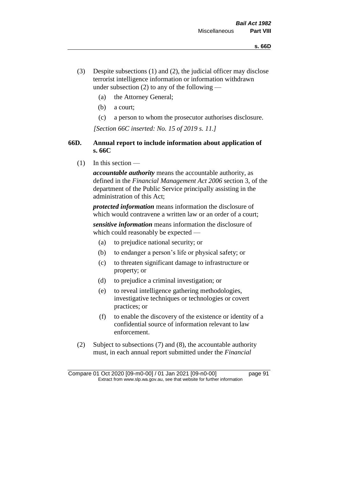- (3) Despite subsections (1) and (2), the judicial officer may disclose terrorist intelligence information or information withdrawn under subsection  $(2)$  to any of the following —
	- (a) the Attorney General;
	- (b) a court;
	- (c) a person to whom the prosecutor authorises disclosure.

*[Section 66C inserted: No. 15 of 2019 s. 11.]*

# **66D. Annual report to include information about application of s. 66C**

 $(1)$  In this section —

*accountable authority* means the accountable authority, as defined in the *Financial Management Act 2006* section 3, of the department of the Public Service principally assisting in the administration of this Act;

*protected information* means information the disclosure of which would contravene a written law or an order of a court;

*sensitive information* means information the disclosure of which could reasonably be expected —

- (a) to prejudice national security; or
- (b) to endanger a person's life or physical safety; or
- (c) to threaten significant damage to infrastructure or property; or
- (d) to prejudice a criminal investigation; or
- (e) to reveal intelligence gathering methodologies, investigative techniques or technologies or covert practices; or
- (f) to enable the discovery of the existence or identity of a confidential source of information relevant to law enforcement.
- (2) Subject to subsections (7) and (8), the accountable authority must, in each annual report submitted under the *Financial*

Compare 01 Oct 2020 [09-m0-00] / 01 Jan 2021 [09-n0-00] page 91 Extract from www.slp.wa.gov.au, see that website for further information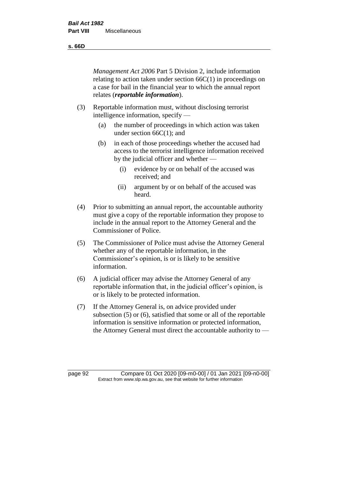**s. 66D**

*Management Act 2006* Part 5 Division 2, include information relating to action taken under section 66C(1) in proceedings on a case for bail in the financial year to which the annual report relates (*reportable information*).

- (3) Reportable information must, without disclosing terrorist intelligence information, specify —
	- (a) the number of proceedings in which action was taken under section 66C(1); and
	- (b) in each of those proceedings whether the accused had access to the terrorist intelligence information received by the judicial officer and whether —
		- (i) evidence by or on behalf of the accused was received; and
		- (ii) argument by or on behalf of the accused was heard.
- (4) Prior to submitting an annual report, the accountable authority must give a copy of the reportable information they propose to include in the annual report to the Attorney General and the Commissioner of Police.
- (5) The Commissioner of Police must advise the Attorney General whether any of the reportable information, in the Commissioner's opinion, is or is likely to be sensitive information.
- (6) A judicial officer may advise the Attorney General of any reportable information that, in the judicial officer's opinion, is or is likely to be protected information.
- (7) If the Attorney General is, on advice provided under subsection (5) or (6), satisfied that some or all of the reportable information is sensitive information or protected information, the Attorney General must direct the accountable authority to —

page 92 Compare 01 Oct 2020 [09-m0-00] / 01 Jan 2021 [09-n0-00] Extract from www.slp.wa.gov.au, see that website for further information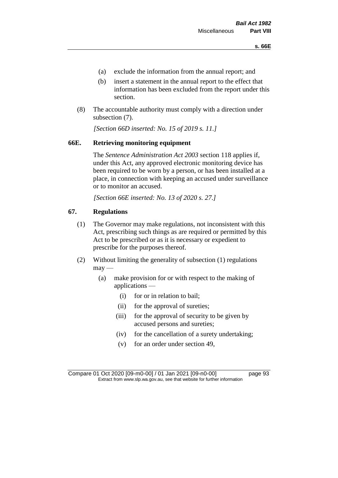- (a) exclude the information from the annual report; and
- (b) insert a statement in the annual report to the effect that information has been excluded from the report under this section.
- (8) The accountable authority must comply with a direction under subsection (7).

*[Section 66D inserted: No. 15 of 2019 s. 11.]*

# **66E. Retrieving monitoring equipment**

The *Sentence Administration Act 2003* section 118 applies if, under this Act, any approved electronic monitoring device has been required to be worn by a person, or has been installed at a place, in connection with keeping an accused under surveillance or to monitor an accused.

*[Section 66E inserted: No. 13 of 2020 s. 27.]*

# **67. Regulations**

- (1) The Governor may make regulations, not inconsistent with this Act, prescribing such things as are required or permitted by this Act to be prescribed or as it is necessary or expedient to prescribe for the purposes thereof.
- (2) Without limiting the generality of subsection (1) regulations  $may$ —
	- (a) make provision for or with respect to the making of applications —
		- (i) for or in relation to bail;
		- (ii) for the approval of sureties;
		- (iii) for the approval of security to be given by accused persons and sureties;
		- (iv) for the cancellation of a surety undertaking;
		- (v) for an order under section 49,

Compare 01 Oct 2020 [09-m0-00] / 01 Jan 2021 [09-n0-00] page 93 Extract from www.slp.wa.gov.au, see that website for further information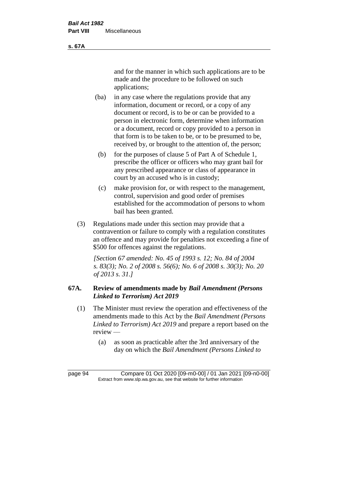and for the manner in which such applications are to be made and the procedure to be followed on such applications;

- (ba) in any case where the regulations provide that any information, document or record, or a copy of any document or record, is to be or can be provided to a person in electronic form, determine when information or a document, record or copy provided to a person in that form is to be taken to be, or to be presumed to be, received by, or brought to the attention of, the person;
	- (b) for the purposes of clause 5 of Part A of Schedule 1, prescribe the officer or officers who may grant bail for any prescribed appearance or class of appearance in court by an accused who is in custody;
	- (c) make provision for, or with respect to the management, control, supervision and good order of premises established for the accommodation of persons to whom bail has been granted.
- (3) Regulations made under this section may provide that a contravention or failure to comply with a regulation constitutes an offence and may provide for penalties not exceeding a fine of \$500 for offences against the regulations.

*[Section 67 amended: No. 45 of 1993 s. 12; No. 84 of 2004 s. 83(3); No. 2 of 2008 s. 56(6); No. 6 of 2008 s. 30(3); No. 20 of 2013 s. 31.]* 

# **67A. Review of amendments made by** *Bail Amendment (Persons Linked to Terrorism) Act 2019*

- (1) The Minister must review the operation and effectiveness of the amendments made to this Act by the *Bail Amendment (Persons Linked to Terrorism) Act 2019* and prepare a report based on the review —
	- (a) as soon as practicable after the 3rd anniversary of the day on which the *Bail Amendment (Persons Linked to*

**s. 67A**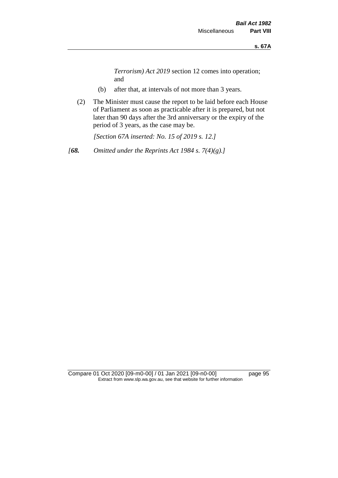*Terrorism) Act 2019* section 12 comes into operation; and

- (b) after that, at intervals of not more than 3 years.
- (2) The Minister must cause the report to be laid before each House of Parliament as soon as practicable after it is prepared, but not later than 90 days after the 3rd anniversary or the expiry of the period of 3 years, as the case may be.

*[Section 67A inserted: No. 15 of 2019 s. 12.]*

*[68. Omitted under the Reprints Act 1984 s. 7(4)(g).]*

Compare 01 Oct 2020 [09-m0-00] / 01 Jan 2021 [09-n0-00] page 95 Extract from www.slp.wa.gov.au, see that website for further information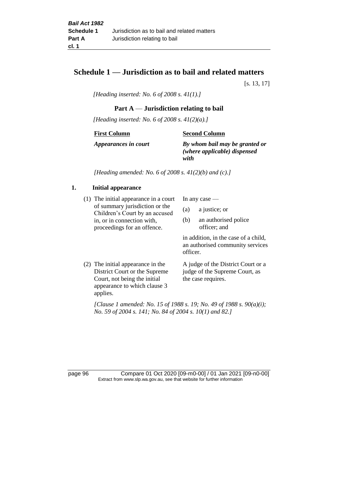# **Schedule 1 — Jurisdiction as to bail and related matters**

[s. 13, 17]

*[Heading inserted: No. 6 of 2008 s. 41(1).]*

### **Part A** — **Jurisdiction relating to bail**

*[Heading inserted: No. 6 of 2008 s. 41(2)(a).]*

**First Column**

**Second Column**

*Appearances in court*

*By whom bail may be granted or (where applicable) dispensed* 

*with*

*[Heading amended: No. 6 of 2008 s. 41(2)(b) and (c).]*

#### **1. Initial appearance**

(1) The initial appearance in a court of summary jurisdiction or the Children's Court by an accused in, or in connection with, proceedings for an offence.

In any case —

- (a) a justice; or
- (b) an authorised police officer; and

in addition, in the case of a child, an authorised community services officer.

(2) The initial appearance in the District Court or the Supreme Court, not being the initial appearance to which clause 3 applies. A judge of the District Court or a judge of the Supreme Court, as the case requires.

*[Clause 1 amended: No. 15 of 1988 s. 19; No. 49 of 1988 s. 90(a)(i); No. 59 of 2004 s. 141; No. 84 of 2004 s. 10(1) and 82.]*

page 96 Compare 01 Oct 2020 [09-m0-00] / 01 Jan 2021 [09-n0-00] Extract from www.slp.wa.gov.au, see that website for further information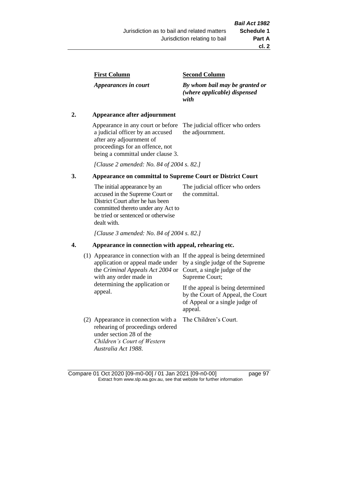| <b>First Column</b> |
|---------------------|
|---------------------|

*Appearances in court*

#### **Second Column**

*By whom bail may be granted or (where applicable) dispensed with*

### **2. Appearance after adjournment**

Appearance in any court or before a judicial officer by an accused after any adjournment of proceedings for an offence, not being a committal under clause 3.

The judicial officer who orders the adjournment.

*[Clause 2 amended: No. 84 of 2004 s. 82.]*

# **3. Appearance on committal to Supreme Court or District Court**

The initial appearance by an accused in the Supreme Court or District Court after he has been committed thereto under any Act to be tried or sentenced or otherwise dealt with. The judicial officer who orders the committal.

*[Clause 3 amended: No. 84 of 2004 s. 82.]*

#### **4. Appearance in connection with appeal, rehearing etc.**

| (1) | Appearance in connection with an If the appeal is being determined<br>application or appeal made under<br>the Criminal Appeals Act 2004 or<br>with any order made in<br>determining the application or<br>appeal. | by a single judge of the Supreme<br>Court, a single judge of the<br>Supreme Court;<br>If the appeal is being determined<br>by the Court of Appeal, the Court<br>of Appeal or a single judge of<br>appeal. |
|-----|-------------------------------------------------------------------------------------------------------------------------------------------------------------------------------------------------------------------|-----------------------------------------------------------------------------------------------------------------------------------------------------------------------------------------------------------|
|     | (2) Appearance in connection with a<br>rehearing of proceedings ordered<br>under section 28 of the<br>Children's Court of Western<br>Australia Act 1988.                                                          | The Children's Court.                                                                                                                                                                                     |

Compare 01 Oct 2020 [09-m0-00] / 01 Jan 2021 [09-n0-00] page 97 Extract from www.slp.wa.gov.au, see that website for further information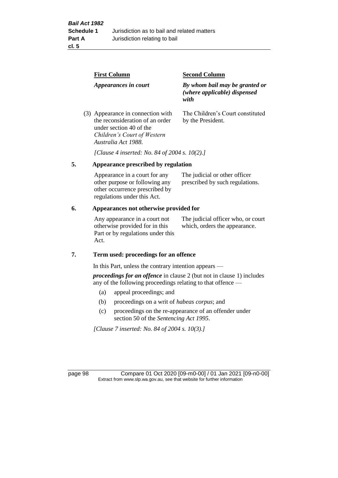| <b>First Column</b>                                                                                                                                   | <b>Second Column</b>                                                   |  |
|-------------------------------------------------------------------------------------------------------------------------------------------------------|------------------------------------------------------------------------|--|
| Appearances in court                                                                                                                                  | By whom bail may be granted or<br>(where applicable) dispensed<br>with |  |
| (3) Appearance in connection with<br>the reconsideration of an order<br>under section 40 of the<br>Children's Court of Western<br>Australia Act 1988. | The Children's Court constituted<br>by the President.                  |  |

*[Clause 4 inserted: No. 84 of 2004 s. 10(2).]*

# **5. Appearance prescribed by regulation**

| Appearance in a court for any  | The judicial or other officer   |
|--------------------------------|---------------------------------|
| other purpose or following any | prescribed by such regulations. |
| other occurrence prescribed by |                                 |
| regulations under this Act.    |                                 |

### **6. Appearances not otherwise provided for**

Any appearance in a court not otherwise provided for in this Part or by regulations under this Act.

The judicial officer who, or court which, orders the appearance.

#### **7. Term used: proceedings for an offence**

In this Part, unless the contrary intention appears —

*proceedings for an offence* in clause 2 (but not in clause 1) includes any of the following proceedings relating to that offence —

- (a) appeal proceedings; and
- (b) proceedings on a writ of *habeas corpus*; and
- (c) proceedings on the re-appearance of an offender under section 50 of the *Sentencing Act 1995*.

*[Clause 7 inserted: No. 84 of 2004 s. 10(3).]*

page 98 Compare 01 Oct 2020 [09-m0-00] / 01 Jan 2021 [09-n0-00] Extract from www.slp.wa.gov.au, see that website for further information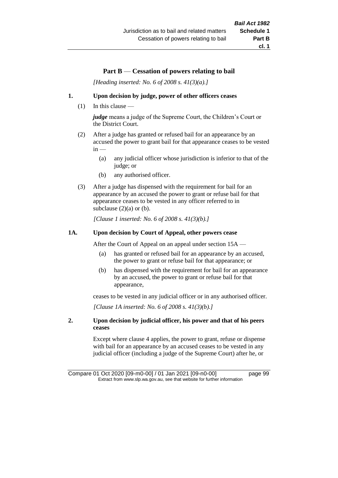#### **Part B** — **Cessation of powers relating to bail**

*[Heading inserted: No. 6 of 2008 s. 41(3)(a).]*

#### **1. Upon decision by judge, power of other officers ceases**

(1) In this clause —

*judge* means a judge of the Supreme Court, the Children's Court or the District Court.

- (2) After a judge has granted or refused bail for an appearance by an accused the power to grant bail for that appearance ceases to be vested  $in -$ 
	- (a) any judicial officer whose jurisdiction is inferior to that of the judge; or
	- (b) any authorised officer.
- (3) After a judge has dispensed with the requirement for bail for an appearance by an accused the power to grant or refuse bail for that appearance ceases to be vested in any officer referred to in subclause  $(2)(a)$  or  $(b)$ .

*[Clause 1 inserted: No. 6 of 2008 s. 41(3)(b).]*

#### **1A. Upon decision by Court of Appeal, other powers cease**

After the Court of Appeal on an appeal under section 15A —

- (a) has granted or refused bail for an appearance by an accused, the power to grant or refuse bail for that appearance; or
- (b) has dispensed with the requirement for bail for an appearance by an accused, the power to grant or refuse bail for that appearance,

ceases to be vested in any judicial officer or in any authorised officer.

*[Clause 1A inserted: No. 6 of 2008 s. 41(3)(b).]*

#### **2. Upon decision by judicial officer, his power and that of his peers ceases**

Except where clause 4 applies, the power to grant, refuse or dispense with bail for an appearance by an accused ceases to be vested in any judicial officer (including a judge of the Supreme Court) after he, or

Compare 01 Oct 2020 [09-m0-00] / 01 Jan 2021 [09-n0-00] page 99 Extract from www.slp.wa.gov.au, see that website for further information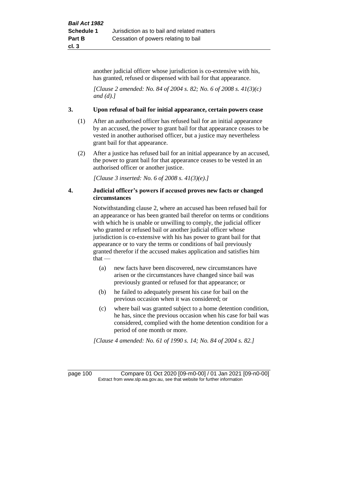another judicial officer whose jurisdiction is co-extensive with his, has granted, refused or dispensed with bail for that appearance.

*[Clause 2 amended: No. 84 of 2004 s. 82; No. 6 of 2008 s. 41(3)(c) and (d).]*

#### **3. Upon refusal of bail for initial appearance, certain powers cease**

- (1) After an authorised officer has refused bail for an initial appearance by an accused, the power to grant bail for that appearance ceases to be vested in another authorised officer, but a justice may nevertheless grant bail for that appearance.
- (2) After a justice has refused bail for an initial appearance by an accused, the power to grant bail for that appearance ceases to be vested in an authorised officer or another justice.

*[Clause 3 inserted: No. 6 of 2008 s. 41(3)(e).]*

#### **4. Judicial officer's powers if accused proves new facts or changed circumstances**

Notwithstanding clause 2, where an accused has been refused bail for an appearance or has been granted bail therefor on terms or conditions with which he is unable or unwilling to comply, the judicial officer who granted or refused bail or another judicial officer whose jurisdiction is co-extensive with his has power to grant bail for that appearance or to vary the terms or conditions of bail previously granted therefor if the accused makes application and satisfies him that —

- (a) new facts have been discovered, new circumstances have arisen or the circumstances have changed since bail was previously granted or refused for that appearance; or
- (b) he failed to adequately present his case for bail on the previous occasion when it was considered; or
- (c) where bail was granted subject to a home detention condition, he has, since the previous occasion when his case for bail was considered, complied with the home detention condition for a period of one month or more.

*[Clause 4 amended: No. 61 of 1990 s. 14; No. 84 of 2004 s. 82.]*

page 100 Compare 01 Oct 2020 [09-m0-00] / 01 Jan 2021 [09-n0-00] Extract from www.slp.wa.gov.au, see that website for further information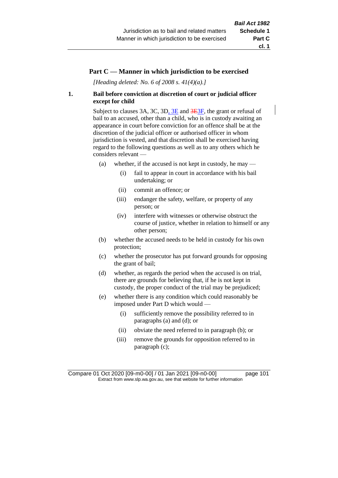#### **Part C — Manner in which jurisdiction to be exercised**

*[Heading deleted: No. 6 of 2008 s. 41(4)(a).]*

#### **1. Bail before conviction at discretion of court or judicial officer except for child**

Subject to clauses 3A, 3C, 3D, 3E and 3E3F, the grant or refusal of bail to an accused, other than a child, who is in custody awaiting an appearance in court before conviction for an offence shall be at the discretion of the judicial officer or authorised officer in whom jurisdiction is vested, and that discretion shall be exercised having regard to the following questions as well as to any others which he considers relevant —

- (a) whether, if the accused is not kept in custody, he may
	- (i) fail to appear in court in accordance with his bail undertaking; or
	- (ii) commit an offence; or
	- (iii) endanger the safety, welfare, or property of any person; or
	- (iv) interfere with witnesses or otherwise obstruct the course of justice, whether in relation to himself or any other person;
- (b) whether the accused needs to be held in custody for his own protection;
- (c) whether the prosecutor has put forward grounds for opposing the grant of bail;
- (d) whether, as regards the period when the accused is on trial, there are grounds for believing that, if he is not kept in custody, the proper conduct of the trial may be prejudiced;
- (e) whether there is any condition which could reasonably be imposed under Part D which would —
	- (i) sufficiently remove the possibility referred to in paragraphs (a) and (d); or
	- (ii) obviate the need referred to in paragraph (b); or
	- (iii) remove the grounds for opposition referred to in paragraph (c);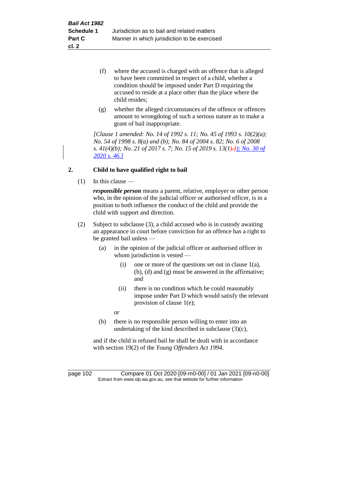- (f) where the accused is charged with an offence that is alleged to have been committed in respect of a child, whether a condition should be imposed under Part D requiring the accused to reside at a place other than the place where the child resides;
- (g) whether the alleged circumstances of the offence or offences amount to wrongdoing of such a serious nature as to make a grant of bail inappropriate.

*[Clause 1 amended: No. 14 of 1992 s. 11; No. 45 of 1993 s. 10(2)(a); No. 54 of 1998 s. 8(a) and (b); No. 84 of 2004 s. 82; No. 6 of 2008 s. 41(4)(b); No. 21 of 2017 s. 7; No. 15 of 2019 s. 13(1).]); No. 30 of 2020 s. 46.]*

### **2. Child to have qualified right to bail**

 $(1)$  In this clause —

*responsible person* means a parent, relative, employer or other person who, in the opinion of the judicial officer or authorised officer, is in a position to both influence the conduct of the child and provide the child with support and direction.

- (2) Subject to subclause (3), a child accused who is in custody awaiting an appearance in court before conviction for an offence has a right to be granted bail unless —
	- (a) in the opinion of the judicial officer or authorised officer in whom jurisdiction is vested —
		- (i) one or more of the questions set out in clause 1(a), (b), (d) and (g) must be answered in the affirmative; and
		- (ii) there is no condition which he could reasonably impose under Part D which would satisfy the relevant provision of clause 1(e);
		- or
	- (b) there is no responsible person willing to enter into an undertaking of the kind described in subclause (3)(c),

and if the child is refused bail he shall be dealt with in accordance with section 19(2) of the *Young Offenders Act 1994*.

page 102 Compare 01 Oct 2020 [09-m0-00] / 01 Jan 2021 [09-n0-00] Extract from www.slp.wa.gov.au, see that website for further information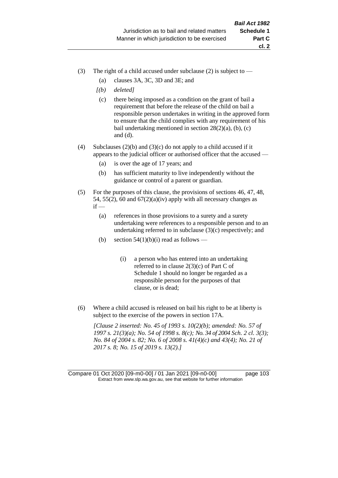- (3) The right of a child accused under subclause (2) is subject to  $-$ 
	- (a) clauses 3A, 3C, 3D and 3E; and
	- *[(b) deleted]*
	- (c) there being imposed as a condition on the grant of bail a requirement that before the release of the child on bail a responsible person undertakes in writing in the approved form to ensure that the child complies with any requirement of his bail undertaking mentioned in section  $28(2)(a)$ , (b), (c) and (d).
- (4) Subclauses (2)(b) and (3)(c) do not apply to a child accused if it appears to the judicial officer or authorised officer that the accused —
	- (a) is over the age of 17 years; and
	- (b) has sufficient maturity to live independently without the guidance or control of a parent or guardian.
- (5) For the purposes of this clause, the provisions of sections 46, 47, 48, 54, 55(2), 60 and  $67(2)(a)(iv)$  apply with all necessary changes as  $if -$ 
	- (a) references in those provisions to a surety and a surety undertaking were references to a responsible person and to an undertaking referred to in subclause (3)(c) respectively; and
	- (b) section  $54(1)(b)(i)$  read as follows
		- (i) a person who has entered into an undertaking referred to in clause  $2(3)(c)$  of Part C of Schedule 1 should no longer be regarded as a responsible person for the purposes of that clause, or is dead;
- (6) Where a child accused is released on bail his right to be at liberty is subject to the exercise of the powers in section 17A.

*[Clause 2 inserted: No. 45 of 1993 s. 10(2)(b); amended: No. 57 of 1997 s. 21(3)(a); No. 54 of 1998 s. 8(c); No. 34 of 2004 Sch. 2 cl. 3(3); No. 84 of 2004 s. 82; No. 6 of 2008 s. 41(4)(c) and 43(4); No. 21 of 2017 s. 8; No. 15 of 2019 s. 13(2).]*

Compare 01 Oct 2020 [09-m0-00] / 01 Jan 2021 [09-n0-00] page 103 Extract from www.slp.wa.gov.au, see that website for further information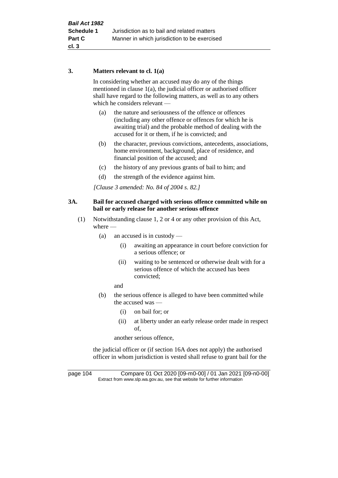#### **3. Matters relevant to cl. 1(a)**

In considering whether an accused may do any of the things mentioned in clause 1(a), the judicial officer or authorised officer shall have regard to the following matters, as well as to any others which he considers relevant —

- (a) the nature and seriousness of the offence or offences (including any other offence or offences for which he is awaiting trial) and the probable method of dealing with the accused for it or them, if he is convicted; and
- (b) the character, previous convictions, antecedents, associations, home environment, background, place of residence, and financial position of the accused; and
- (c) the history of any previous grants of bail to him; and
- (d) the strength of the evidence against him.

*[Clause 3 amended: No. 84 of 2004 s. 82.]*

#### **3A. Bail for accused charged with serious offence committed while on bail or early release for another serious offence**

- (1) Notwithstanding clause 1, 2 or 4 or any other provision of this Act, where —
	- (a) an accused is in custody
		- (i) awaiting an appearance in court before conviction for a serious offence; or
		- (ii) waiting to be sentenced or otherwise dealt with for a serious offence of which the accused has been convicted;

and

- (b) the serious offence is alleged to have been committed while the accused was —
	- (i) on bail for; or
	- (ii) at liberty under an early release order made in respect of,

another serious offence,

the judicial officer or (if section 16A does not apply) the authorised officer in whom jurisdiction is vested shall refuse to grant bail for the

page 104 Compare 01 Oct 2020 [09-m0-00] / 01 Jan 2021 [09-n0-00] Extract from www.slp.wa.gov.au, see that website for further information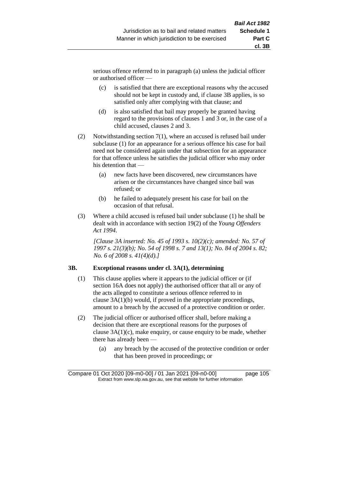serious offence referred to in paragraph (a) unless the judicial officer or authorised officer —

- (c) is satisfied that there are exceptional reasons why the accused should not be kept in custody and, if clause 3B applies, is so satisfied only after complying with that clause; and
- (d) is also satisfied that bail may properly be granted having regard to the provisions of clauses 1 and 3 or, in the case of a child accused, clauses 2 and 3.
- (2) Notwithstanding section 7(1), where an accused is refused bail under subclause (1) for an appearance for a serious offence his case for bail need not be considered again under that subsection for an appearance for that offence unless he satisfies the judicial officer who may order his detention that —
	- (a) new facts have been discovered, new circumstances have arisen or the circumstances have changed since bail was refused; or
	- (b) he failed to adequately present his case for bail on the occasion of that refusal.
- (3) Where a child accused is refused bail under subclause (1) he shall be dealt with in accordance with section 19(2) of the *Young Offenders Act 1994*.

*[Clause 3A inserted: No. 45 of 1993 s. 10(2)(c); amended: No. 57 of 1997 s. 21(3)(b); No. 54 of 1998 s. 7 and 13(1); No. 84 of 2004 s. 82; No. 6 of 2008 s. 41(4)(d).]*

#### **3B. Exceptional reasons under cl. 3A(1), determining**

- (1) This clause applies where it appears to the judicial officer or (if section 16A does not apply) the authorised officer that all or any of the acts alleged to constitute a serious offence referred to in clause 3A(1)(b) would, if proved in the appropriate proceedings, amount to a breach by the accused of a protective condition or order.
- (2) The judicial officer or authorised officer shall, before making a decision that there are exceptional reasons for the purposes of clause 3A(1)(c), make enquiry, or cause enquiry to be made, whether there has already been —
	- (a) any breach by the accused of the protective condition or order that has been proved in proceedings; or

Compare 01 Oct 2020 [09-m0-00] / 01 Jan 2021 [09-n0-00] page 105 Extract from www.slp.wa.gov.au, see that website for further information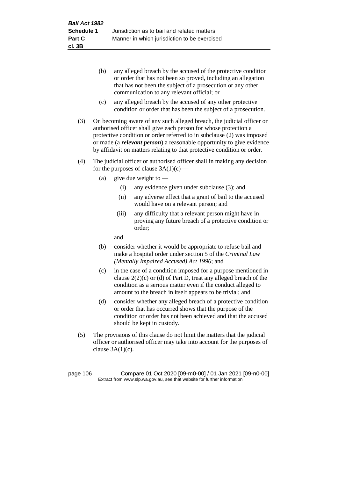- (b) any alleged breach by the accused of the protective condition or order that has not been so proved, including an allegation that has not been the subject of a prosecution or any other communication to any relevant official; or
- (c) any alleged breach by the accused of any other protective condition or order that has been the subject of a prosecution.
- (3) On becoming aware of any such alleged breach, the judicial officer or authorised officer shall give each person for whose protection a protective condition or order referred to in subclause (2) was imposed or made (a *relevant person*) a reasonable opportunity to give evidence by affidavit on matters relating to that protective condition or order.
- (4) The judicial officer or authorised officer shall in making any decision for the purposes of clause  $3A(1)(c)$  —
	- (a) give due weight to  $-$ 
		- (i) any evidence given under subclause (3); and
		- (ii) any adverse effect that a grant of bail to the accused would have on a relevant person; and
		- (iii) any difficulty that a relevant person might have in proving any future breach of a protective condition or order;

and

- (b) consider whether it would be appropriate to refuse bail and make a hospital order under section 5 of the *Criminal Law (Mentally Impaired Accused) Act 1996*; and
- (c) in the case of a condition imposed for a purpose mentioned in clause 2(2)(c) or (d) of Part D, treat any alleged breach of the condition as a serious matter even if the conduct alleged to amount to the breach in itself appears to be trivial; and
- (d) consider whether any alleged breach of a protective condition or order that has occurred shows that the purpose of the condition or order has not been achieved and that the accused should be kept in custody.
- (5) The provisions of this clause do not limit the matters that the judicial officer or authorised officer may take into account for the purposes of clause  $3A(1)(c)$ .

page 106 Compare 01 Oct 2020 [09-m0-00] / 01 Jan 2021 [09-n0-00] Extract from www.slp.wa.gov.au, see that website for further information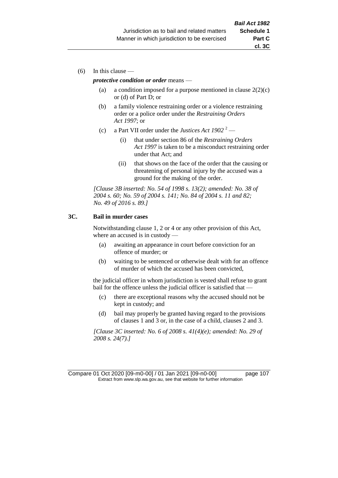(6) In this clause —

#### *protective condition or order* means —

- (a) a condition imposed for a purpose mentioned in clause  $2(2)(c)$ or (d) of Part D; or
- (b) a family violence restraining order or a violence restraining order or a police order under the *Restraining Orders Act 1997*; or
- (c) a Part VII order under the *Justices Act 1902* <sup>2</sup>
	- (i) that under section 86 of the *Restraining Orders Act 1997* is taken to be a misconduct restraining order under that Act; and
	- (ii) that shows on the face of the order that the causing or threatening of personal injury by the accused was a ground for the making of the order.

*[Clause 3B inserted: No. 54 of 1998 s. 13(2); amended: No. 38 of 2004 s. 60; No. 59 of 2004 s. 141; No. 84 of 2004 s. 11 and 82; No. 49 of 2016 s. 89.]*

#### **3C. Bail in murder cases**

Notwithstanding clause 1, 2 or 4 or any other provision of this Act, where an accused is in custody —

- (a) awaiting an appearance in court before conviction for an offence of murder; or
- (b) waiting to be sentenced or otherwise dealt with for an offence of murder of which the accused has been convicted,

the judicial officer in whom jurisdiction is vested shall refuse to grant bail for the offence unless the judicial officer is satisfied that —

- (c) there are exceptional reasons why the accused should not be kept in custody; and
- (d) bail may properly be granted having regard to the provisions of clauses 1 and 3 or, in the case of a child, clauses 2 and 3.

*[Clause 3C inserted: No. 6 of 2008 s. 41(4)(e); amended: No. 29 of 2008 s. 24(7).]*

Compare 01 Oct 2020 [09-m0-00] / 01 Jan 2021 [09-n0-00] page 107 Extract from www.slp.wa.gov.au, see that website for further information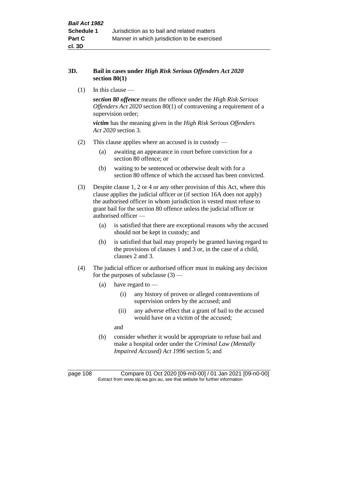#### **3D. Bail in cases under** *High Risk Serious Offenders Act 2020* **section 80(1)**

 $(1)$  In this clause —

*section 80 offence* means the offence under the *High Risk Serious Offenders Act 2020* section 80(1) of contravening a requirement of a supervision order;

*victim* has the meaning given in the *High Risk Serious Offenders Act 2020* section 3.

- (2) This clause applies where an accused is in custody
	- (a) awaiting an appearance in court before conviction for a section 80 offence; or
	- (b) waiting to be sentenced or otherwise dealt with for a section 80 offence of which the accused has been convicted.
- (3) Despite clause 1, 2 or 4 or any other provision of this Act, where this clause applies the judicial officer or (if section 16A does not apply) the authorised officer in whom jurisdiction is vested must refuse to grant bail for the section 80 offence unless the judicial officer or authorised officer —
	- (a) is satisfied that there are exceptional reasons why the accused should not be kept in custody; and
	- (b) is satisfied that bail may properly be granted having regard to the provisions of clauses 1 and 3 or, in the case of a child, clauses 2 and 3.
- (4) The judicial officer or authorised officer must in making any decision for the purposes of subclause  $(3)$  —
	- (a) have regard to  $-$ 
		- (i) any history of proven or alleged contraventions of supervision orders by the accused; and
		- (ii) any adverse effect that a grant of bail to the accused would have on a victim of the accused;

and

(b) consider whether it would be appropriate to refuse bail and make a hospital order under the *Criminal Law (Mentally Impaired Accused) Act 1996* section 5; and

page 108 Compare 01 Oct 2020 [09-m0-00] / 01 Jan 2021 [09-n0-00] Extract from www.slp.wa.gov.au, see that website for further information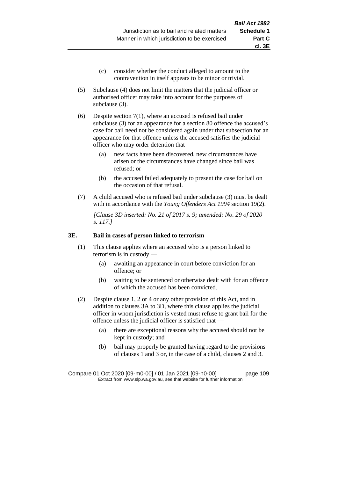- (c) consider whether the conduct alleged to amount to the contravention in itself appears to be minor or trivial.
- (5) Subclause (4) does not limit the matters that the judicial officer or authorised officer may take into account for the purposes of subclause (3).

(6) Despite section 7(1), where an accused is refused bail under subclause (3) for an appearance for a section 80 offence the accused's case for bail need not be considered again under that subsection for an appearance for that offence unless the accused satisfies the judicial officer who may order detention that —

- (a) new facts have been discovered, new circumstances have arisen or the circumstances have changed since bail was refused; or
- (b) the accused failed adequately to present the case for bail on the occasion of that refusal.
- (7) A child accused who is refused bail under subclause (3) must be dealt with in accordance with the *Young Offenders Act 1994* section 19(2).

*[Clause 3D inserted: No. 21 of 2017 s. 9; amended: No. 29 of 2020 s. 117.]*

#### **3E. Bail in cases of person linked to terrorism**

- (1) This clause applies where an accused who is a person linked to terrorism is in custody —
	- (a) awaiting an appearance in court before conviction for an offence; or
	- (b) waiting to be sentenced or otherwise dealt with for an offence of which the accused has been convicted.
- (2) Despite clause 1, 2 or 4 or any other provision of this Act, and in addition to clauses 3A to 3D, where this clause applies the judicial officer in whom jurisdiction is vested must refuse to grant bail for the offence unless the judicial officer is satisfied that —
	- (a) there are exceptional reasons why the accused should not be kept in custody; and
	- (b) bail may properly be granted having regard to the provisions of clauses 1 and 3 or, in the case of a child, clauses 2 and 3.

Compare 01 Oct 2020 [09-m0-00] / 01 Jan 2021 [09-n0-00] page 109 Extract from www.slp.wa.gov.au, see that website for further information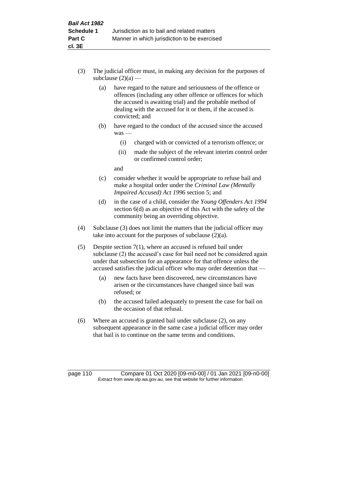- (3) The judicial officer must, in making any decision for the purposes of subclause  $(2)(a)$  —
	- (a) have regard to the nature and seriousness of the offence or offences (including any other offence or offences for which the accused is awaiting trial) and the probable method of dealing with the accused for it or them, if the accused is convicted; and
	- (b) have regard to the conduct of the accused since the accused was —
		- (i) charged with or convicted of a terrorism offence; or
		- (ii) made the subject of the relevant interim control order or confirmed control order;

and

- (c) consider whether it would be appropriate to refuse bail and make a hospital order under the *Criminal Law (Mentally Impaired Accused) Act 1996* section 5; and
- (d) in the case of a child, consider the *Young Offenders Act 1994* section 6(d) as an objective of this Act with the safety of the community being an overriding objective.
- (4) Subclause (3) does not limit the matters that the judicial officer may take into account for the purposes of subclause  $(2)(a)$ .
- (5) Despite section 7(1), where an accused is refused bail under subclause (2) the accused's case for bail need not be considered again under that subsection for an appearance for that offence unless the accused satisfies the judicial officer who may order detention that —
	- (a) new facts have been discovered, new circumstances have arisen or the circumstances have changed since bail was refused; or
	- (b) the accused failed adequately to present the case for bail on the occasion of that refusal.
- (6) Where an accused is granted bail under subclause (2), on any subsequent appearance in the same case a judicial officer may order that bail is to continue on the same terms and conditions.

page 110 Compare 01 Oct 2020 [09-m0-00] / 01 Jan 2021 [09-n0-00] Extract from www.slp.wa.gov.au, see that website for further information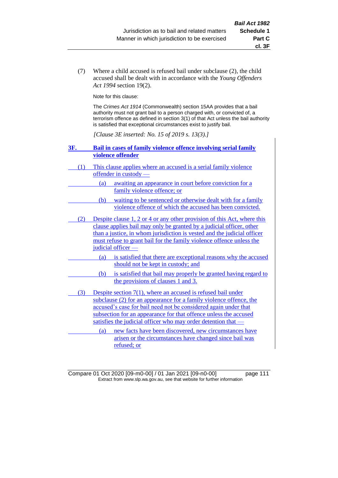(7) Where a child accused is refused bail under subclause (2), the child accused shall be dealt with in accordance with the *Young Offenders Act 1994* section 19(2).

Note for this clause:

The *Crimes Act 1914* (Commonwealth) section 15AA provides that a bail authority must not grant bail to a person charged with, or convicted of, a terrorism offence as defined in section 3(1) of that Act unless the bail authority is satisfied that exceptional circumstances exist to justify bail.

*[Clause 3E inserted: No. 15 of 2019 s. 13(3).]*

#### **3F. Bail in cases of family violence offence involving serial family violence offender**

- (1) This clause applies where an accused is a serial family violence offender in custody —
	- (a) awaiting an appearance in court before conviction for a family violence offence; or
	- (b) waiting to be sentenced or otherwise dealt with for a family violence offence of which the accused has been convicted.
- (2) Despite clause 1, 2 or 4 or any other provision of this Act, where this clause applies bail may only be granted by a judicial officer, other than a justice, in whom jurisdiction is vested and the judicial officer must refuse to grant bail for the family violence offence unless the judicial officer —
	- (a) is satisfied that there are exceptional reasons why the accused should not be kept in custody; and
		- (b) is satisfied that bail may properly be granted having regard to the provisions of clauses 1 and 3.
- (3) Despite section 7(1), where an accused is refused bail under subclause (2) for an appearance for a family violence offence, the accused's case for bail need not be considered again under that subsection for an appearance for that offence unless the accused satisfies the judicial officer who may order detention that —

(a) new facts have been discovered, new circumstances have arisen or the circumstances have changed since bail was refused; or

Compare 01 Oct 2020 [09-m0-00] / 01 Jan 2021 [09-n0-00] page 111 Extract from www.slp.wa.gov.au, see that website for further information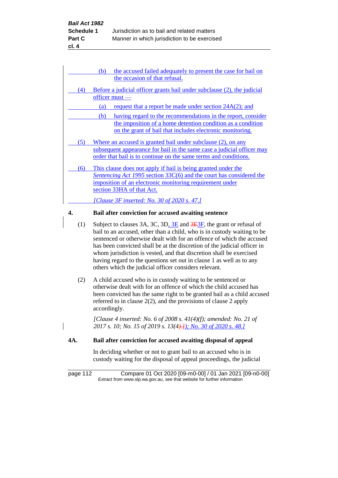| the accused failed adequately to present the case for bail on<br>(b)                                                                       |
|--------------------------------------------------------------------------------------------------------------------------------------------|
| the occasion of that refusal.                                                                                                              |
| Before a judicial officer grants bail under subclause (2), the judicial<br>(4)<br>$of$ ficer must $-$                                      |
| request that a report be made under section 24A(2); and<br>(a)                                                                             |
| having regard to the recommendations in the report, consider<br>(b)                                                                        |
| the imposition of a home detention condition as a condition<br>on the grant of bail that includes electronic monitoring.                   |
| Where an accused is granted bail under subclause (2), on any<br>(5)                                                                        |
| subsequent appearance for bail in the same case a judicial officer may<br>order that bail is to continue on the same terms and conditions. |
| This clause does not apply if bail is being granted under the<br>(6)                                                                       |
| Sentencing Act 1995 section 33C(6) and the court has considered the                                                                        |
| imposition of an electronic monitoring requirement under                                                                                   |
| section 33HA of that Act.                                                                                                                  |
| [Clause 3F inserted: No. 30 of 2020 s. 47.]                                                                                                |

# **4. Bail after conviction for accused awaiting sentence**

- (1) Subject to clauses 3A, 3C, 3D,  $3E$  and  $3E\overline{3F}$ , the grant or refusal of bail to an accused, other than a child, who is in custody waiting to be sentenced or otherwise dealt with for an offence of which the accused has been convicted shall be at the discretion of the judicial officer in whom jurisdiction is vested, and that discretion shall be exercised having regard to the questions set out in clause 1 as well as to any others which the judicial officer considers relevant.
- (2) A child accused who is in custody waiting to be sentenced or otherwise dealt with for an offence of which the child accused has been convicted has the same right to be granted bail as a child accused referred to in clause 2(2), and the provisions of clause 2 apply accordingly.

*[Clause 4 inserted: No. 6 of 2008 s. 41(4)(f); amended: No. 21 of 2017 s. 10; No. 15 of 2019 s. 13(4).]); No. 30 of 2020 s. 48.]*

## **4A. Bail after conviction for accused awaiting disposal of appeal**

In deciding whether or not to grant bail to an accused who is in custody waiting for the disposal of appeal proceedings, the judicial

page 112 Compare 01 Oct 2020 [09-m0-00] / 01 Jan 2021 [09-n0-00] Extract from www.slp.wa.gov.au, see that website for further information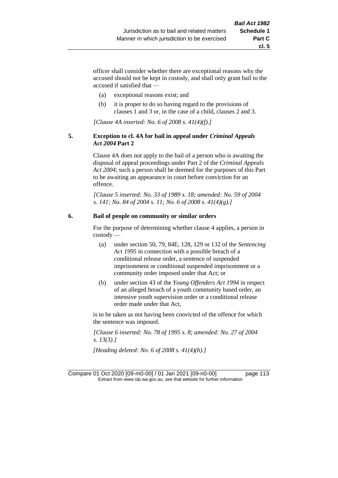**cl. 5**

officer shall consider whether there are exceptional reasons why the accused should not be kept in custody, and shall only grant bail to the accused if satisfied that —

- (a) exceptional reasons exist; and
- (b) it is proper to do so having regard to the provisions of clauses 1 and 3 or, in the case of a child, clauses 2 and 3.

*[Clause 4A inserted: No. 6 of 2008 s. 41(4)(f).]*

#### **5. Exception to cl. 4A for bail in appeal under** *Criminal Appeals Act 2004* **Part 2**

Clause 4A does not apply to the bail of a person who is awaiting the disposal of appeal proceedings under Part 2 of the *Criminal Appeals Act 2004*; such a person shall be deemed for the purposes of this Part to be awaiting an appearance in court before conviction for an offence.

*[Clause 5 inserted: No. 33 of 1989 s. 18; amended: No. 59 of 2004 s. 141; No. 84 of 2004 s. 11; No. 6 of 2008 s. 41(4)(g).]*

#### **6. Bail of people on community or similar orders**

For the purpose of determining whether clause 4 applies, a person in custody —

- (a) under section 50, 79, 84E, 128, 129 or 132 of the *Sentencing Act 1995* in connection with a possible breach of a conditional release order, a sentence of suspended imprisonment or conditional suspended imprisonment or a community order imposed under that Act; or
- (b) under section 43 of the *Young Offenders Act 1994* in respect of an alleged breach of a youth community based order, an intensive youth supervision order or a conditional release order made under that Act,

is to be taken as not having been convicted of the offence for which the sentence was imposed.

*[Clause 6 inserted: No. 78 of 1995 s. 8; amended: No. 27 of 2004 s. 13(3).]*

*[Heading deleted: No. 6 of 2008 s. 41(4)(h).]*

Compare 01 Oct 2020 [09-m0-00] / 01 Jan 2021 [09-n0-00] page 113 Extract from www.slp.wa.gov.au, see that website for further information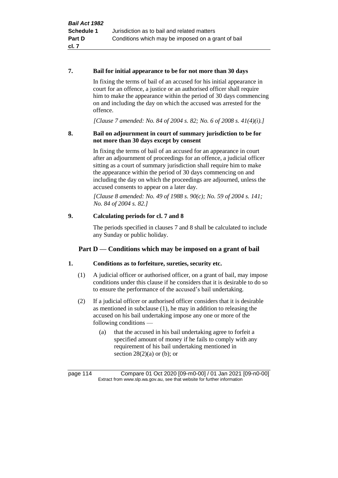#### **7. Bail for initial appearance to be for not more than 30 days**

In fixing the terms of bail of an accused for his initial appearance in court for an offence, a justice or an authorised officer shall require him to make the appearance within the period of 30 days commencing on and including the day on which the accused was arrested for the offence.

*[Clause 7 amended: No. 84 of 2004 s. 82; No. 6 of 2008 s. 41(4)(i).]*

### **8. Bail on adjournment in court of summary jurisdiction to be for not more than 30 days except by consent**

In fixing the terms of bail of an accused for an appearance in court after an adjournment of proceedings for an offence, a judicial officer sitting as a court of summary jurisdiction shall require him to make the appearance within the period of 30 days commencing on and including the day on which the proceedings are adjourned, unless the accused consents to appear on a later day.

*[Clause 8 amended: No. 49 of 1988 s. 90(c); No. 59 of 2004 s. 141; No. 84 of 2004 s. 82.]*

# **9. Calculating periods for cl. 7 and 8**

The periods specified in clauses 7 and 8 shall be calculated to include any Sunday or public holiday.

# **Part D — Conditions which may be imposed on a grant of bail**

# **1. Conditions as to forfeiture, sureties, security etc.**

- (1) A judicial officer or authorised officer, on a grant of bail, may impose conditions under this clause if he considers that it is desirable to do so to ensure the performance of the accused's bail undertaking.
- (2) If a judicial officer or authorised officer considers that it is desirable as mentioned in subclause (1), he may in addition to releasing the accused on his bail undertaking impose any one or more of the following conditions —
	- (a) that the accused in his bail undertaking agree to forfeit a specified amount of money if he fails to comply with any requirement of his bail undertaking mentioned in section  $28(2)(a)$  or (b); or

page 114 Compare 01 Oct 2020 [09-m0-00] / 01 Jan 2021 [09-n0-00] Extract from www.slp.wa.gov.au, see that website for further information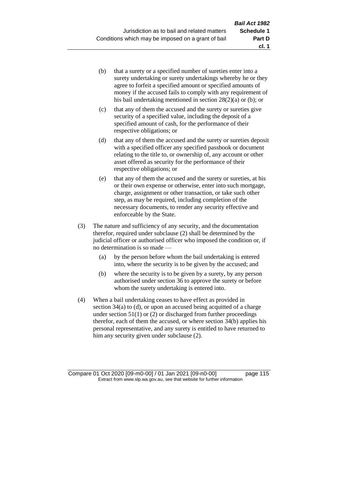- (b) that a surety or a specified number of sureties enter into a surety undertaking or surety undertakings whereby he or they agree to forfeit a specified amount or specified amounts of money if the accused fails to comply with any requirement of his bail undertaking mentioned in section 28(2)(a) or (b); or
- (c) that any of them the accused and the surety or sureties give security of a specified value, including the deposit of a specified amount of cash, for the performance of their respective obligations; or
- (d) that any of them the accused and the surety or sureties deposit with a specified officer any specified passbook or document relating to the title to, or ownership of, any account or other asset offered as security for the performance of their respective obligations; or
- (e) that any of them the accused and the surety or sureties, at his or their own expense or otherwise, enter into such mortgage, charge, assignment or other transaction, or take such other step, as may be required, including completion of the necessary documents, to render any security effective and enforceable by the State.
- (3) The nature and sufficiency of any security, and the documentation therefor, required under subclause (2) shall be determined by the judicial officer or authorised officer who imposed the condition or, if no determination is so made —
	- (a) by the person before whom the bail undertaking is entered into, where the security is to be given by the accused; and
	- (b) where the security is to be given by a surety, by any person authorised under section 36 to approve the surety or before whom the surety undertaking is entered into.
- (4) When a bail undertaking ceases to have effect as provided in section 34(a) to (d), or upon an accused being acquitted of a charge under section  $51(1)$  or (2) or discharged from further proceedings therefor, each of them the accused, or where section 34(b) applies his personal representative, and any surety is entitled to have returned to him any security given under subclause (2).

Compare 01 Oct 2020 [09-m0-00] / 01 Jan 2021 [09-n0-00] page 115 Extract from www.slp.wa.gov.au, see that website for further information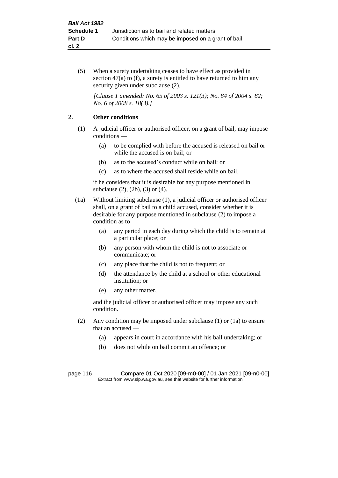(5) When a surety undertaking ceases to have effect as provided in section 47(a) to (f), a surety is entitled to have returned to him any security given under subclause  $(2)$ .

*[Clause 1 amended: No. 65 of 2003 s. 121(3); No. 84 of 2004 s. 82; No. 6 of 2008 s. 18(3).]*

### **2. Other conditions**

- (1) A judicial officer or authorised officer, on a grant of bail, may impose conditions —
	- (a) to be complied with before the accused is released on bail or while the accused is on bail; or
	- (b) as to the accused's conduct while on bail; or
	- (c) as to where the accused shall reside while on bail,

if he considers that it is desirable for any purpose mentioned in subclause (2), (2b), (3) or (4).

- (1a) Without limiting subclause (1), a judicial officer or authorised officer shall, on a grant of bail to a child accused, consider whether it is desirable for any purpose mentioned in subclause (2) to impose a condition as to —
	- (a) any period in each day during which the child is to remain at a particular place; or
	- (b) any person with whom the child is not to associate or communicate; or
	- (c) any place that the child is not to frequent; or
	- (d) the attendance by the child at a school or other educational institution; or
	- (e) any other matter,

and the judicial officer or authorised officer may impose any such condition.

- (2) Any condition may be imposed under subclause (1) or (1a) to ensure that an accused —
	- (a) appears in court in accordance with his bail undertaking; or
	- (b) does not while on bail commit an offence; or

page 116 Compare 01 Oct 2020 [09-m0-00] / 01 Jan 2021 [09-n0-00] Extract from www.slp.wa.gov.au, see that website for further information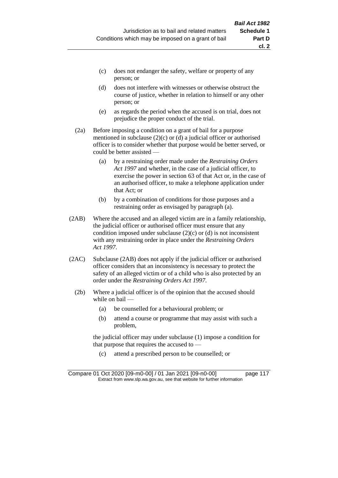- (d) does not interfere with witnesses or otherwise obstruct the course of justice, whether in relation to himself or any other person; or
- (e) as regards the period when the accused is on trial, does not prejudice the proper conduct of the trial.
- (2a) Before imposing a condition on a grant of bail for a purpose mentioned in subclause (2)(c) or (d) a judicial officer or authorised officer is to consider whether that purpose would be better served, or could be better assisted —
	- (a) by a restraining order made under the *Restraining Orders Act 1997* and whether, in the case of a judicial officer, to exercise the power in section 63 of that Act or, in the case of an authorised officer, to make a telephone application under that Act; or
	- (b) by a combination of conditions for those purposes and a restraining order as envisaged by paragraph (a).
- (2AB) Where the accused and an alleged victim are in a family relationship, the judicial officer or authorised officer must ensure that any condition imposed under subclause  $(2)(c)$  or  $(d)$  is not inconsistent with any restraining order in place under the *Restraining Orders Act 1997*.
- (2AC) Subclause (2AB) does not apply if the judicial officer or authorised officer considers that an inconsistency is necessary to protect the safety of an alleged victim or of a child who is also protected by an order under the *Restraining Orders Act 1997*.
	- (2b) Where a judicial officer is of the opinion that the accused should while on bail —
		- (a) be counselled for a behavioural problem; or
		- (b) attend a course or programme that may assist with such a problem,

the judicial officer may under subclause (1) impose a condition for that purpose that requires the accused to —

(c) attend a prescribed person to be counselled; or

Compare 01 Oct 2020 [09-m0-00] / 01 Jan 2021 [09-n0-00] page 117 Extract from www.slp.wa.gov.au, see that website for further information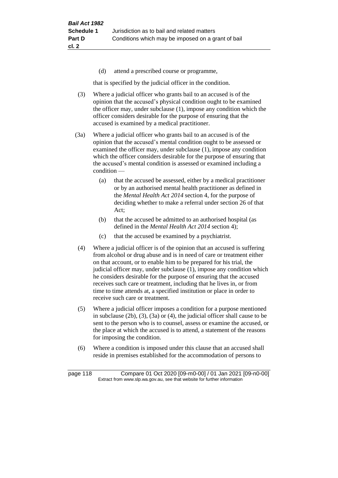(d) attend a prescribed course or programme,

that is specified by the judicial officer in the condition.

- (3) Where a judicial officer who grants bail to an accused is of the opinion that the accused's physical condition ought to be examined the officer may, under subclause (1), impose any condition which the officer considers desirable for the purpose of ensuring that the accused is examined by a medical practitioner.
- (3a) Where a judicial officer who grants bail to an accused is of the opinion that the accused's mental condition ought to be assessed or examined the officer may, under subclause (1), impose any condition which the officer considers desirable for the purpose of ensuring that the accused's mental condition is assessed or examined including a condition —
	- (a) that the accused be assessed, either by a medical practitioner or by an authorised mental health practitioner as defined in the *Mental Health Act 2014* section 4, for the purpose of deciding whether to make a referral under section 26 of that Act;
	- (b) that the accused be admitted to an authorised hospital (as defined in the *Mental Health Act 2014* section 4);
	- (c) that the accused be examined by a psychiatrist.
- (4) Where a judicial officer is of the opinion that an accused is suffering from alcohol or drug abuse and is in need of care or treatment either on that account, or to enable him to be prepared for his trial, the judicial officer may, under subclause (1), impose any condition which he considers desirable for the purpose of ensuring that the accused receives such care or treatment, including that he lives in, or from time to time attends at, a specified institution or place in order to receive such care or treatment.
- (5) Where a judicial officer imposes a condition for a purpose mentioned in subclause (2b), (3), (3a) or (4), the judicial officer shall cause to be sent to the person who is to counsel, assess or examine the accused, or the place at which the accused is to attend, a statement of the reasons for imposing the condition.
- (6) Where a condition is imposed under this clause that an accused shall reside in premises established for the accommodation of persons to

page 118 Compare 01 Oct 2020 [09-m0-00] / 01 Jan 2021 [09-n0-00] Extract from www.slp.wa.gov.au, see that website for further information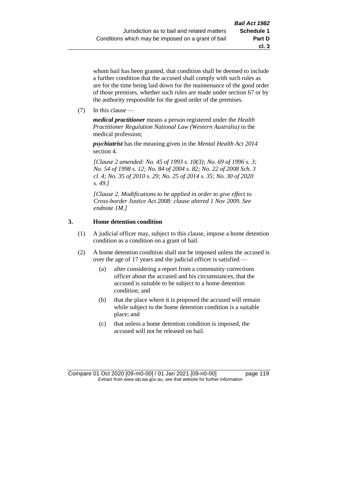whom bail has been granted, that condition shall be deemed to include a further condition that the accused shall comply with such rules as are for the time being laid down for the maintenance of the good order of those premises, whether such rules are made under section 67 or by the authority responsible for the good order of the premises.

(7) In this clause —

*medical practitioner* means a person registered under the *Health Practitioner Regulation National Law (Western Australia)* in the medical profession;

*psychiatrist* has the meaning given in the *Mental Health Act 2014* section 4.

*[Clause 2 amended: No. 45 of 1993 s. 10(3); No. 69 of 1996 s. 3; No. 54 of 1998 s. 12; No. 84 of 2004 s. 82; No. 22 of 2008 Sch. 3 cl. 4; No. 35 of 2010 s. 29; No. 25 of 2014 s. 35; No. 30 of 2020 s. 49.]*

*[Clause 2. Modifications to be applied in order to give effect to Cross-border Justice Act 2008: clause altered 1 Nov 2009. See endnote 1M.]*

# **3. Home detention condition**

- (1) A judicial officer may, subject to this clause, impose a home detention condition as a condition on a grant of bail.
- (2) A home detention condition shall not be imposed unless the accused is over the age of 17 years and the judicial officer is satisfied —
	- (a) after considering a report from a community corrections officer about the accused and his circumstances, that the accused is suitable to be subject to a home detention condition; and
	- (b) that the place where it is proposed the accused will remain while subject to the home detention condition is a suitable place; and
	- (c) that unless a home detention condition is imposed, the accused will not be released on bail.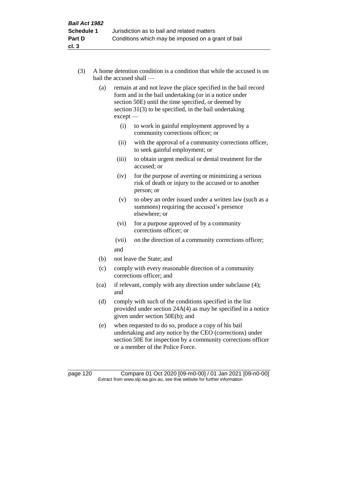- (3) A home detention condition is a condition that while the accused is on bail the accused shall —
	- (a) remain at and not leave the place specified in the bail record form and in the bail undertaking (or in a notice under section 50E) until the time specified, or deemed by section 31(3) to be specified, in the bail undertaking except —
		- (i) to work in gainful employment approved by a community corrections officer; or
		- (ii) with the approval of a community corrections officer, to seek gainful employment; or
		- (iii) to obtain urgent medical or dental treatment for the accused; or
		- (iv) for the purpose of averting or minimizing a serious risk of death or injury to the accused or to another person; or
		- (v) to obey an order issued under a written law (such as a summons) requiring the accused's presence elsewhere; or
		- (vi) for a purpose approved of by a community corrections officer; or
		- (vii) on the direction of a community corrections officer; and
	- (b) not leave the State; and
	- (c) comply with every reasonable direction of a community corrections officer; and
	- (ca) if relevant, comply with any direction under subclause (4); and
	- (d) comply with such of the conditions specified in the list provided under section 24A(4) as may be specified in a notice given under section 50E(b); and
	- (e) when requested to do so, produce a copy of his bail undertaking and any notice by the CEO (corrections) under section 50E for inspection by a community corrections officer or a member of the Police Force.

page 120 Compare 01 Oct 2020 [09-m0-00] / 01 Jan 2021 [09-n0-00] Extract from www.slp.wa.gov.au, see that website for further information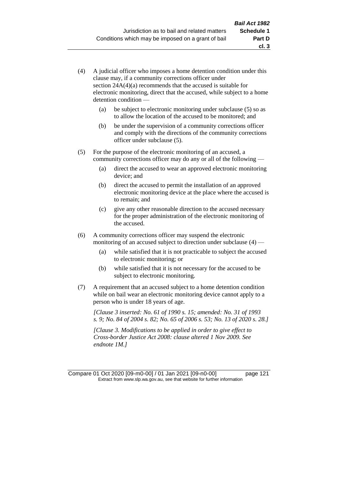- (4) A judicial officer who imposes a home detention condition under this clause may, if a community corrections officer under section 24A(4)(a) recommends that the accused is suitable for electronic monitoring, direct that the accused, while subject to a home detention condition —
	- (a) be subject to electronic monitoring under subclause (5) so as to allow the location of the accused to be monitored; and
	- (b) be under the supervision of a community corrections officer and comply with the directions of the community corrections officer under subclause (5).
- (5) For the purpose of the electronic monitoring of an accused, a community corrections officer may do any or all of the following —
	- (a) direct the accused to wear an approved electronic monitoring device; and
	- (b) direct the accused to permit the installation of an approved electronic monitoring device at the place where the accused is to remain; and
	- (c) give any other reasonable direction to the accused necessary for the proper administration of the electronic monitoring of the accused.
- (6) A community corrections officer may suspend the electronic monitoring of an accused subject to direction under subclause (4) —
	- (a) while satisfied that it is not practicable to subject the accused to electronic monitoring; or
	- (b) while satisfied that it is not necessary for the accused to be subject to electronic monitoring.
- (7) A requirement that an accused subject to a home detention condition while on bail wear an electronic monitoring device cannot apply to a person who is under 18 years of age.

*[Clause 3 inserted: No. 61 of 1990 s. 15; amended: No. 31 of 1993 s. 9; No. 84 of 2004 s. 82; No. 65 of 2006 s. 53; No. 13 of 2020 s. 28.]*

*[Clause 3. Modifications to be applied in order to give effect to Cross-border Justice Act 2008: clause altered 1 Nov 2009. See endnote 1M.]*

Compare 01 Oct 2020 [09-m0-00] / 01 Jan 2021 [09-n0-00] page 121 Extract from www.slp.wa.gov.au, see that website for further information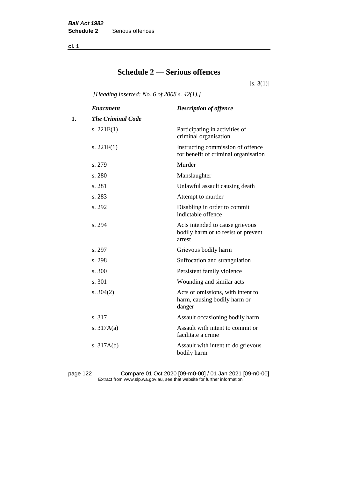**cl. 1**

# **Schedule 2 — Serious offences**

 $[s. 3(1)]$ 

*[Heading inserted: No. 6 of 2008 s. 42(1).]*

|    | <b>Enactment</b>         | <b>Description of offence</b>                                                    |
|----|--------------------------|----------------------------------------------------------------------------------|
| 1. | <b>The Criminal Code</b> |                                                                                  |
|    | s. $221E(1)$             | Participating in activities of<br>criminal organisation                          |
|    | s. $221F(1)$             | Instructing commission of offence<br>for benefit of criminal organisation        |
|    | s. 279                   | Murder                                                                           |
|    | s. 280                   | Manslaughter                                                                     |
|    | s. 281                   | Unlawful assault causing death                                                   |
|    | s. 283                   | Attempt to murder                                                                |
|    | s. 292                   | Disabling in order to commit<br>indictable offence                               |
|    | s. 294                   | Acts intended to cause grievous<br>bodily harm or to resist or prevent<br>arrest |
|    | s. 297                   | Grievous bodily harm                                                             |
|    | s. 298                   | Suffocation and strangulation                                                    |
|    | s. 300                   | Persistent family violence                                                       |
|    | s. 301                   | Wounding and similar acts                                                        |
|    | s. $304(2)$              | Acts or omissions, with intent to<br>harm, causing bodily harm or<br>danger      |
|    | s. 317                   | Assault occasioning bodily harm                                                  |
|    | s. $317A(a)$             | Assault with intent to commit or<br>facilitate a crime                           |
|    | s. $317A(b)$             | Assault with intent to do grievous<br>bodily harm                                |

page 122 Compare 01 Oct 2020 [09-m0-00] / 01 Jan 2021 [09-n0-00] Extract from www.slp.wa.gov.au, see that website for further information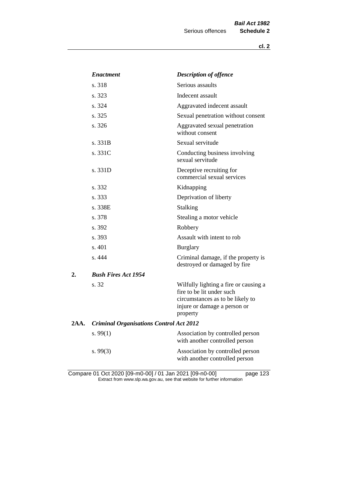|      | <b>Enactment</b>                               | <b>Description of offence</b>                                                                                                                      |  |
|------|------------------------------------------------|----------------------------------------------------------------------------------------------------------------------------------------------------|--|
|      | s. 318                                         | Serious assaults                                                                                                                                   |  |
|      | s. 323                                         | Indecent assault                                                                                                                                   |  |
|      | s. 324                                         | Aggravated indecent assault                                                                                                                        |  |
|      | s. 325                                         | Sexual penetration without consent                                                                                                                 |  |
|      | s. 326                                         | Aggravated sexual penetration<br>without consent                                                                                                   |  |
|      | s. 331B                                        | Sexual servitude                                                                                                                                   |  |
|      | s. 331C                                        | Conducting business involving<br>sexual servitude                                                                                                  |  |
|      | s. 331D                                        | Deceptive recruiting for<br>commercial sexual services                                                                                             |  |
|      | s. 332                                         | Kidnapping                                                                                                                                         |  |
|      | s. 333                                         | Deprivation of liberty                                                                                                                             |  |
|      | s. 338E                                        | <b>Stalking</b>                                                                                                                                    |  |
|      | s. 378                                         | Stealing a motor vehicle                                                                                                                           |  |
|      | s. 392                                         | Robbery                                                                                                                                            |  |
|      | s. 393                                         | Assault with intent to rob                                                                                                                         |  |
|      | s. 401                                         | <b>Burglary</b>                                                                                                                                    |  |
|      | s. 444                                         | Criminal damage, if the property is<br>destroyed or damaged by fire                                                                                |  |
| 2.   | <b>Bush Fires Act 1954</b>                     |                                                                                                                                                    |  |
|      | s. 32                                          | Wilfully lighting a fire or causing a<br>fire to be lit under such<br>circumstances as to be likely to<br>injure or damage a person or<br>property |  |
| 2AA. | <b>Criminal Organisations Control Act 2012</b> |                                                                                                                                                    |  |
|      | s. $99(1)$                                     | Association by controlled person<br>with another controlled person                                                                                 |  |
|      | s.99(3)                                        | Association by controlled person<br>with another controlled person                                                                                 |  |

Compare 01 Oct 2020 [09-m0-00] / 01 Jan 2021 [09-n0-00] page 123 Extract from www.slp.wa.gov.au, see that website for further information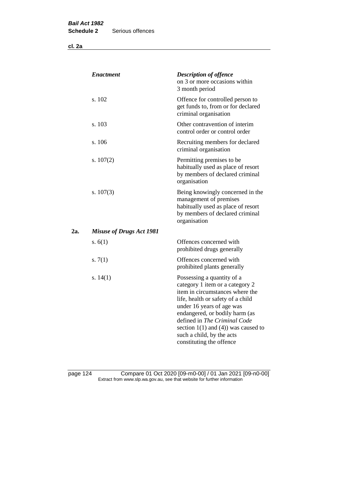**cl. 2a**

| <b>Enactment</b>                | <b>Description of offence</b><br>on 3 or more occasions within<br>3 month period                                                                                                                                                                                                                                                          |
|---------------------------------|-------------------------------------------------------------------------------------------------------------------------------------------------------------------------------------------------------------------------------------------------------------------------------------------------------------------------------------------|
| s. 102                          | Offence for controlled person to<br>get funds to, from or for declared<br>criminal organisation                                                                                                                                                                                                                                           |
| s. 103                          | Other contravention of interim<br>control order or control order                                                                                                                                                                                                                                                                          |
| s. 106                          | Recruiting members for declared<br>criminal organisation                                                                                                                                                                                                                                                                                  |
| s. $107(2)$                     | Permitting premises to be<br>habitually used as place of resort<br>by members of declared criminal<br>organisation                                                                                                                                                                                                                        |
| s. $107(3)$                     | Being knowingly concerned in the<br>management of premises<br>habitually used as place of resort<br>by members of declared criminal<br>organisation                                                                                                                                                                                       |
| <b>Misuse of Drugs Act 1981</b> |                                                                                                                                                                                                                                                                                                                                           |
| s. $6(1)$                       | Offences concerned with<br>prohibited drugs generally                                                                                                                                                                                                                                                                                     |
| s. $7(1)$                       | Offences concerned with<br>prohibited plants generally                                                                                                                                                                                                                                                                                    |
| s. $14(1)$                      | Possessing a quantity of a<br>category 1 item or a category 2<br>item in circumstances where the<br>life, health or safety of a child<br>under 16 years of age was<br>endangered, or bodily harm (as<br>defined in The Criminal Code<br>section $1(1)$ and $(4)$ ) was caused to<br>such a child, by the acts<br>constituting the offence |
|                                 |                                                                                                                                                                                                                                                                                                                                           |

page 124 Compare 01 Oct 2020 [09-m0-00] / 01 Jan 2021 [09-n0-00] Extract from www.slp.wa.gov.au, see that website for further information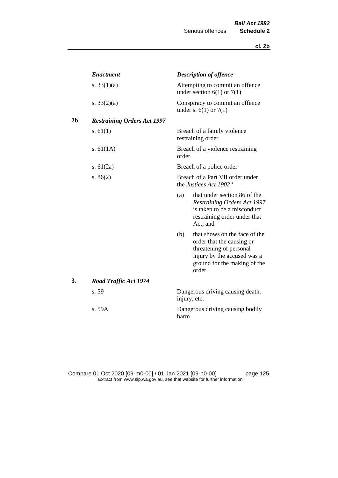|     | <b>Enactment</b>                   |                                                                          | <b>Description of offence</b>                                                                                                                                  |
|-----|------------------------------------|--------------------------------------------------------------------------|----------------------------------------------------------------------------------------------------------------------------------------------------------------|
|     | s. $33(1)(a)$                      |                                                                          | Attempting to commit an offence<br>under section $6(1)$ or $7(1)$                                                                                              |
|     | s. $33(2)(a)$                      |                                                                          | Conspiracy to commit an offence<br>under s. $6(1)$ or $7(1)$                                                                                                   |
| 2b. | <b>Restraining Orders Act 1997</b> |                                                                          |                                                                                                                                                                |
|     | s. $61(1)$                         |                                                                          | Breach of a family violence<br>restraining order                                                                                                               |
|     | s. $61(1A)$                        | order                                                                    | Breach of a violence restraining                                                                                                                               |
|     | s. $61(2a)$                        |                                                                          | Breach of a police order                                                                                                                                       |
|     | s. $86(2)$                         | Breach of a Part VII order under<br>the Justices Act 1902 <sup>2</sup> — |                                                                                                                                                                |
|     |                                    | (a)                                                                      | that under section 86 of the<br>Restraining Orders Act 1997<br>is taken to be a misconduct<br>restraining order under that<br>Act; and                         |
|     |                                    | (b)                                                                      | that shows on the face of the<br>order that the causing or<br>threatening of personal<br>injury by the accused was a<br>ground for the making of the<br>order. |
| 3.  | <b>Road Traffic Act 1974</b>       |                                                                          |                                                                                                                                                                |
|     | s. 59                              |                                                                          | Dangerous driving causing death,<br>injury, etc.                                                                                                               |
|     | s. 59A                             | harm                                                                     | Dangerous driving causing bodily                                                                                                                               |

Compare 01 Oct 2020 [09-m0-00] / 01 Jan 2021 [09-n0-00] page 125 Extract from www.slp.wa.gov.au, see that website for further information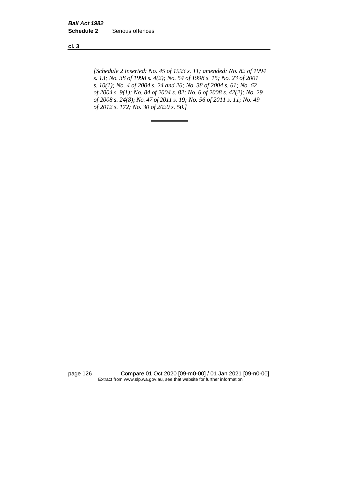**cl. 3**

*[Schedule 2 inserted: No. 45 of 1993 s. 11; amended: No. 82 of 1994 s. 13; No. 38 of 1998 s. 4(2); No. 54 of 1998 s. 15; No. 23 of 2001 s. 10(1); No. 4 of 2004 s. 24 and 26; No. 38 of 2004 s. 61; No. 62 of 2004 s. 9(1); No. 84 of 2004 s. 82; No. 6 of 2008 s. 42(2); No. 29 of 2008 s. 24(8); No. 47 of 2011 s. 19; No. 56 of 2011 s. 11; No. 49 of 2012 s. 172; No. 30 of 2020 s. 50.]* 

page 126 Compare 01 Oct 2020 [09-m0-00] / 01 Jan 2021 [09-n0-00] Extract from www.slp.wa.gov.au, see that website for further information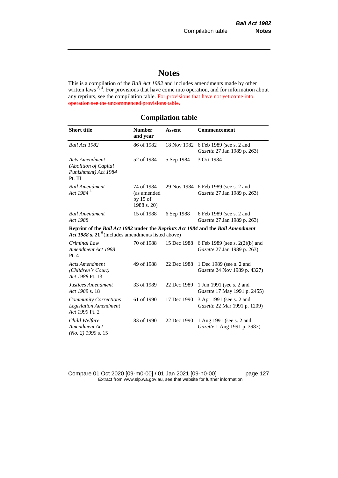# **Notes**

This is a compilation of the *Bail Act 1982* and includes amendments made by other written laws  $3, 4$ . For provisions that have come into operation, and for information about any reprints, see the compilation table. For provisions that have not yet come into operation see the uncommenced provisions table.

# **Compilation table**

| <b>Short title</b>                                                                                                                       | <b>Number</b><br>and year                              | <b>Assent</b> | Commencement                                                        |  |
|------------------------------------------------------------------------------------------------------------------------------------------|--------------------------------------------------------|---------------|---------------------------------------------------------------------|--|
| Bail Act 1982                                                                                                                            | 86 of 1982                                             | 18 Nov 1982   | 6 Feb 1989 (see s. 2 and<br>Gazette 27 Jan 1989 p. 263)             |  |
| <b>Acts Amendment</b><br>(Abolition of Capital<br>Punishment) Act 1984<br>Pt. III                                                        | 52 of 1984                                             | 5 Sep 1984    | 3 Oct 1984                                                          |  |
| <b>Bail Amendment</b><br>Act 1984 <sup>5</sup>                                                                                           | 74 of 1984<br>(as amended<br>by $15$ of<br>1988 s. 20) |               | 29 Nov 1984 6 Feb 1989 (see s. 2 and<br>Gazette 27 Jan 1989 p. 263) |  |
| <b>Bail Amendment</b><br>Act 1988                                                                                                        | 15 of 1988                                             | 6 Sep 1988    | 6 Feb 1989 (see s. 2 and<br>Gazette 27 Jan 1989 p. 263)             |  |
| Reprint of the Bail Act 1982 under the Reprints Act 1984 and the Bail Amendment<br>Act 1988 s. 21 $6$ (includes amendments listed above) |                                                        |               |                                                                     |  |
| Criminal Law<br>Amendment Act 1988<br>Pt.4                                                                                               | 70 of 1988                                             | 15 Dec 1988   | 6 Feb 1989 (see s. 2(2)(b) and<br>Gazette 27 Jan 1989 p. 263)       |  |
| <b>Acts Amendment</b><br>(Children's Court)<br>Act 1988 Pt. 13                                                                           | 49 of 1988                                             | 22 Dec 1988   | 1 Dec 1989 (see s. 2 and<br>Gazette 24 Nov 1989 p. 4327)            |  |
| Justices Amendment<br>Act 1989 s. 18                                                                                                     | 33 of 1989                                             | 22 Dec 1989   | 1 Jun 1991 (see s. 2 and<br>Gazette 17 May 1991 p. 2455)            |  |
| <b>Community Corrections</b><br><b>Legislation Amendment</b><br>Act 1990 Pt. 2                                                           | 61 of 1990                                             | 17 Dec 1990   | 3 Apr 1991 (see s. 2 and<br>Gazette 22 Mar 1991 p. 1209)            |  |
| Child Welfare<br>Amendment Act<br>$(No. 2)$ 1990 s. 15                                                                                   | 83 of 1990                                             | 22 Dec 1990   | 1 Aug 1991 (see s. 2 and<br>Gazette 1 Aug 1991 p. 3983)             |  |

Compare 01 Oct 2020 [09-m0-00] / 01 Jan 2021 [09-n0-00] page 127 Extract from www.slp.wa.gov.au, see that website for further information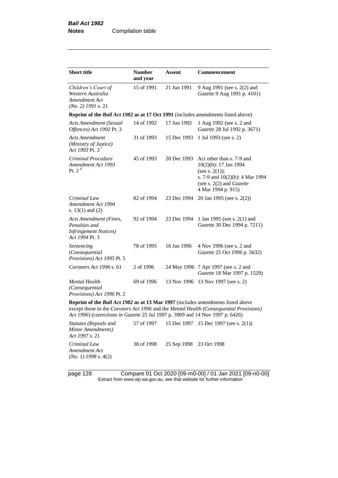| <b>Short title</b>                                                                                                                                                                                                                                                  | <b>Number</b><br>and year | Assent      | <b>Commencement</b>                                                                                                                                                   |  |  |  |
|---------------------------------------------------------------------------------------------------------------------------------------------------------------------------------------------------------------------------------------------------------------------|---------------------------|-------------|-----------------------------------------------------------------------------------------------------------------------------------------------------------------------|--|--|--|
| Children's Court of<br>Western Australia<br>Amendment Act<br>$(No. 2)$ 1991 s. 21                                                                                                                                                                                   | 15 of 1991                | 21 Jun 1991 | 9 Aug 1991 (see s. 2(2) and<br>Gazette 9 Aug 1991 p. 4101)                                                                                                            |  |  |  |
| Reprint of the <i>Bail Act 1982</i> as at 17 Oct 1991 (includes amendments listed above)                                                                                                                                                                            |                           |             |                                                                                                                                                                       |  |  |  |
| Acts Amendment (Sexual<br>Offences) Act 1992 Pt. 3                                                                                                                                                                                                                  | 14 of 1992                | 17 Jun 1992 | 1 Aug 1992 (see s. 2 and<br>Gazette 28 Jul 1992 p. 3671)                                                                                                              |  |  |  |
| <b>Acts Amendment</b><br>(Ministry of Justice)<br>Act 1993 Pt. $3^7$                                                                                                                                                                                                | 31 of 1993                | 15 Dec 1993 | 1 Jul 1993 (see s. 2)                                                                                                                                                 |  |  |  |
| Criminal Procedure<br>Amendment Act 1993<br>Pt. 2 <sup>8</sup>                                                                                                                                                                                                      | 45 of 1993                | 20 Dec 1993 | Act other than s. 7-9 and<br>10(2)(b): 17 Jan 1994<br>(see s. $2(1)$ );<br>s. 7-9 and 10(2)(b): 4 Mar 1994<br>(see s. $2(2)$ and <i>Gazette</i><br>4 Mar 1994 p. 915) |  |  |  |
| Criminal Law<br>Amendment Act 1994<br>s. $13(1)$ and $(2)$                                                                                                                                                                                                          | 82 of 1994                | 23 Dec 1994 | 20 Jan 1995 (see s. 2(2))                                                                                                                                             |  |  |  |
| <b>Acts Amendment (Fines,</b><br>Penalties and<br><b>Infringement Notices</b> )<br>Act 1994 Pt. 3                                                                                                                                                                   | 92 of 1994                | 23 Dec 1994 | 1 Jan 1995 (see s. 2(1) and<br>Gazette 30 Dec 1994 p. 7211)                                                                                                           |  |  |  |
| Sentencing<br>(Consequential<br>Provisions) Act 1995 Pt. 5                                                                                                                                                                                                          | 78 of 1995                | 16 Jan 1996 | 4 Nov 1996 (see s. 2 and<br>Gazette 25 Oct 1996 p. 5632)                                                                                                              |  |  |  |
| Coroners Act 1996 s. 61                                                                                                                                                                                                                                             | 2 of 1996                 |             | 24 May 1996 7 Apr 1997 (see s. 2 and<br>Gazette 18 Mar 1997 p. 1529)                                                                                                  |  |  |  |
| Mental Health<br>(Consequential<br>Provisions) Act 1996 Pt. 2                                                                                                                                                                                                       | 69 of 1996                | 13 Nov 1996 | 13 Nov 1997 (see s. 2)                                                                                                                                                |  |  |  |
| Reprint of the <i>Bail Act 1982</i> as at 13 Mar 1997 (includes amendments listed above<br>except those in the Coroners Act 1996 and the Mental Health (Consequential Provisions)<br>Act 1996) (corrections in Gazette 25 Jul 1997 p. 3909 and 14 Nov 1997 p. 6426) |                           |             |                                                                                                                                                                       |  |  |  |
| <b>Statutes (Repeals and</b><br>Minor Amendments)                                                                                                                                                                                                                   | 57 of 1997                |             | 15 Dec 1997 15 Dec 1997 (see s. 2(1))                                                                                                                                 |  |  |  |

*Act 1997* s. 21 *Criminal Law Amendment Act (No. 1) 1998* s. 4(2) 38 of 1998 25 Sep 1998 23 Oct 1998

page 128 Compare 01 Oct 2020 [09-m0-00] / 01 Jan 2021 [09-n0-00] Extract from www.slp.wa.gov.au, see that website for further information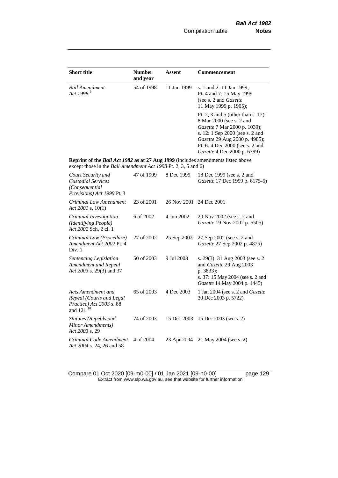| <b>Short title</b>                                                                                                                                        | <b>Number</b><br>and year | <b>Assent</b> | <b>Commencement</b>                                                                                                                                                                                                                  |
|-----------------------------------------------------------------------------------------------------------------------------------------------------------|---------------------------|---------------|--------------------------------------------------------------------------------------------------------------------------------------------------------------------------------------------------------------------------------------|
| <b>Bail Amendment</b><br>Act 1998 <sup>9</sup>                                                                                                            | 54 of 1998                | 11 Jan 1999   | s. 1 and 2: 11 Jan 1999;<br>Pt. 4 and 7: 15 May 1999<br>(see s. 2 and Gazette<br>11 May 1999 p. 1905);                                                                                                                               |
|                                                                                                                                                           |                           |               | Pt. 2, 3 and 5 (other than s. 12):<br>8 Mar 2000 (see s. 2 and<br>Gazette 7 Mar 2000 p. 1039);<br>s. 12: 1 Sep 2000 (see s. 2 and<br>Gazette 29 Aug 2000 p. 4985);<br>Pt. 6: 4 Dec 2000 (see s. 2 and<br>Gazette 4 Dec 2000 p. 6799) |
| <b>Reprint of the Bail Act 1982 as at 27 Aug 1999</b> (includes amendments listed above<br>except those in the Bail Amendment Act 1998 Pt. 2, 3, 5 and 6) |                           |               |                                                                                                                                                                                                                                      |
| Court Security and<br><b>Custodial Services</b><br>(Consequential<br>Provisions) Act 1999 Pt. 3                                                           | 47 of 1999                | 8 Dec 1999    | 18 Dec 1999 (see s. 2 and<br>Gazette 17 Dec 1999 p. 6175-6)                                                                                                                                                                          |
| Criminal Law Amendment<br>Act 2001 s. $10(1)$                                                                                                             | 23 of 2001                | 26 Nov 2001   | 24 Dec 2001                                                                                                                                                                                                                          |
| Criminal Investigation<br>(Identifying People)<br>Act 2002 Sch. 2 cl. 1                                                                                   | 6 of 2002                 | 4 Jun 2002    | 20 Nov 2002 (see s. 2 and<br>Gazette 19 Nov 2002 p. 5505)                                                                                                                                                                            |
| Criminal Law (Procedure)<br>Amendment Act 2002 Pt. 4<br>Div. 1                                                                                            | 27 of 2002                | 25 Sep 2002   | 27 Sep 2002 (see s. 2 and<br>Gazette 27 Sep 2002 p. 4875)                                                                                                                                                                            |
| Sentencing Legislation<br>Amendment and Repeal<br>Act 2003 s. 29(3) and 37                                                                                | 50 of 2003                | 9 Jul 2003    | s. 29(3): 31 Aug 2003 (see s. 2<br>and Gazette 29 Aug 2003<br>p. 3833);<br>s. 37: 15 May 2004 (see s. 2 and<br>Gazette 14 May 2004 p. 1445)                                                                                          |
| Acts Amendment and<br>Repeal (Courts and Legal<br>Practice) Act 2003 s. 88<br>and 121 <sup>10</sup>                                                       | 65 of 2003                | 4 Dec 2003    | 1 Jan 2004 (see s. 2 and Gazette<br>30 Dec 2003 p. 5722)                                                                                                                                                                             |
| <b>Statutes (Repeals and</b><br>Minor Amendments)<br>Act 2003 s. 29                                                                                       | 74 of 2003                | 15 Dec 2003   | 15 Dec 2003 (see s. 2)                                                                                                                                                                                                               |
| Criminal Code Amendment<br>Act 2004 s. 24, 26 and 58                                                                                                      | 4 of 2004                 | 23 Apr 2004   | 21 May 2004 (see s. 2)                                                                                                                                                                                                               |

Compare 01 Oct 2020 [09-m0-00] / 01 Jan 2021 [09-n0-00] page 129 Extract from www.slp.wa.gov.au, see that website for further information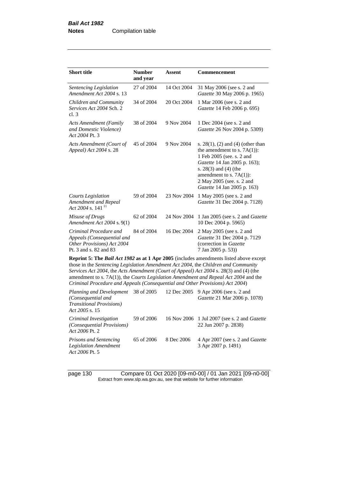| <b>Short title</b>                                                                                                                                                                                                                                                                                                                                                    | <b>Number</b><br>and year | Assent      | <b>Commencement</b>                                                                                                                                                                                                                                      |  |  |
|-----------------------------------------------------------------------------------------------------------------------------------------------------------------------------------------------------------------------------------------------------------------------------------------------------------------------------------------------------------------------|---------------------------|-------------|----------------------------------------------------------------------------------------------------------------------------------------------------------------------------------------------------------------------------------------------------------|--|--|
| Sentencing Legislation<br>Amendment Act 2004 s. 13                                                                                                                                                                                                                                                                                                                    | 27 of 2004                | 14 Oct 2004 | 31 May 2006 (see s. 2 and<br>Gazette 30 May 2006 p. 1965)                                                                                                                                                                                                |  |  |
| Children and Community<br>Services Act 2004 Sch. 2<br>cl.3                                                                                                                                                                                                                                                                                                            | 34 of 2004                | 20 Oct 2004 | 1 Mar 2006 (see s. 2 and<br>Gazette 14 Feb 2006 p. 695)                                                                                                                                                                                                  |  |  |
| <b>Acts Amendment (Family</b><br>and Domestic Violence)<br>Act 2004 Pt. 3                                                                                                                                                                                                                                                                                             | 38 of 2004                | 9 Nov 2004  | 1 Dec 2004 (see s. 2 and<br>Gazette 26 Nov 2004 p. 5309)                                                                                                                                                                                                 |  |  |
| Acts Amendment (Court of<br>Appeal) Act 2004 s. 28                                                                                                                                                                                                                                                                                                                    | 45 of 2004                | 9 Nov 2004  | s. $28(1)$ , (2) and (4) (other than<br>the amendment to s. $7A(1)$ :<br>1 Feb 2005 (see. s. 2 and<br>Gazette 14 Jan 2005 p. 163);<br>s. $28(3)$ and $(4)$ (the<br>amendment to s. $7A(1)$ :<br>2 May 2005 (see. s. 2 and<br>Gazette 14 Jan 2005 p. 163) |  |  |
| Courts Legislation<br>Amendment and Repeal<br>Act 2004 s. 141 $^{11}$                                                                                                                                                                                                                                                                                                 | 59 of 2004                | 23 Nov 2004 | 1 May 2005 (see s. 2 and<br>Gazette 31 Dec 2004 p. 7128)                                                                                                                                                                                                 |  |  |
| Misuse of Drugs<br>Amendment Act 2004 s. 9(1)                                                                                                                                                                                                                                                                                                                         | 62 of 2004                | 24 Nov 2004 | 1 Jan 2005 (see s. 2 and <i>Gazette</i><br>10 Dec 2004 p. 5965)                                                                                                                                                                                          |  |  |
| Criminal Procedure and<br>Appeals (Consequential and<br>Other Provisions) Act 2004<br>Pt. 3 and s. 82 and 83                                                                                                                                                                                                                                                          | 84 of 2004                | 16 Dec 2004 | 2 May 2005 (see s. 2 and<br>Gazette 31 Dec 2004 p. 7129<br>(correction in Gazette<br>7 Jan 2005 p. 53)                                                                                                                                                   |  |  |
| <b>Reprint 5: The Bail Act 1982 as at 1 Apr 2005</b> (includes amendments listed above except<br>those in the Sentencing Legislation Amendment Act 2004, the Children and Community<br>Services Act 2004, the Acts Amendment (Court of Appeal) Act 2004 s. 28(3) and (4) (the<br>amendment to s. 7A(1)), the Courts Legislation Amendment and Repeal Act 2004 and the |                           |             |                                                                                                                                                                                                                                                          |  |  |

*Criminal Procedure and Appeals (Consequential and Other Provisions) Act 2004*)

| Planning and Development 38 of 2005<br>(Consequential and<br><b>Transitional Provisions</b> )<br><i>Act 2005</i> s. 15 |            |            | 12 Dec 2005 9 Apr 2006 (see s. 2 and<br><i>Gazette</i> 21 Mar 2006 p. 1078) |
|------------------------------------------------------------------------------------------------------------------------|------------|------------|-----------------------------------------------------------------------------|
| Criminal Investigation<br>(Consequential Provisions)<br>A <i>ct 2006</i> Pt. 2                                         | 59 of 2006 |            | 16 Nov 2006 1 Jul 2007 (see s. 2 and <i>Gazette</i><br>22 Jun 2007 p. 2838) |
| Prisons and Sentencing<br><b>Legislation Amendment</b><br><i>Act 2006 Pt. 5</i>                                        | 65 of 2006 | 8 Dec 2006 | 4 Apr 2007 (see s. 2 and <i>Gazette</i><br>3 Apr 2007 p. 1491)              |

page 130 Compare 01 Oct 2020 [09-m0-00] / 01 Jan 2021 [09-n0-00] Extract from www.slp.wa.gov.au, see that website for further information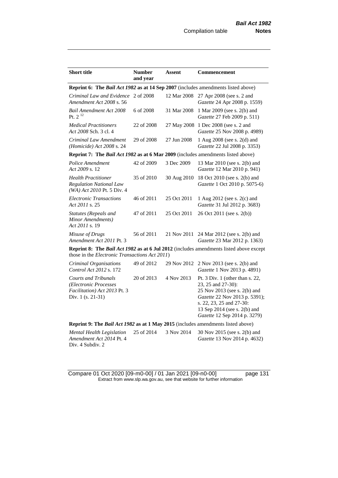| <b>Short title</b>                                                                                        | <b>Number</b> | <b>Assent</b> | <b>Commencement</b>                                                                                                                                                                                                  |
|-----------------------------------------------------------------------------------------------------------|---------------|---------------|----------------------------------------------------------------------------------------------------------------------------------------------------------------------------------------------------------------------|
|                                                                                                           | and year      |               |                                                                                                                                                                                                                      |
| Reprint 6: The Bail Act 1982 as at 14 Sep 2007 (includes amendments listed above)                         |               |               |                                                                                                                                                                                                                      |
| Criminal Law and Evidence 2 of 2008<br>Amendment Act 2008 s. 56                                           |               | 12 Mar 2008   | 27 Apr 2008 (see s. 2 and<br>Gazette 24 Apr 2008 p. 1559)                                                                                                                                                            |
| <b>Bail Amendment Act 2008</b><br>Pt. $2^{12}$                                                            | 6 of 2008     | 31 Mar 2008   | 1 Mar 2009 (see s. 2(b) and<br>Gazette 27 Feb 2009 p. 511)                                                                                                                                                           |
| <b>Medical Practitioners</b><br>Act 2008 Sch. 3 cl. 4                                                     | 22 of 2008    | 27 May 2008   | 1 Dec 2008 (see s. 2 and<br>Gazette 25 Nov 2008 p. 4989)                                                                                                                                                             |
| Criminal Law Amendment<br>(Homicide) Act 2008 s. 24                                                       | 29 of 2008    | 27 Jun 2008   | 1 Aug 2008 (see s. 2(d) and<br>Gazette 22 Jul 2008 p. 3353)                                                                                                                                                          |
| Reprint 7: The Bail Act 1982 as at 6 Mar 2009 (includes amendments listed above)                          |               |               |                                                                                                                                                                                                                      |
| Police Amendment<br>Act 2009 s. 12                                                                        | 42 of 2009    | 3 Dec 2009    | 13 Mar 2010 (see s. 2(b) and<br>Gazette 12 Mar 2010 p. 941)                                                                                                                                                          |
| <b>Health Practitioner</b><br><b>Regulation National Law</b><br>(WA) Act 2010 Pt. 5 Div. 4                | 35 of 2010    | 30 Aug 2010   | 18 Oct 2010 (see s. 2(b) and<br>Gazette 1 Oct 2010 p. 5075-6)                                                                                                                                                        |
| <b>Electronic Transactions</b><br>Act 2011 s. 25                                                          | 46 of 2011    | 25 Oct 2011   | 1 Aug 2012 (see s. 2(c) and<br>Gazette 31 Jul 2012 p. 3683)                                                                                                                                                          |
| Statutes (Repeals and<br>Minor Amendments)<br>Act 2011 s. 19                                              | 47 of 2011    | 25 Oct 2011   | 26 Oct 2011 (see s. 2(b))                                                                                                                                                                                            |
| Misuse of Drugs<br>Amendment Act 2011 Pt. 3                                                               | 56 of 2011    | 21 Nov 2011   | 24 Mar 2012 (see s. 2(b) and<br>Gazette 23 Mar 2012 p. 1363)                                                                                                                                                         |
| those in the Electronic Transactions Act 2011)                                                            |               |               | <b>Reprint 8: The Bail Act 1982 as at 6 Jul 2012</b> (includes amendments listed above except                                                                                                                        |
| Criminal Organisations<br>Control Act 2012 s. 172                                                         | 49 of 2012    | 29 Nov 2012   | 2 Nov 2013 (see s. 2(b) and<br>Gazette 1 Nov 2013 p. 4891)                                                                                                                                                           |
| <b>Courts and Tribunals</b><br>(Electronic Processes<br>Facilitation) Act 2013 Pt. 3<br>Div. 1 (s. 21-31) | 20 of 2013    | 4 Nov 2013    | Pt. $3$ Div. 1 (other than s. 22,<br>23, 25 and 27-30):<br>25 Nov 2013 (see s. 2(b) and<br>Gazette 22 Nov 2013 p. 5391);<br>s. 22, 23, 25 and 27-30:<br>13 Sep 2014 (see s. 2(b) and<br>Gazette 12 Sep 2014 p. 3279) |
| Reprint 9: The Bail Act 1982 as at 1 May 2015 (includes amendments listed above)                          |               |               |                                                                                                                                                                                                                      |
| Mental Health Legislation<br>Amendment Act 2014 Pt. 4<br>Div. 4 Subdiv. 2                                 | 25 of 2014    | 3 Nov 2014    | 30 Nov 2015 (see s. 2(b) and<br>Gazette 13 Nov 2014 p. 4632)                                                                                                                                                         |

Compare 01 Oct 2020 [09-m0-00] / 01 Jan 2021 [09-n0-00] page 131 Extract from www.slp.wa.gov.au, see that website for further information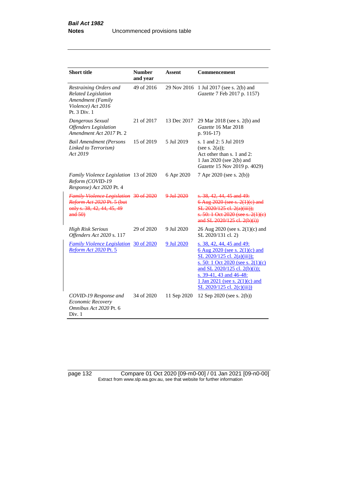| <b>Short title</b>                                                                                              | <b>Number</b><br>and year | Assent               | Commencement                                                                                                                                                                                                                                                  |
|-----------------------------------------------------------------------------------------------------------------|---------------------------|----------------------|---------------------------------------------------------------------------------------------------------------------------------------------------------------------------------------------------------------------------------------------------------------|
| Restraining Orders and<br><b>Related Legislation</b><br>Amendment (Family<br>Violence) Act 2016<br>Pt. 3 Div. 1 | 49 of 2016                | 29 Nov 2016          | 1 Jul 2017 (see s. 2(b) and<br>Gazette 7 Feb 2017 p. 1157)                                                                                                                                                                                                    |
| Dangerous Sexual<br><b>Offenders</b> Legislation<br>Amendment Act 2017 Pt. 2                                    | 21 of 2017                | 13 Dec 2017          | 29 Mar 2018 (see s. 2(b) and<br>Gazette 16 Mar 2018<br>$p. 916-17$                                                                                                                                                                                            |
| <b>Bail Amendment (Persons</b><br>Linked to Terrorism)<br>Act 2019                                              | 15 of 2019                | 5 Jul 2019           | s. 1 and 2: 5 Jul 2019<br>(see s. $2(a)$ );<br>Act other than s. 1 and 2:<br>1 Jan 2020 (see 2(b) and<br>Gazette 15 Nov 2019 p. 4029)                                                                                                                         |
| Family Violence Legislation 13 of 2020<br>Reform (COVID-19<br>Response) Act 2020 Pt. 4                          |                           | 6 Apr 2020           | 7 Apr 2020 (see s. 2(b))                                                                                                                                                                                                                                      |
| Family Violence Legislation 30 of 2020<br>Reform Act 2020 Pt. 5 (but<br>only s. 38, 42, 44, 45, 49<br>and 50    |                           | $9 \text{ Jul} 2020$ | s. 38, 42, 44, 45 and 49.<br>6 Aug 2020 (see s. 2(1)(e) and<br>SL 2020/125 el. 2(a)(iii));<br>$s. 50: 1$ Oct 2020 (see s. 2(1)(e)<br>and SL 2020/125 cl. 2(b)(i))                                                                                             |
| <b>High Risk Serious</b><br>Offenders Act 2020 s. 117                                                           | 29 of 2020                | 9 Jul 2020           | 26 Aug 2020 (see s. 2(1)(c) and<br>SL 2020/131 cl. 2)                                                                                                                                                                                                         |
| <b>Family Violence Legislation</b><br>Reform Act 2020 Pt. 5                                                     | 30 of 2020                | 9 Jul 2020           | s. 38, 42, 44, 45 and 49:<br>6 Aug 2020 (see s. 2(1)(c) and<br>SL 2020/125 cl. 2(a)(iii));<br>s. 50: 1 Oct 2020 (see s. 2(1)(c)<br>and SL 2020/125 cl. 2(b)(i));<br>s. 39-41, 43 and 46-48:<br>1 Jan 2021 (see s. $2(1)(c)$ and<br>SL 2020/125 cl. 2(c)(iii)) |
| COVID-19 Response and<br>Economic Recovery<br>Omnibus Act 2020 Pt. 6<br>Div. 1                                  | 34 of 2020                | 11 Sep 2020          | 12 Sep 2020 (see s. 2(b))                                                                                                                                                                                                                                     |

page 132 Compare 01 Oct 2020 [09-m0-00] / 01 Jan 2021 [09-n0-00] Extract from www.slp.wa.gov.au, see that website for further information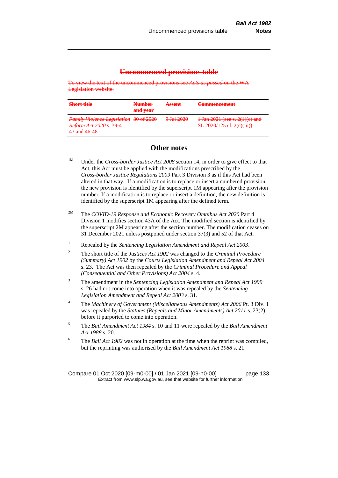## **Uncommenced provisions table**

To view the text of the uncommenced provisions see *Acts as passed* on the WA Legislation website.

| Short title<br><del>.</del>                                         | <b>Number</b><br>and year | A ccont<br><b>CONTRACTOR</b>       | <sup>1</sup> ammancamant<br>マスリストトリー しつ トレス つけ しつけしょ                                                                                                   |
|---------------------------------------------------------------------|---------------------------|------------------------------------|--------------------------------------------------------------------------------------------------------------------------------------------------------|
| Family Violence Legislation 30 of 2020<br>Reform Act 2020 s. 39-41, |                           | $0 \text{ h}12020$<br>2 JULIE 2022 | $1$ Ian $2021$ (see s. $2(1)(c)$ and<br><u> 1 Juli 2021 (SCC S. 2(1)(C) απά</u><br><b>CI</b> 2020/125 of 26 Given<br><u>51 2020 123 61. 2(6)(111))</u> |
| $43$ and $46$ $48$<br><b>THE RESIDENCE OF A REAL PROPERTY</b>       |                           |                                    |                                                                                                                                                        |

# **Other notes**

<sup>1M</sup> Under the *Cross-border Justice Act 2008* section 14, in order to give effect to that Act, this Act must be applied with the modifications prescribed by the *Cross-border Justice Regulations 2009* Part 3 Division 3 as if this Act had been altered in that way. If a modification is to replace or insert a numbered provision, the new provision is identified by the superscript 1M appearing after the provision number. If a modification is to replace or insert a definition, the new definition is identified by the superscript 1M appearing after the defined term.

- 2M The *COVID-19 Response and Economic Recovery Omnibus Act 2020* Part 4 Division 1 modifies section 43A of the Act. The modified section is identified by the superscript 2M appearing after the section number. The modification ceases on 31 December 2021 unless postponed under section 37(3) and 52 of that Act.
- <sup>1</sup> Repealed by the *Sentencing Legislation Amendment and Repeal Act 2003*.
- <sup>2</sup> The short title of the *Justices Act 1902* was changed to the *Criminal Procedure (Summary) Act 1902* by the *Courts Legislation Amendment and Repeal Act 2004*  s. 23. The Act was then repealed by the *Criminal Procedure and Appeal (Consequential and Other Provisions) Act 2004* s. 4.
- <sup>3</sup> The amendment in the *Sentencing Legislation Amendment and Repeal Act 1999* s. 26 had not come into operation when it was repealed by the *Sentencing Legislation Amendment and Repeal Act 2003* s. 31.
- <sup>4</sup> The *Machinery of Government (Miscellaneous Amendments) Act 2006* Pt. 3 Div. 1 was repealed by the *Statutes (Repeals and Minor Amendments) Act 2011* s. 23(2) before it purported to come into operation.
- <sup>5</sup> The *Bail Amendment Act 1984* s. 10 and 11 were repealed by the *Bail Amendment Act 1988* s. 20.
- <sup>6</sup> The *Bail Act 1982* was not in operation at the time when the reprint was compiled, but the reprinting was authorised by the *Bail Amendment Act 1988* s. 21.

Compare 01 Oct 2020 [09-m0-00] / 01 Jan 2021 [09-n0-00] page 133 Extract from www.slp.wa.gov.au, see that website for further information